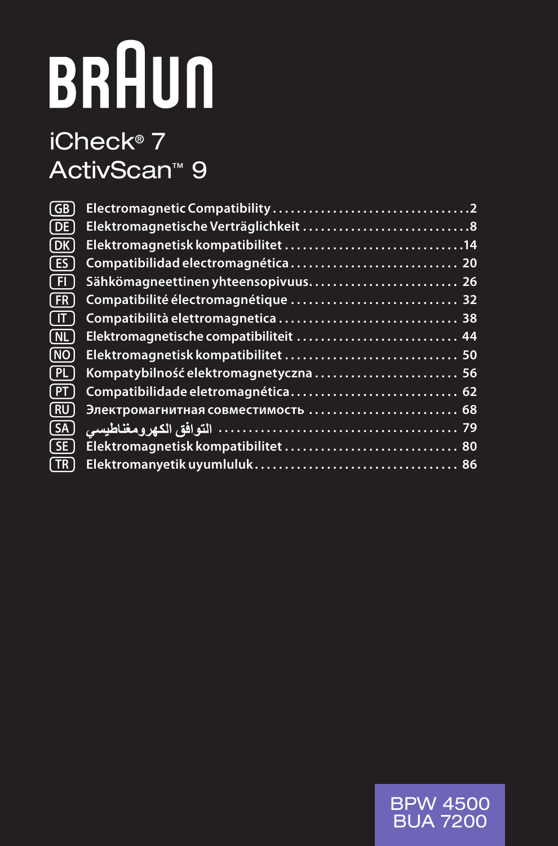# **BRAUN**

# iCheck® 7 ActivScan™ 9

| (GB        |                                        |
|------------|----------------------------------------|
| (DE)       |                                        |
| (DK)       |                                        |
| (ES        |                                        |
| (FI        | Sähkömagneettinen yhteensopivuus 26    |
| ( FR       | Compatibilité électromagnétique  32    |
| ſ IT       |                                        |
| (NL)       | Elektromagnetische compatibiliteit  44 |
| (NO)       |                                        |
| [ PL ]     | Kompatybilność elektromagnetyczna  56  |
| (PT        |                                        |
| (RU)       | Электромагнитная совместимость  68     |
| (SA)       |                                        |
| $($ SE $)$ |                                        |
| l TR       |                                        |

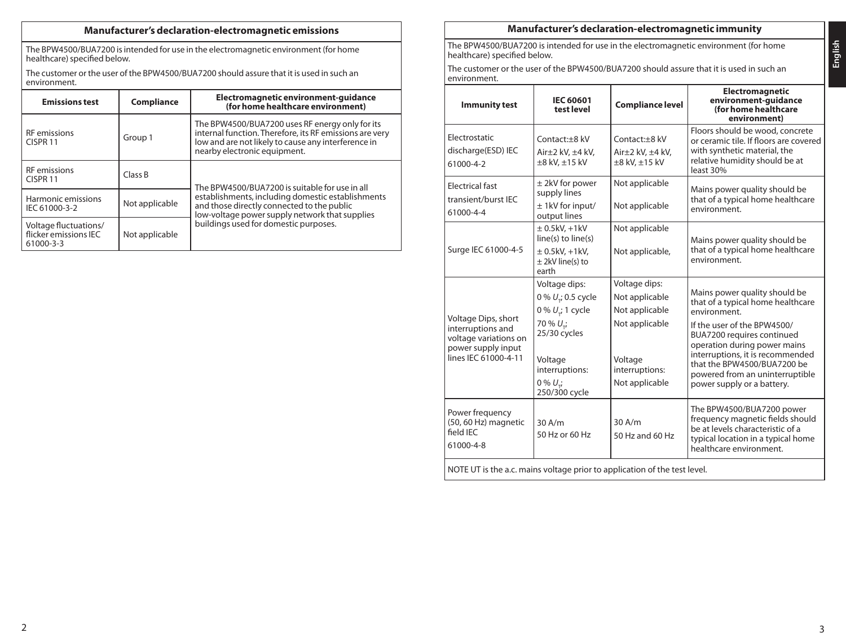# **Manufacturer's declaration-electromagnetic emissions**

The BPW4500/BUA7200 is intended for use in the electromagnetic environment (for home healthcare) specified below.

The customer or the user of the BPW4500/BUA7200 should assure that it is used in such an environment.

| <b>Emissions test</b>                                                         | Compliance | Electromagnetic environment-quidance<br>(for home healthcare environment)                                                                                                                         |  |
|-------------------------------------------------------------------------------|------------|---------------------------------------------------------------------------------------------------------------------------------------------------------------------------------------------------|--|
| <b>RF</b> emissions<br>CISPR <sub>11</sub>                                    | Group 1    | The BPW4500/BUA7200 uses RF energy only for its<br>internal function. Therefore, its RF emissions are very<br>low and are not likely to cause any interference in<br>nearby electronic equipment. |  |
| <b>RF</b> emissions<br>CISPR <sub>11</sub>                                    | Class B    | The BPW4500/BUA7200 is suitable for use in all                                                                                                                                                    |  |
| Harmonic emissions<br>Not applicable<br>IEC 61000-3-2                         |            | establishments, including domestic establishments<br>and those directly connected to the public<br>low-voltage power supply network that supplies<br>buildings used for domestic purposes.        |  |
| Voltage fluctuations/<br>flicker emissions IEC<br>Not applicable<br>61000-3-3 |            |                                                                                                                                                                                                   |  |

### **Manufacturer's declaration-electromagnetic immunity**

The BPW4500/BUA7200 is intended for use in the electromagnetic environment (for home healthcare) specified below.

The customer or the user of the BPW4500/BUA7200 should assure that it is used in such an environment.

| <b>Immunity test</b>                                                                                            | <b>IEC 60601</b><br>test level                                                                                                                                           | <b>Compliance level</b>                                                                                            | Electromagnetic<br>environment-quidance<br>(for home healthcare<br>environment)                                                                                                                                                                                                                                    |  |  |
|-----------------------------------------------------------------------------------------------------------------|--------------------------------------------------------------------------------------------------------------------------------------------------------------------------|--------------------------------------------------------------------------------------------------------------------|--------------------------------------------------------------------------------------------------------------------------------------------------------------------------------------------------------------------------------------------------------------------------------------------------------------------|--|--|
| Electrostatic<br>discharge(ESD) IEC<br>61000-4-2                                                                | Contact:+8 kV<br>Air $\pm$ 2 kV, $\pm$ 4 kV,<br>$\pm 8$ kV, $\pm 15$ kV                                                                                                  | Contact:+8 kV<br>Air $\pm$ 2 kV, $\pm$ 4 kV,<br>±8 kV, ±15 kV                                                      | Floors should be wood, concrete<br>or ceramic tile. If floors are covered<br>with synthetic material, the<br>relative humidity should be at<br>least 30%                                                                                                                                                           |  |  |
| <b>Electrical fast</b><br>transient/burst IEC<br>61000-4-4                                                      | $±$ 2kV for power<br>supply lines<br>$±$ 1kV for input/<br>output lines                                                                                                  | Not applicable<br>Not applicable                                                                                   | Mains power quality should be<br>that of a typical home healthcare<br>environment.                                                                                                                                                                                                                                 |  |  |
| Surge IEC 61000-4-5                                                                                             | $\pm$ 0.5kV, +1kV<br>line(s) to line(s)<br>$\pm$ 0.5kV, +1kV,<br>$±$ 2kV line(s) to<br>earth                                                                             | Not applicable<br>Not applicable,                                                                                  | Mains power quality should be<br>that of a typical home healthcare<br>environment.                                                                                                                                                                                                                                 |  |  |
| Voltage Dips, short<br>interruptions and<br>voltage variations on<br>power supply input<br>lines IEC 61000-4-11 | Voltage dips:<br>0 % U .; 0.5 cycle<br>0 % $U_{\nu i}$ 1 cycle<br>70 % U <sub>-</sub> ;<br>25/30 cycles<br>Voltage<br>interruptions:<br>$0\% U_{\star}$<br>250/300 cycle | Voltage dips:<br>Not applicable<br>Not applicable<br>Not applicable<br>Voltage<br>interruptions:<br>Not applicable | Mains power quality should be<br>that of a typical home healthcare<br>environment<br>If the user of the BPW4500/<br>BUA7200 requires continued<br>operation during power mains<br>interruptions, it is recommended<br>that the BPW4500/BUA7200 be<br>powered from an uninterruptible<br>power supply or a battery. |  |  |
| Power frequency<br>(50, 60 Hz) magnetic<br>field IEC<br>61000-4-8                                               | 30A/m<br>50 Hz or 60 Hz                                                                                                                                                  | $30$ A/m<br>50 Hz and 60 Hz                                                                                        | The BPW4500/BUA7200 power<br>frequency magnetic fields should<br>be at levels characteristic of a<br>typical location in a typical home<br>healthcare environment.                                                                                                                                                 |  |  |
| NOTE UT is the a.c. mains voltage prior to application of the test level.                                       |                                                                                                                                                                          |                                                                                                                    |                                                                                                                                                                                                                                                                                                                    |  |  |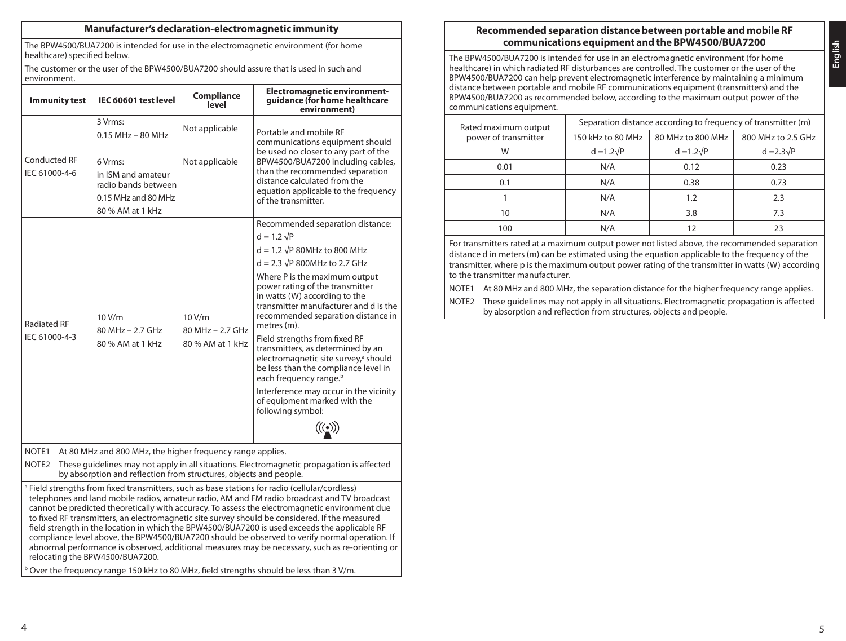### **Manufacturer's declaration-electromagnetic immunity**

The BPW4500/BUA7200 is intended for use in the electromagnetic environment (for home healthcare) specified below.

The customer or the user of the BPW4500/BUA7200 should assure that is used in such and environment.

| <b>Immunity test</b>                                                                                                                                                                | IEC 60601 test level                                                                            | Compliance<br>level                                | <b>Electromagnetic environment-</b><br>quidance (for home healthcare<br>environment)                                                                                                                        |  |  |
|-------------------------------------------------------------------------------------------------------------------------------------------------------------------------------------|-------------------------------------------------------------------------------------------------|----------------------------------------------------|-------------------------------------------------------------------------------------------------------------------------------------------------------------------------------------------------------------|--|--|
|                                                                                                                                                                                     | 3 Vrms:<br>$0.15$ MHz - 80 MHz                                                                  | Not applicable                                     | Portable and mobile RF<br>communications equipment should                                                                                                                                                   |  |  |
| Conducted RF<br>IEC 61000-4-6                                                                                                                                                       | 6 Vrms.<br>in ISM and amateur<br>radio bands between<br>0.15 MHz and 80 MHz<br>80 % AM at 1 kHz | Not applicable                                     | be used no closer to any part of the<br>BPW4500/BUA7200 including cables,<br>than the recommended separation<br>distance calculated from the<br>equation applicable to the frequency<br>of the transmitter. |  |  |
|                                                                                                                                                                                     |                                                                                                 |                                                    | Recommended separation distance:                                                                                                                                                                            |  |  |
|                                                                                                                                                                                     |                                                                                                 |                                                    | $d = 1.2 \sqrt{P}$<br>$d = 1.2 \sqrt{P}$ 80MHz to 800 MHz                                                                                                                                                   |  |  |
|                                                                                                                                                                                     | 10V/m<br>80 MHz - 2.7 GHz<br>80 % AM at 1 kHz                                                   |                                                    | $d = 2.3 \sqrt{P}$ 800MHz to 2.7 GHz                                                                                                                                                                        |  |  |
| <b>Radiated RF</b>                                                                                                                                                                  |                                                                                                 | 10 V/m<br>$80$ MHz $-$ 2.7 GHz<br>80 % AM at 1 kHz | Where P is the maximum output<br>power rating of the transmitter<br>in watts (W) according to the<br>transmitter manufacturer and d is the<br>recommended separation distance in<br>metres (m).             |  |  |
| IEC 61000-4-3                                                                                                                                                                       |                                                                                                 |                                                    | Field strengths from fixed RF<br>transmitters, as determined by an<br>electromagnetic site survey, <sup>a</sup> should<br>be less than the compliance level in<br>each frequency range. <sup>b</sup>        |  |  |
|                                                                                                                                                                                     |                                                                                                 |                                                    | Interference may occur in the vicinity<br>of equipment marked with the<br>following symbol:                                                                                                                 |  |  |
|                                                                                                                                                                                     |                                                                                                 |                                                    |                                                                                                                                                                                                             |  |  |
| NOTE <sub>1</sub>                                                                                                                                                                   | At 80 MHz and 800 MHz, the higher frequency range applies.                                      |                                                    |                                                                                                                                                                                                             |  |  |
| NOTE <sub>2</sub><br>These guidelines may not apply in all situations. Electromagnetic propagation is affected<br>by absorption and reflection from structures, objects and people. |                                                                                                 |                                                    |                                                                                                                                                                                                             |  |  |
|                                                                                                                                                                                     |                                                                                                 |                                                    |                                                                                                                                                                                                             |  |  |

Field strengths from fixed transmitters, such as base stations for radio (cellular/cordless) telephones and land mobile radios, amateur radio, AM and FM radio broadcast and TV broadcast cannot be predicted theoretically with accuracy. To assess the electromagnetic environment due to fixed RF transmitters, an electromagnetic site survey should be considered. If the measured field strength in the location in which the BPW4500/BUA7200 is used exceeds the applicable RF compliance level above, the BPW4500/BUA7200 should be observed to verify normal operation. If abnormal performance is observed, additional measures may be necessary, such as re-orienting or relocating the BPW4500/BUA7200.

<sup>b</sup> Over the frequency range 150 kHz to 80 MHz, field strengths should be less than 3 V/m.

# **Recommended separation distance between portable and mobile RF communications equipment and the BPW4500/BUA7200**

The BPW4500/BUA7200 is intended for use in an electromagnetic environment (for home healthcare) in which radiated RF disturbances are controlled. The customer or the user of the BPW4500/BUA7200 can help prevent electromagnetic interference by maintaining a minimum distance between portable and mobile RF communications equipment (transmitters) and the BPW4500/BUA7200 as recommended below, according to the maximum output power of the communications equipment.

| Rated maximum output | Separation distance according to frequency of transmitter (m) |                   |                    |  |  |
|----------------------|---------------------------------------------------------------|-------------------|--------------------|--|--|
| power of transmitter | 150 kHz to 80 MHz                                             | 80 MHz to 800 MHz | 800 MHz to 2.5 GHz |  |  |
| W                    | $d = 1.2\sqrt{P}$                                             | $d = 1.2\sqrt{P}$ | $d = 2.3\sqrt{P}$  |  |  |
| 0.01                 | N/A                                                           | 0.12              | 0.23               |  |  |
| 0.1                  | N/A                                                           | 0.38              | 0.73               |  |  |
|                      | N/A                                                           | 1.2               | 2.3                |  |  |
| 10                   | N/A                                                           | 3.8               | 7.3                |  |  |
| 100                  | N/A                                                           |                   | 23                 |  |  |

For transmitters rated at a maximum output power not listed above, the recommended separation distance d in meters (m) can be estimated using the equation applicable to the frequency of the transmitter, where p is the maximum output power rating of the transmitter in watts (W) according to the transmitter manufacturer.

NOTE1 At 80 MHz and 800 MHz, the separation distance for the higher frequency range applies.

NOTE2 These guidelines may not apply in all situations. Electromagnetic propagation is affected by absorption and reflection from structures, objects and people.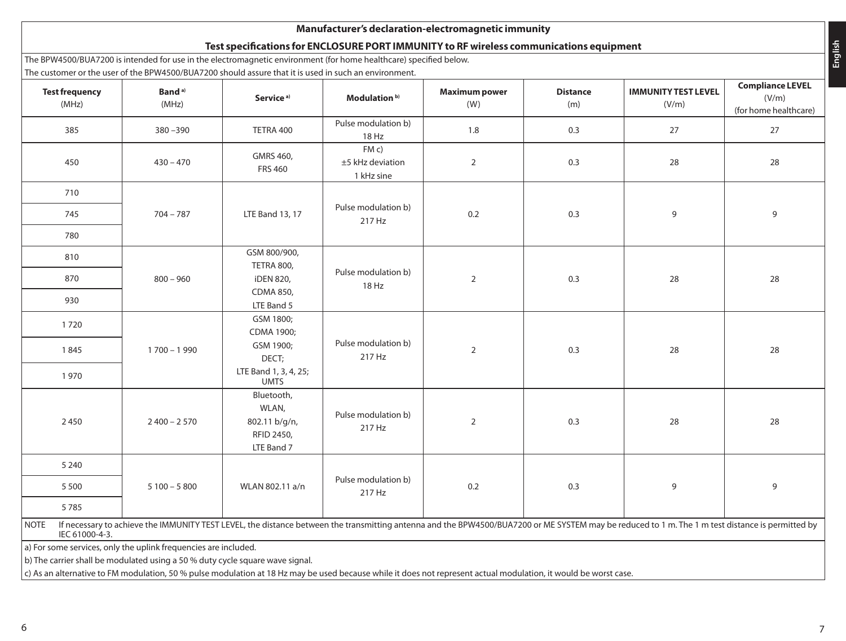# **Manufacturer's declaration-electromagnetic immunity**

# **Test specifications for ENCLOSURE PORT IMMUNITY to RF wireless communications equipment**

The BPW4500/BUA7200 is intended for use in the electromagnetic environment (for home healthcare) specified below.

The customer or the user of the BPW4500/BUA7200 should assure that it is used in such an environment.

| <b>Test frequency</b><br>(MHz)                                                                                                                                                                                                    | Band <sup>a)</sup><br>(MHz) | Service <sup>a)</sup>                                            | Modulation <sup>b)</sup>                | <b>Maximum power</b><br>(W) | <b>Distance</b><br>(m) | <b>IMMUNITY TEST LEVEL</b><br>(V/m) | <b>Compliance LEVEL</b><br>(V/m)<br>(for home healthcare) |    |    |
|-----------------------------------------------------------------------------------------------------------------------------------------------------------------------------------------------------------------------------------|-----------------------------|------------------------------------------------------------------|-----------------------------------------|-----------------------------|------------------------|-------------------------------------|-----------------------------------------------------------|----|----|
| 385                                                                                                                                                                                                                               | $380 - 390$                 | TETRA 400                                                        | Pulse modulation b)<br>18 Hz            | 1.8                         | 0.3                    | 27                                  | 27                                                        |    |    |
| 450                                                                                                                                                                                                                               | $430 - 470$                 | GMRS 460,<br><b>FRS 460</b>                                      | FM c)<br>±5 kHz deviation<br>1 kHz sine | $\overline{2}$              | 0.3                    | 28                                  | 28                                                        |    |    |
| 710                                                                                                                                                                                                                               |                             |                                                                  |                                         |                             |                        |                                     |                                                           |    |    |
| 745                                                                                                                                                                                                                               | $704 - 787$                 | LTE Band 13, 17                                                  | Pulse modulation b)<br>217 Hz           | 0.2                         | 0.3                    | 9                                   | 9                                                         |    |    |
| 780                                                                                                                                                                                                                               |                             |                                                                  |                                         |                             |                        |                                     |                                                           |    |    |
| 810                                                                                                                                                                                                                               |                             | GSM 800/900,<br>TETRA 800,                                       |                                         |                             |                        |                                     |                                                           |    |    |
| 870                                                                                                                                                                                                                               | $800 - 960$                 | <b>iDEN 820,</b>                                                 | Pulse modulation b)                     | 18 Hz                       |                        | $\overline{2}$                      | 0.3                                                       | 28 | 28 |
| 930                                                                                                                                                                                                                               |                             | CDMA 850,<br>LTE Band 5                                          |                                         |                             |                        |                                     |                                                           |    |    |
| 1720                                                                                                                                                                                                                              |                             | GSM 1800;<br>CDMA 1900;                                          |                                         |                             |                        |                                     |                                                           |    |    |
| 1845                                                                                                                                                                                                                              | $1700 - 1990$               | GSM 1900;<br>DECT;                                               | Pulse modulation b)<br>217 Hz           |                             | $\overline{2}$         | 0.3                                 | 28                                                        | 28 |    |
| 1970                                                                                                                                                                                                                              |                             | LTE Band 1, 3, 4, 25;<br><b>UMTS</b>                             |                                         |                             |                        |                                     |                                                           |    |    |
| 2450                                                                                                                                                                                                                              | $2400 - 2570$               | Bluetooth,<br>WLAN,<br>802.11 b/g/n,<br>RFID 2450,<br>LTE Band 7 | Pulse modulation b)<br>217 Hz           | $\overline{2}$              | 0.3                    | 28                                  | 28                                                        |    |    |
| 5 2 4 0                                                                                                                                                                                                                           |                             |                                                                  |                                         |                             |                        |                                     |                                                           |    |    |
| 5 5 0 0                                                                                                                                                                                                                           | $5100 - 5800$               | WLAN 802.11 a/n                                                  | Pulse modulation b)<br>217 Hz           | 0.2                         | 0.3                    | 9                                   | 9                                                         |    |    |
| 5785                                                                                                                                                                                                                              |                             |                                                                  |                                         |                             |                        |                                     |                                                           |    |    |
| If necessary to achieve the IMMUNITY TEST LEVEL, the distance between the transmitting antenna and the BPW4500/BUA7200 or ME SYSTEM may be reduced to 1 m. The 1 m test distance is permitted by<br><b>NOTE</b><br>IEC 61000-4-3. |                             |                                                                  |                                         |                             |                        |                                     |                                                           |    |    |
| a) For some services, only the uplink frequencies are included.                                                                                                                                                                   |                             |                                                                  |                                         |                             |                        |                                     |                                                           |    |    |
| b) The carrier shall be modulated using a 50 % duty cycle square wave signal.                                                                                                                                                     |                             |                                                                  |                                         |                             |                        |                                     |                                                           |    |    |

 $\vert$ c) As an alternative to FM modulation, 50 % pulse modulation at 18 Hz may be used because while it does not represent actual modulation, it would be worst case.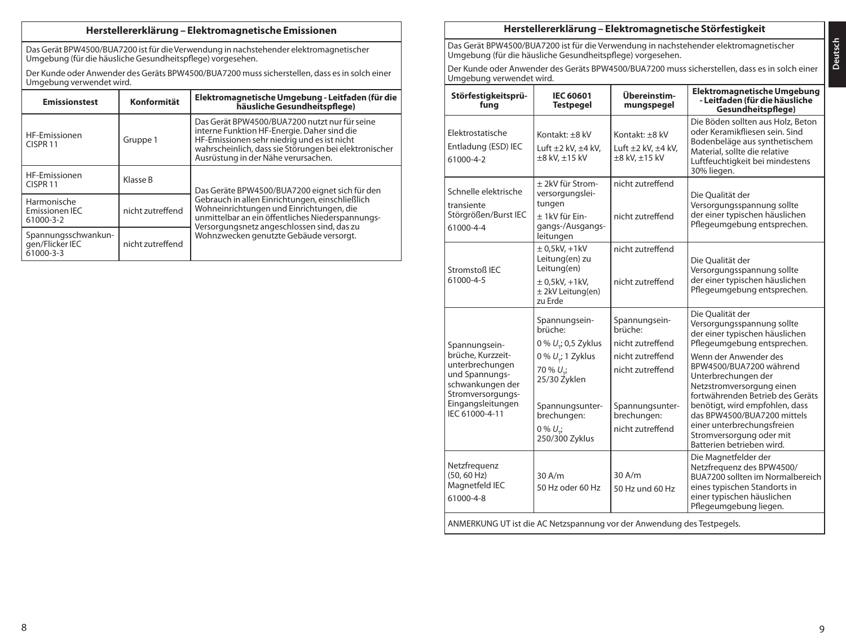# **Herstellererklärung – Elektromagnetische Emissionen**

Das Gerät BPW4500/BUA7200 ist für die Verwendung in nachstehender elektromagnetischer Umgebung (für die häusliche Gesundheitspflege) vorgesehen.

Der Kunde oder Anwender des Geräts BPW4500/BUA7200 muss sicherstellen, dass es in solch einer Umgebung verwendet wird.

| <b>Emissionstest</b>                                                    | Konformität | Elektromagnetische Umgebung - Leitfaden (für die<br>häusliche Gesundheitspflege)                                                                                                                                                            |  |
|-------------------------------------------------------------------------|-------------|---------------------------------------------------------------------------------------------------------------------------------------------------------------------------------------------------------------------------------------------|--|
| HF-Emissionen<br>CISPR <sub>11</sub>                                    | Gruppe 1    | Das Gerät BPW4500/BUA7200 nutzt nur für seine<br>interne Funktion HF-Energie. Daher sind die<br>HF-Emissionen sehr niedrig und es ist nicht<br>wahrscheinlich, dass sie Störungen bei elektronischer<br>Ausrüstung in der Nähe verursachen. |  |
| HF-Emissionen<br>CISPR <sub>11</sub>                                    | Klasse B    | Das Geräte BPW4500/BUA7200 eignet sich für den                                                                                                                                                                                              |  |
| Harmonische<br>nicht zutreffend<br>Emissionen IEC<br>61000-3-2          |             | Gebrauch in allen Einrichtungen, einschließlich<br>Wohneinrichtungen und Einrichtungen, die<br>unmittelbar an ein öffentliches Niederspannungs-                                                                                             |  |
| Spannungsschwankun-<br>gen/Flicker IEC<br>nicht zutreffend<br>61000-3-3 |             | Versorgungsnetz angeschlossen sind, das zu<br>Wohnzwecken genutzte Gebäude versorgt.                                                                                                                                                        |  |

# **Herstellererklärung – Elektromagnetische Störfestigkeit**

Das Gerät BPW4500/BUA7200 ist für die Verwendung in nachstehender elektromagnetischer Umgebung (für die häusliche Gesundheitspflege) vorgesehen.

Der Kunde oder Anwender des Geräts BPW4500/BUA7200 muss sicherstellen, dass es in solch einer Umgebung verwendet wird.

| Störfestigkeitsprü-<br>funa                                                                                                                             | IFC 60601<br><b>Testpegel</b>                                                                                                                                                             | Ühereinstim-<br>mungspegel                                                                                                                             | Elektromagnetische Umgebung<br>- Leitfaden (für die häusliche<br>Gesundheitspflege)                                                                                                                                                                                                                                                                                                                                 |  |  |
|---------------------------------------------------------------------------------------------------------------------------------------------------------|-------------------------------------------------------------------------------------------------------------------------------------------------------------------------------------------|--------------------------------------------------------------------------------------------------------------------------------------------------------|---------------------------------------------------------------------------------------------------------------------------------------------------------------------------------------------------------------------------------------------------------------------------------------------------------------------------------------------------------------------------------------------------------------------|--|--|
| Elektrostatische<br>Entladung (ESD) IEC<br>61000-4-2                                                                                                    | Kontakt: +8 kV<br>Luft $\pm 2$ kV, $\pm 4$ kV,<br>$\pm 8$ kV, $\pm 15$ kV                                                                                                                 | Kontakt: +8 kV<br>Luft $\pm 2$ kV, $\pm 4$ kV,<br>$\pm 8$ kV, $\pm 15$ kV                                                                              | Die Böden sollten aus Holz, Beton<br>oder Keramikfliesen sein. Sind<br>Bodenbeläge aus synthetischem<br>Material, sollte die relative<br>Luftfeuchtigkeit bei mindestens<br>30% liegen.                                                                                                                                                                                                                             |  |  |
| Schnelle elektrische<br>transiente<br>Störgrößen/Burst IEC<br>61000-4-4                                                                                 | + 2kV für Strom-<br>versorgungslei-<br>tungen<br>+ 1kV für Ein-<br>gangs-/Ausgangs-<br>leitungen                                                                                          | nicht zutreffend<br>nicht zutreffend                                                                                                                   | Die Qualität der<br>Versorgungsspannung sollte<br>der einer typischen häuslichen<br>Pflegeumgebung entsprechen.                                                                                                                                                                                                                                                                                                     |  |  |
| Stromstoß IEC<br>61000-4-5                                                                                                                              | $± 0.5$ kV $. +1$ kV<br>Leitung(en) zu<br>Leitung(en)<br>$\pm$ 0,5kV, +1kV,<br>± 2kV Leitung(en)<br>zu Erde                                                                               | nicht zutreffend<br>nicht zutreffend                                                                                                                   | Die Oualität der<br>Versorgungsspannung sollte<br>der einer typischen häuslichen<br>Pflegeumgebung entsprechen.                                                                                                                                                                                                                                                                                                     |  |  |
| Spannungsein-<br>brüche. Kurzzeit-<br>unterbrechungen<br>und Spannungs-<br>schwankungen der<br>Stromversorgungs-<br>Eingangsleitungen<br>IEC 61000-4-11 | Spannungsein-<br>hrüche <sup>.</sup><br>0 % U.; 0,5 Zyklus<br>0 % $U_{\nu}$ ; 1 Zyklus<br>70 % U.:<br>25/30 Zyklen<br>Spannungsunter-<br>brechungen:<br>$0\% U_{\star}$<br>250/300 Zyklus | Spannungsein-<br>hrüche <sup>.</sup><br>nicht zutreffend<br>nicht zutreffend<br>nicht zutreffend<br>Spannungsunter-<br>brechungen:<br>nicht zutreffend | Die Qualität der<br>Versorgungsspannung sollte<br>der einer typischen häuslichen<br>Pflegeumgebung entsprechen.<br>Wenn der Anwender des<br>BPW4500/BUA7200 während<br>Unterbrechungen der<br>Netzstromversorgung einen<br>fortwährenden Betrieb des Geräts<br>benötigt, wird empfohlen, dass<br>das BPW4500/BUA7200 mittels<br>einer unterbrechungsfreien<br>Stromversorgung oder mit<br>Batterien betrieben wird. |  |  |
| Netzfrequenz<br>$(50, 60 \text{ Hz})$<br>Magnetfeld IEC<br>61000-4-8                                                                                    | 30A/m<br>50 Hz oder 60 Hz                                                                                                                                                                 | 30 A/m<br>50 Hz und 60 Hz                                                                                                                              | Die Magnetfelder der<br>Netzfrequenz des BPW4500/<br>BUA7200 sollten im Normalbereich<br>eines typischen Standorts in<br>einer typischen häuslichen<br>Pflegeumgebung liegen.                                                                                                                                                                                                                                       |  |  |
| ANMERKUNG UT ist die AC Netzspannung vor der Anwendung des Testpegels.                                                                                  |                                                                                                                                                                                           |                                                                                                                                                        |                                                                                                                                                                                                                                                                                                                                                                                                                     |  |  |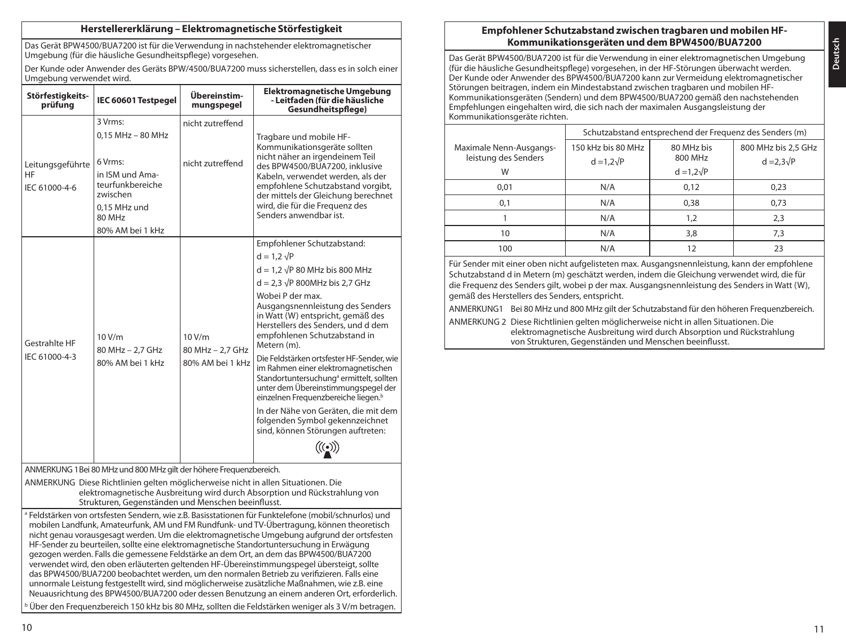### **Herstellererklärung – Elektromagnetische Störfestigkeit**

Das Gerät BPW4500/BUA7200 ist für die Verwendung in nachstehender elektromagnetischer Umgebung (für die häusliche Gesundheitspflege) vorgesehen.

Der Kunde oder Anwender des Geräts BPW/4500/BUA7200 muss sicherstellen, dass es in solch einer Umgebung verwendet wird.

| Störfestigkeits-<br>prüfung                                                                                                                                                                                                                                                                                                                                                                                | IEC 60601 Testpegel                                                                                                                        | Übereinstim-<br>mungspegel                     | Elektromagnetische Umgebung<br>- Leitfaden (für die häusliche<br>Gesundheitspflege)                                                                                                                                                                                                                                                                                                                                                                                                                                                                                                                                                                                        |  |  |
|------------------------------------------------------------------------------------------------------------------------------------------------------------------------------------------------------------------------------------------------------------------------------------------------------------------------------------------------------------------------------------------------------------|--------------------------------------------------------------------------------------------------------------------------------------------|------------------------------------------------|----------------------------------------------------------------------------------------------------------------------------------------------------------------------------------------------------------------------------------------------------------------------------------------------------------------------------------------------------------------------------------------------------------------------------------------------------------------------------------------------------------------------------------------------------------------------------------------------------------------------------------------------------------------------------|--|--|
| Leitungsgeführte<br>HF<br>IEC 61000-4-6                                                                                                                                                                                                                                                                                                                                                                    | 3 Vrms:<br>$0.15$ MHz - 80 MHz<br>6 Vrms:<br>in ISM und Ama-<br>teurfunkbereiche<br>zwischen<br>0.15 MHz und<br>80 MHz<br>80% AM bei 1 kHz | nicht zutreffend<br>nicht zutreffend           | Tragbare und mobile HF-<br>Kommunikationsgeräte sollten<br>nicht näher an irgendeinem Teil<br>des BPW4500/BUA7200, inklusive<br>Kabeln, verwendet werden, als der<br>empfohlene Schutzabstand vorgibt,<br>der mittels der Gleichung berechnet<br>wird, die für die Frequenz des<br>Senders anwendbar ist.                                                                                                                                                                                                                                                                                                                                                                  |  |  |
| 10V/m<br>Gestrahlte HF<br>80 MHz - 2.7 GHz<br>IEC 61000-4-3<br>80% AM bei 1 kHz                                                                                                                                                                                                                                                                                                                            |                                                                                                                                            | 10 V/m<br>80 MHz - 2.7 GHz<br>80% AM bei 1 kHz | Empfohlener Schutzabstand:<br>$d = 1.2 \sqrt{P}$<br>$d = 1.2 \sqrt{P}$ 80 MHz bis 800 MHz<br>$d = 2.3 \sqrt{P}$ 800MHz bis 2.7 GHz<br>Wobei P der max.<br>Ausgangsnennleistung des Senders<br>in Watt (W) entspricht, gemäß des<br>Herstellers des Senders, und d dem<br>empfohlenen Schutzabstand in<br>Metern (m).<br>Die Feldstärken ortsfester HF-Sender, wie<br>im Rahmen einer elektromagnetischen<br>Standortuntersuchung <sup>ª</sup> ermittelt, sollten<br>unter dem Übereinstimmungspegel der<br>einzelnen Frequenzbereiche liegen. <sup>b</sup><br>In der Nähe von Geräten, die mit dem<br>folgenden Symbol gekennzeichnet<br>sind, können Störungen auftreten: |  |  |
| ANMERKUNG 1 Bei 80 MHz und 800 MHz gilt der höhere Frequenzbereich.<br>ANMERKUNG Diese Richtlinien gelten möglicherweise nicht in allen Situationen. Die<br>elektromagnetische Ausbreitung wird durch Absorption und Rückstrahlung von<br>Strukturen, Gegenständen und Menschen beeinflusst.<br>$\alpha$ Enldetärken von orteforten Sandorn wie z.P. Paciestationen für Eunktolofene (mobil/schnurles) und |                                                                                                                                            |                                                |                                                                                                                                                                                                                                                                                                                                                                                                                                                                                                                                                                                                                                                                            |  |  |

<sup>a</sup> Feldstärken von ortsfesten Sendern, wie z.B. Basisstationen für Funktelefone (mobil/schnurlos) und mobilen Landfunk, Amateurfunk, AM und FM Rundfunk- und TV-Übertragung, können theoretisch nicht genau vorausgesagt werden. Um die elektromagnetische Umgebung aufgrund der ortsfesten HF-Sender zu beurteilen, sollte eine elektromagnetische Standortuntersuchung in Erwägung gezogen werden. Falls die gemessene Feldstärke an dem Ort, an dem das BPW4500/BUA7200 verwendet wird, den oben erläuterten geltenden HF-Übereinstimmungspegel übersteigt, sollte das BPW4500/BUA7200 beobachtet werden, um den normalen Betrieb zu verifizieren. Falls eine unnormale Leistung festgestellt wird, sind möglicherweise zusätzliche Maßnahmen, wie z.B. eine Neuausrichtung des BPW4500/BUA7200 oder dessen Benutzung an einem anderen Ort, erforderlich. <sup>b</sup> Über den Frequenzbereich 150 kHz bis 80 MHz, sollten die Feldstärken weniger als 3 V/m betragen.

# **Empfohlener Schutzabstand zwischen tragbaren und mobilen HF-Kommunikationsgeräten und dem BPW4500/BUA7200**

Das Gerät BPW4500/BUA7200 ist für die Verwendung in einer elektromagnetischen Umgebung (für die häusliche Gesundheitspflege) vorgesehen, in der HF-Störungen überwacht werden. Der Kunde oder Anwender des BPW4500/BUA7200 kann zur Vermeidung elektromagnetischer Störungen beitragen, indem ein Mindestabstand zwischen tragbaren und mobilen HF-Kommunikationsgeräten (Sendern) und dem BPW4500/BUA7200 gemäß den nachstehenden Empfehlungen eingehalten wird, die sich nach der maximalen Ausgangsleistung der Kommunikationsgeräte richten.

|                                                      | Schutzabstand entsprechend der Frequenz des Senders (m) |                                            |                                          |  |
|------------------------------------------------------|---------------------------------------------------------|--------------------------------------------|------------------------------------------|--|
| Maximale Nenn-Ausgangs-<br>leistung des Senders<br>W | 150 kHz bis 80 MHz<br>$d = 1.2\sqrt{P}$                 | 80 MHz bis<br>800 MHz<br>$d = 1,2\sqrt{P}$ | 800 MHz bis 2.5 GHz<br>$d = 2.3\sqrt{P}$ |  |
| 0.01                                                 | N/A                                                     | 0.12                                       | 0,23                                     |  |
| 0,1                                                  | N/A                                                     | 0.38                                       | 0.73                                     |  |
|                                                      | N/A                                                     | 1,2                                        | 2,3                                      |  |
| 10                                                   | N/A                                                     | 3,8                                        | 7,3                                      |  |
| 100                                                  | N/A                                                     | 12                                         | 23                                       |  |

Für Sender mit einer oben nicht aufgelisteten max. Ausgangsnennleistung, kann der empfohlene Schutzabstand d in Metern (m) geschätzt werden, indem die Gleichung verwendet wird, die für die Frequenz des Senders gilt, wobei p der max. Ausgangsnennleistung des Senders in Watt (W), gemäß des Herstellers des Senders, entspricht.

ANMERKUNG1 Bei 80 MHz und 800 MHz gilt der Schutzabstand für den höheren Frequenzbereich.

ANMERKUNG 2 Diese Richtlinien gelten möglicherweise nicht in allen Situationen. Die elektromagnetische Ausbreitung wird durch Absorption und Rückstrahlung von Strukturen, Gegenständen und Menschen beeinflusst.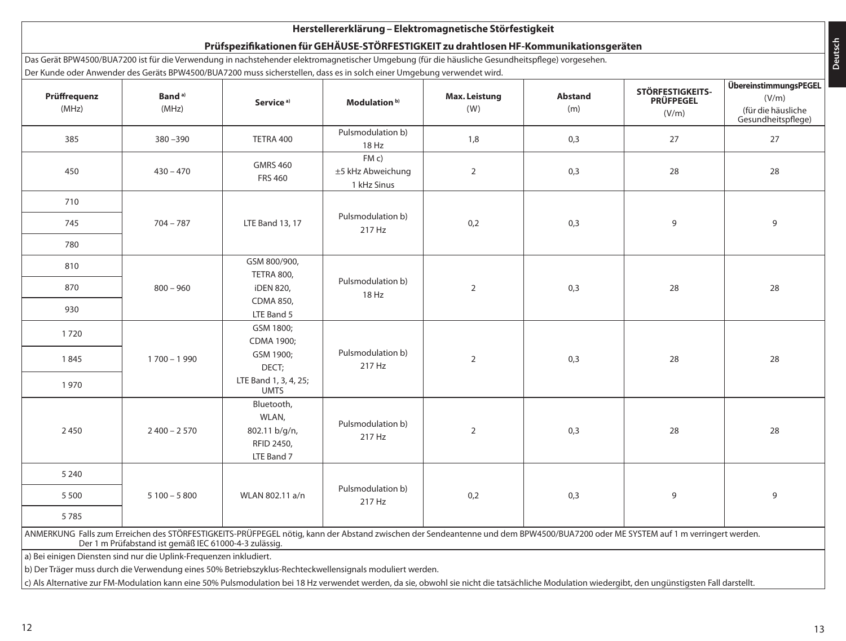# **Herstellererklärung – Elektromagnetische Störfestigkeit**

# **Prüfspezifikationen für GEHÄUSE-STÖRFESTIGKEIT zu drahtlosen HF-Kommunikationsgeräten**

Das Gerät BPW4500/BUA7200 ist für die Verwendung in nachstehender elektromagnetischer Umgebung (für die häusliche Gesundheitspflege) vorgesehen. Der Kunde oder Anwender des Geräts BPW4500/BUA7200 muss sicherstellen, dass es in solch einer Umgebung verwendet wird.

| Prüffrequenz<br>(MHz)                                                                                                                                                                                                                                                                                        | Band <sup>a)</sup><br>(MHz)                                        | Service <sup>a)</sup>                                            | Modulation <sup>b)</sup>                  | Max. Leistung<br>(W) | <b>Abstand</b><br>(m) | STÖRFESTIGKEITS-<br><b>PRÜFPEGEL</b><br>(V/m) | ÜbereinstimmungsPEGEL<br>(V/m)<br>(für die häusliche<br>Gesundheitspflege) |
|--------------------------------------------------------------------------------------------------------------------------------------------------------------------------------------------------------------------------------------------------------------------------------------------------------------|--------------------------------------------------------------------|------------------------------------------------------------------|-------------------------------------------|----------------------|-----------------------|-----------------------------------------------|----------------------------------------------------------------------------|
| 385                                                                                                                                                                                                                                                                                                          | $380 - 390$                                                        | TETRA 400                                                        | Pulsmodulation b)<br>18 Hz                | 1,8                  | 0,3                   | 27                                            | 27                                                                         |
| 450                                                                                                                                                                                                                                                                                                          | $430 - 470$                                                        | <b>GMRS 460</b><br><b>FRS 460</b>                                | FM c)<br>±5 kHz Abweichung<br>1 kHz Sinus | $\overline{2}$       | 0,3                   | 28                                            | 28                                                                         |
| 710                                                                                                                                                                                                                                                                                                          |                                                                    |                                                                  |                                           |                      |                       |                                               |                                                                            |
| 745                                                                                                                                                                                                                                                                                                          | $704 - 787$                                                        | <b>LTE Band 13, 17</b>                                           | Pulsmodulation b)<br>217 Hz               | 0,2                  | 0,3                   | 9                                             | 9                                                                          |
| 780                                                                                                                                                                                                                                                                                                          |                                                                    |                                                                  |                                           |                      |                       |                                               |                                                                            |
| 810                                                                                                                                                                                                                                                                                                          |                                                                    | GSM 800/900,<br>TETRA 800,                                       |                                           |                      |                       |                                               |                                                                            |
| 870                                                                                                                                                                                                                                                                                                          | $800 - 960$                                                        | <b>iDEN 820,</b>                                                 | Pulsmodulation b)<br>18 Hz                | $\sqrt{2}$           | 0,3                   | 28                                            | 28                                                                         |
| 930                                                                                                                                                                                                                                                                                                          |                                                                    | CDMA 850,<br>LTE Band 5                                          |                                           |                      |                       |                                               |                                                                            |
| 1720                                                                                                                                                                                                                                                                                                         |                                                                    | GSM 1800;<br>CDMA 1900;                                          |                                           |                      |                       |                                               |                                                                            |
| 1845                                                                                                                                                                                                                                                                                                         | $1700 - 1990$                                                      | GSM 1900;<br>DECT;                                               | Pulsmodulation b)<br>217 Hz               | $\mathbf 2$          | 0,3                   | 28                                            | 28                                                                         |
| 1970                                                                                                                                                                                                                                                                                                         |                                                                    | LTE Band 1, 3, 4, 25;<br><b>UMTS</b>                             |                                           |                      |                       |                                               |                                                                            |
| 2450                                                                                                                                                                                                                                                                                                         | $2400 - 2570$                                                      | Bluetooth,<br>WLAN,<br>802.11 b/g/n,<br>RFID 2450,<br>LTE Band 7 | Pulsmodulation b)<br>217 Hz               | $\overline{2}$       | 0,3                   | 28                                            | 28                                                                         |
| 5 2 4 0                                                                                                                                                                                                                                                                                                      |                                                                    |                                                                  |                                           |                      |                       |                                               |                                                                            |
| 5500                                                                                                                                                                                                                                                                                                         | $5100 - 5800$                                                      | WLAN 802.11 a/n                                                  | Pulsmodulation b)<br>217 Hz               | 0,2                  | 0,3                   | 9                                             | 9                                                                          |
| 5785                                                                                                                                                                                                                                                                                                         |                                                                    |                                                                  |                                           |                      |                       |                                               |                                                                            |
| ANMERKUNG Falls zum Erreichen des STÖRFESTIGKEITS-PRÜFPEGEL nötig, kann der Abstand zwischen der Sendeantenne und dem BPW4500/BUA7200 oder ME SYSTEM auf 1 m verringert werden.<br>Der 1 m Prüfabstand ist gemäß IEC 61000-4-3 zulässig.                                                                     |                                                                    |                                                                  |                                           |                      |                       |                                               |                                                                            |
|                                                                                                                                                                                                                                                                                                              | a) Bei einigen Diensten sind nur die Uplink-Frequenzen inkludiert. |                                                                  |                                           |                      |                       |                                               |                                                                            |
| b) Der Träger muss durch die Verwendung eines 50% Betriebszyklus-Rechteckwellensignals moduliert werden.<br>c) Als Alternative zur FM-Modulation kann eine 50% Pulsmodulation bei 18 Hz verwendet werden, da sie, obwohl sie nicht die tatsächliche Modulation wiedergibt, den ungünstigsten Fall darstellt. |                                                                    |                                                                  |                                           |                      |                       |                                               |                                                                            |

**Deutsch**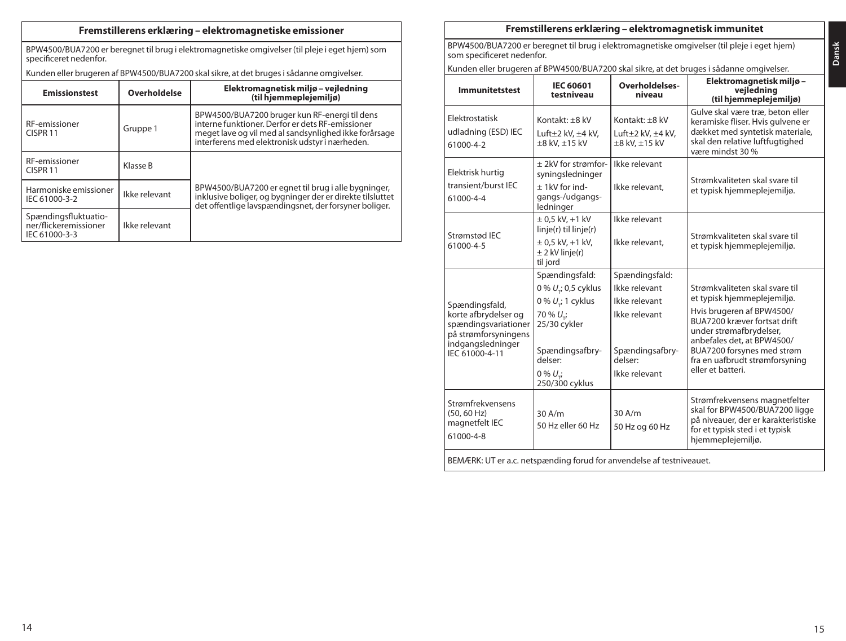# **Fremstillerens erklæring – elektromagnetiske emissioner**

BPW4500/BUA7200 er beregnet til brug i elektromagnetiske omgivelser (til pleje i eget hjem) som specificeret nedenfor.

Kunden eller brugeren af BPW4500/BUA7200 skal sikre, at det bruges i sådanne omgivelser.

| <b>Emissionstest</b>                                           | Overholdelse  | Elektromagnetisk miljø – vejledning<br>(til hjemmeplejemiljø)                                                                                                                                                |  |
|----------------------------------------------------------------|---------------|--------------------------------------------------------------------------------------------------------------------------------------------------------------------------------------------------------------|--|
| RF-emissioner<br>CISPR <sub>11</sub>                           | Gruppe 1      | BPW4500/BUA7200 bruger kun RF-energi til dens<br>interne funktioner. Derfor er dets RF-emissioner<br>meget lave og vil med al sandsynlighed ikke forårsage<br>interferens med elektronisk udstyr i nærheden. |  |
| RF-emissioner<br>CISPR <sub>11</sub>                           | Klasse B      |                                                                                                                                                                                                              |  |
| Harmoniske emissioner<br>Ikke relevant<br>IEC 61000-3-2        |               | BPW4500/BUA7200 er egnet til brug i alle bygninger,<br>inklusive boliger, og bygninger der er direkte tilsluttet<br>det offentlige lavspændingsnet, der forsyner boliger.                                    |  |
| Spændingsfluktuatio-<br>ner/flickeremissioner<br>IEC 61000-3-3 | Ikke relevant |                                                                                                                                                                                                              |  |

# **Fremstillerens erklæring – elektromagnetisk immunitet**

BPW4500/BUA7200 er beregnet til brug i elektromagnetiske omgivelser (til pleje i eget hjem) som specificeret nedenfor.

Kunden eller brugeren af BPW4500/BUA7200 skal sikre, at det bruges i sådanne omgivelser.

| <b>Immunitetstest</b>                                                                                                         | <b>IEC 60601</b><br>testniveau                                                                                                                                                       | Overholdelses-<br>niveau                                                                                         | Elektromagnetisk miljø-<br>vejledning<br>(til hjemmeplejemiljø)                                                                                                                                                                                                         |  |
|-------------------------------------------------------------------------------------------------------------------------------|--------------------------------------------------------------------------------------------------------------------------------------------------------------------------------------|------------------------------------------------------------------------------------------------------------------|-------------------------------------------------------------------------------------------------------------------------------------------------------------------------------------------------------------------------------------------------------------------------|--|
| Elektrostatisk<br>udladning (ESD) IEC<br>61000-4-2                                                                            | Kontakt: +8 kV<br>Luft $\pm 2$ kV, $\pm 4$ kV,<br>±8 kV, ±15 kV                                                                                                                      | Kontakt: +8 kV<br>Luft $\pm 2$ kV, $\pm 4$ kV,<br>±8 kV, ±15 kV                                                  | Gulve skal være træ, beton eller<br>keramiske fliser. Hvis gulvene er<br>dækket med syntetisk materiale,<br>skal den relative luftfugtighed<br>være mindst 30 %                                                                                                         |  |
| Elektrisk hurtig<br>transient/burst IEC<br>61000-4-4                                                                          | + 2kV for strømfor-<br>syningsledninger<br>$+1$ kV for ind-<br>qangs-/udgangs-<br>ledninger                                                                                          | Ikke relevant<br>Ikke relevant.                                                                                  | Strømkvaliteten skal svare til<br>et typisk hjemmeplejemiljø.                                                                                                                                                                                                           |  |
| Strømstød IEC<br>61000-4-5                                                                                                    | $± 0.5$ kV, $+1$ kV<br>linje(r) til linje(r)<br>$\pm$ 0,5 kV, +1 kV,<br>$\pm$ 2 kV linje(r)<br>til jord                                                                              | Ikke relevant<br>Ikke relevant.                                                                                  | Strømkvaliteten skal svare til<br>et typisk hjemmeplejemiljø.                                                                                                                                                                                                           |  |
| Spændingsfald,<br>korte afbrydelser og<br>spændingsvariationer<br>på strømforsyningens<br>indgangsledninger<br>IFC 61000-4-11 | Spændingsfald:<br>0 % U <sub>r</sub> ; 0,5 cyklus<br>$0\% U$ ; 1 cyklus<br>70 % U <sub>-i</sub><br>25/30 cykler<br>Spændingsafbry-<br>delser:<br>$0\% U_{\star i}$<br>250/300 cyklus | Spændingsfald:<br>Ikke relevant<br>Ikke relevant<br>Ikke relevant<br>Spændingsafbry-<br>delser:<br>Ikke relevant | Strømkvaliteten skal svare til<br>et typisk hjemmeplejemiljø.<br>Hvis brugeren af BPW4500/<br>BUA7200 kræver fortsat drift<br>under strømafbrydelser,<br>anbefales det, at BPW4500/<br>BUA7200 forsynes med strøm<br>fra en uafbrudt strømforsyning<br>eller et hatteri |  |
| Strømfrekvensens<br>(50.60 Hz)<br>magnetfelt IEC<br>61000-4-8                                                                 | 30A/m<br>50 Hz eller 60 Hz                                                                                                                                                           | $30$ A/m<br>50 Hz og 60 Hz                                                                                       | Strømfrekvensens magnetfelter<br>skal for BPW4500/BUA7200 ligge<br>på niveauer, der er karakteristiske<br>for et typisk sted i et typisk<br>hjemmeplejemiljø.                                                                                                           |  |
| BEMÆRK: UT er a.c. netspænding forud for anvendelse af testniveauet.                                                          |                                                                                                                                                                                      |                                                                                                                  |                                                                                                                                                                                                                                                                         |  |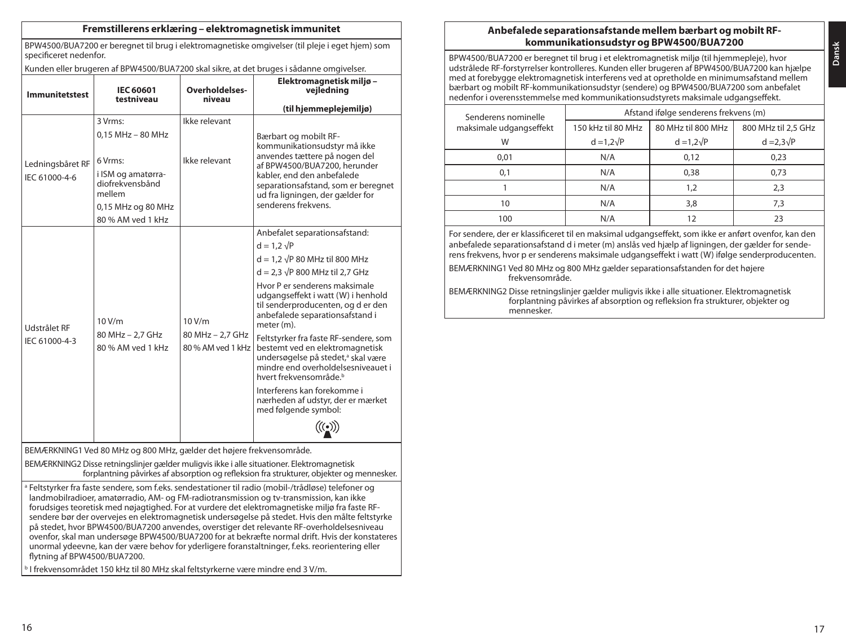### **Fremstillerens erklæring – elektromagnetisk immunitet**

BPW4500/BUA7200 er beregnet til brug i elektromagnetiske omgivelser (til pleje i eget hjem) som specificeret nedenfor.

Kunden eller brugeren af BPW4500/BUA7200 skal sikre, at det bruges i sådanne omgivelser.

| <b>Immunitetstest</b>                                                                                                                                                                                                                                                                                                                                                                                                                                                                                                                                                                                                                                                                                                                            | <b>IEC 60601</b><br>testniveau                                                                        | Overholdelses-<br>niveau                        | Elektromagnetisk miljø-<br>vejledning<br>(til hjemmeplejemiljø)                                                                                                                                                                                                                                                                                                                                                                                                                                                                                                                                |  |  |
|--------------------------------------------------------------------------------------------------------------------------------------------------------------------------------------------------------------------------------------------------------------------------------------------------------------------------------------------------------------------------------------------------------------------------------------------------------------------------------------------------------------------------------------------------------------------------------------------------------------------------------------------------------------------------------------------------------------------------------------------------|-------------------------------------------------------------------------------------------------------|-------------------------------------------------|------------------------------------------------------------------------------------------------------------------------------------------------------------------------------------------------------------------------------------------------------------------------------------------------------------------------------------------------------------------------------------------------------------------------------------------------------------------------------------------------------------------------------------------------------------------------------------------------|--|--|
|                                                                                                                                                                                                                                                                                                                                                                                                                                                                                                                                                                                                                                                                                                                                                  | 3 Vrms:                                                                                               | Ikke relevant                                   |                                                                                                                                                                                                                                                                                                                                                                                                                                                                                                                                                                                                |  |  |
| Ledningsbåret RF<br>IEC 61000-4-6                                                                                                                                                                                                                                                                                                                                                                                                                                                                                                                                                                                                                                                                                                                | 0.15 MHz - 80 MHz<br>6 Vrms:<br>i ISM og amatørra-<br>diofrekvensbånd<br>mellem<br>0,15 MHz og 80 MHz | Ikke relevant                                   | Bærbart og mobilt RF-<br>kommunikationsudstyr må ikke<br>anvendes tættere på nogen del<br>af BPW4500/BUA7200, herunder<br>kabler, end den anbefalede<br>separationsafstand, som er beregnet<br>ud fra ligningen, der gælder for<br>senderens frekvens.                                                                                                                                                                                                                                                                                                                                         |  |  |
|                                                                                                                                                                                                                                                                                                                                                                                                                                                                                                                                                                                                                                                                                                                                                  | 80 % AM ved 1 kHz                                                                                     |                                                 |                                                                                                                                                                                                                                                                                                                                                                                                                                                                                                                                                                                                |  |  |
| Udstrålet RF<br>IEC 61000-4-3                                                                                                                                                                                                                                                                                                                                                                                                                                                                                                                                                                                                                                                                                                                    | 10V/m<br>80 MHz - 2.7 GHz<br>80 % AM ved 1 kHz                                                        | 10 V/m<br>80 MHz - 2,7 GHz<br>80 % AM yed 1 kHz | Anbefalet separationsafstand:<br>$d = 1.2 \sqrt{P}$<br>$d = 1.2 \sqrt{P} 80$ MHz til 800 MHz<br>$d = 2.3 \sqrt{P} 800$ MHz til 2.7 GHz<br>Hvor P er senderens maksimale<br>udgangseffekt i watt (W) i henhold<br>til senderproducenten, og d er den<br>anbefalede separationsafstand i<br>meter (m).<br>Feltstyrker fra faste RF-sendere, som<br>bestemt ved en elektromagnetisk<br>undersøgelse på stedet, <sup>a</sup> skal være<br>mindre end overholdelsesniveauet i<br>hvert frekvensområde b<br>Interferens kan forekomme i<br>nærheden af udstyr, der er mærket<br>med følgende symbol: |  |  |
| BEMÆRKNING1 Ved 80 MHz og 800 MHz, gælder det højere frekvensområde.                                                                                                                                                                                                                                                                                                                                                                                                                                                                                                                                                                                                                                                                             |                                                                                                       |                                                 |                                                                                                                                                                                                                                                                                                                                                                                                                                                                                                                                                                                                |  |  |
| BEMÆRKNING2 Disse retningslinjer gælder muligvis ikke i alle situationer. Elektromagnetisk<br>forplantning påvirkes af absorption og refleksion fra strukturer, objekter og mennesker.                                                                                                                                                                                                                                                                                                                                                                                                                                                                                                                                                           |                                                                                                       |                                                 |                                                                                                                                                                                                                                                                                                                                                                                                                                                                                                                                                                                                |  |  |
| <sup>a</sup> Feltstyrker fra faste sendere, som f.eks. sendestationer til radio (mobil-/trådløse) telefoner og<br>landmobilradioer, amatørradio, AM- og FM-radiotransmission og tv-transmission, kan ikke<br>forudsiges teoretisk med nøjagtighed. For at vurdere det elektromagnetiske miljø fra faste RF-<br>sendere bør der overvejes en elektromagnetisk undersøgelse på stedet. Hvis den målte feltstyrke<br>på stedet, hvor BPW4500/BUA7200 anvendes, overstiger det relevante RF-overholdelsesniveau<br>ovenfor, skal man undersøge BPW4500/BUA7200 for at bekræfte normal drift. Hvis der konstateres<br>unormal ydeevne, kan der være behov for yderligere foranstaltninger, f.eks. reorientering eller<br>flytning af BPW4500/BUA7200. |                                                                                                       |                                                 |                                                                                                                                                                                                                                                                                                                                                                                                                                                                                                                                                                                                |  |  |

<sup>b</sup> I frekvensområdet 150 kHz til 80 MHz skal feltstyrkerne være mindre end 3 V/m.

# **Anbefalede separationsafstande mellem bærbart og mobilt RFkommunikationsudstyr og BPW4500/BUA7200**

BPW4500/BUA7200 er beregnet til brug i et elektromagnetisk miljø (til hjemmepleje), hvor udstrålede RF-forstyrrelser kontrolleres. Kunden eller brugeren af BPW4500/BUA7200 kan hjælpe med at forebygge elektromagnetisk interferens ved at opretholde en minimumsafstand mellem bærbart og mobilt RF-kommunikationsudstyr (sendere) og BPW4500/BUA7200 som anbefalet nedenfor i overensstemmelse med kommunikationsudstyrets maksimale udgangseffekt.

| Senderens nominelle     | Afstand ifølge senderens frekvens (m) |                    |                     |  |  |
|-------------------------|---------------------------------------|--------------------|---------------------|--|--|
| maksimale udgangseffekt | 150 kHz til 80 MHz                    | 80 MHz til 800 MHz | 800 MHz til 2.5 GHz |  |  |
| W                       | $d = 1.2\sqrt{P}$                     | $d = 1.2\sqrt{P}$  | $d = 2.3\sqrt{P}$   |  |  |
| 0,01                    | N/A                                   | 0,12               | 0,23                |  |  |
| 0,1                     | N/A                                   | 0.38               | 0,73                |  |  |
|                         | N/A                                   | 1.2                | 2,3                 |  |  |
| 10                      | N/A                                   | 3,8                | 7,3                 |  |  |
| 100                     | N/A                                   |                    | 23                  |  |  |

For sendere, der er klassificeret til en maksimal udgangseffekt, som ikke er anført ovenfor, kan den anbefalede separationsafstand d i meter (m) anslås ved hjælp af ligningen, der gælder for senderens frekvens, hvor p er senderens maksimale udgangseffekt i watt (W) ifølge senderproducenten.

BEMÆRKNING1 Ved 80 MHz og 800 MHz gælder separationsafstanden for det højere frekvensområde.

BEMÆRKNING2 Disse retningslinjer gælder muligvis ikke i alle situationer. Elektromagnetisk forplantning påvirkes af absorption og refleksion fra strukturer, objekter og mennesker.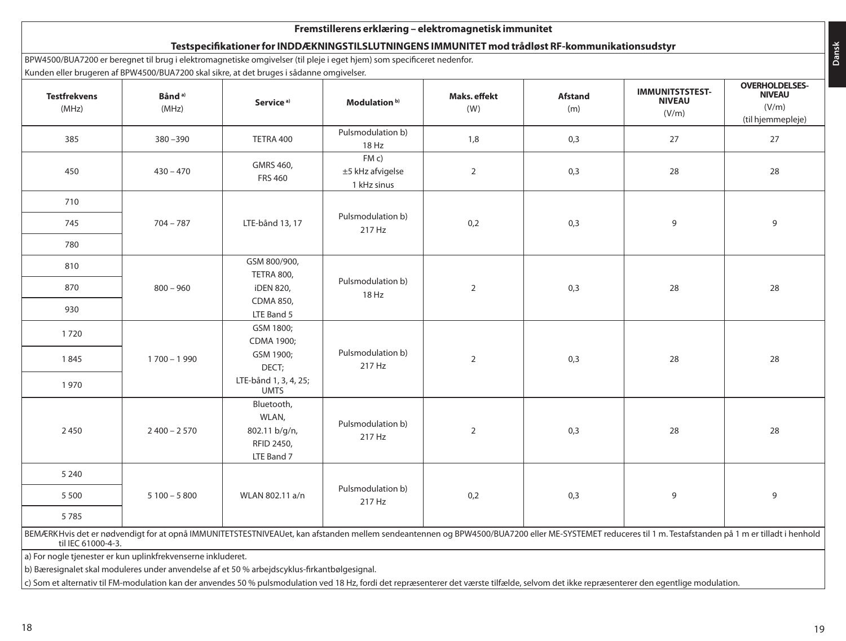| <b>Testfrekvens</b><br>(MHz) | Bånd <sup>a)</sup><br>(MHz) | Kunden eller brugeren af BPW4500/BUA7200 skal sikre, at det bruges i sådanne omgivelser.<br>Service <sup>a)</sup> | Modulation <sup>b)</sup>                 | Maks. effekt<br>(W) | <b>Afstand</b><br>(m) | <b>IMMUNITSTSTEST-</b><br><b>NIVEAU</b><br>(V/m) | <b>OVERHOLDELSES-</b><br><b>NIVEAU</b><br>(V/m)<br>(til hjemmepleje) |    |
|------------------------------|-----------------------------|-------------------------------------------------------------------------------------------------------------------|------------------------------------------|---------------------|-----------------------|--------------------------------------------------|----------------------------------------------------------------------|----|
| 385                          | $380 - 390$                 | TETRA 400                                                                                                         | Pulsmodulation b)<br>18 Hz               | 1,8                 | 0,3                   | 27                                               | 27                                                                   |    |
| 450                          | $430 - 470$                 | GMRS 460,<br><b>FRS 460</b>                                                                                       | FM c)<br>±5 kHz afvigelse<br>1 kHz sinus | $\overline{2}$      | 0,3                   | 28                                               | 28                                                                   |    |
| 710                          |                             |                                                                                                                   |                                          |                     |                       |                                                  |                                                                      |    |
| 745                          | $704 - 787$                 | LTE-bånd 13, 17                                                                                                   | Pulsmodulation b)<br>217 Hz              | 0,2                 | 0,3                   | 9                                                | 9                                                                    |    |
| 780                          |                             |                                                                                                                   |                                          |                     |                       |                                                  |                                                                      |    |
| 810                          |                             | GSM 800/900,                                                                                                      |                                          |                     |                       |                                                  |                                                                      |    |
| 870                          | $800 - 960$                 | TETRA 800,<br>iDEN 820,                                                                                           | Pulsmodulation b)                        | 18 Hz               | $\overline{2}$        | 0,3                                              | 28                                                                   | 28 |
| 930                          |                             | CDMA 850,<br>LTE Band 5                                                                                           |                                          |                     |                       |                                                  |                                                                      |    |
| 1720                         |                             | GSM 1800:<br>CDMA 1900;                                                                                           |                                          |                     |                       |                                                  |                                                                      |    |
| 1845                         | $1700 - 1990$               | GSM 1900;<br>DECT;                                                                                                | Pulsmodulation b)<br>217 Hz              | $\overline{2}$      | 0,3                   | 28                                               | 28                                                                   |    |
| 1970                         |                             | LTE-bånd 1, 3, 4, 25;<br><b>UMTS</b>                                                                              |                                          |                     |                       |                                                  |                                                                      |    |
| 2450                         | $2400 - 2570$               | Bluetooth,<br>WLAN,<br>802.11 b/g/n,<br>RFID 2450,<br>LTE Band 7                                                  | Pulsmodulation b)<br>217 Hz              | $\overline{2}$      | 0,3                   | 28                                               | 28                                                                   |    |
| 5 2 4 0                      |                             |                                                                                                                   |                                          |                     |                       |                                                  |                                                                      |    |
| 5 5 0 0                      | $5100 - 5800$               | WLAN 802.11 a/n                                                                                                   | Pulsmodulation b)<br>217 Hz              | 0,2                 | 0,3                   | 9                                                | 9                                                                    |    |
| 5785                         |                             |                                                                                                                   |                                          |                     |                       |                                                  |                                                                      |    |

c) Som et alternativ til FM-modulation kan der anvendes 50 % pulsmodulation ved 18 Hz, fordi det repræsenterer det værste tilfælde, selvom det ikke repræsenterer den egentlige modulation.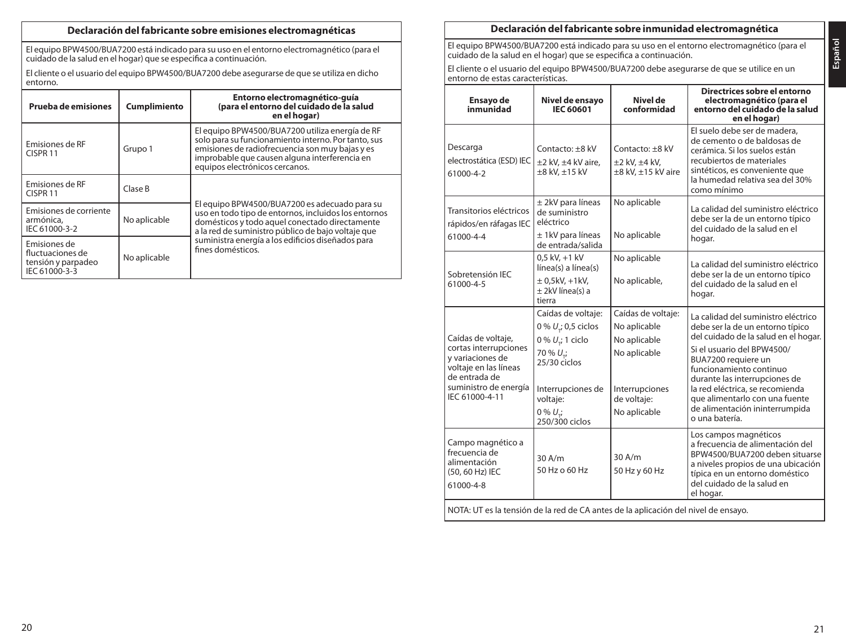# **Declaración del fabricante sobre emisiones electromagnéticas**

El equipo BPW4500/BUA7200 está indicado para su uso en el entorno electromagnético (para el cuidado de la salud en el hogar) que se especifica a continuación.

El cliente o el usuario del equipo BPW4500/BUA7200 debe asegurarse de que se utiliza en dicho entorno.

| Prueba de emisiones                                                     | Cumplimiento | Entorno electromagnético-quía<br>(para el entorno del cuidado de la salud<br>en el hogar)                                                                                                                                                    |
|-------------------------------------------------------------------------|--------------|----------------------------------------------------------------------------------------------------------------------------------------------------------------------------------------------------------------------------------------------|
| Emisiones de RF<br>CISPR <sub>11</sub>                                  | Grupo 1      | El equipo BPW4500/BUA7200 utiliza energía de RF<br>solo para su funcionamiento interno. Por tanto, sus<br>emisiones de radiofrecuencia son muy bajas y es<br>improbable que causen alguna interferencia en<br>equipos electrónicos cercanos. |
| Emisiones de RF<br>CISPR <sub>11</sub>                                  | Clase B      |                                                                                                                                                                                                                                              |
| Emisiones de corriente<br>armónica.<br>IEC 61000-3-2                    | No aplicable | El equipo BPW4500/BUA7200 es adecuado para su<br>uso en todo tipo de entornos, incluidos los entornos<br>domésticos y todo aquel conectado directamente<br>a la red de suministro público de bajo voltaje que                                |
| Emisiones de<br>fluctuaciones de<br>tensión y parpadeo<br>IEC 61000-3-3 | No aplicable | suministra energía a los edificios diseñados para<br>fines domésticos.                                                                                                                                                                       |

# **Declaración del fabricante sobre inmunidad electromagnética**

El equipo BPW4500/BUA7200 está indicado para su uso en el entorno electromagnético (para el cuidado de la salud en el hogar) que se especifica a continuación.

El cliente o el usuario del equipo BPW4500/BUA7200 debe asegurarse de que se utilice en un entorno de estas características.

| Ensayo de<br>inmunidad                                                                                                                               | Nivel de ensavo<br>IEC 60601                                                                                                                                                                      | Nivel de<br>conformidad                                                                                             | Directrices sobre el entorno<br>electromagnético (para el<br>entorno del cuidado de la salud<br>en el hogar)                                                                                                                                                                                                                                              |  |
|------------------------------------------------------------------------------------------------------------------------------------------------------|---------------------------------------------------------------------------------------------------------------------------------------------------------------------------------------------------|---------------------------------------------------------------------------------------------------------------------|-----------------------------------------------------------------------------------------------------------------------------------------------------------------------------------------------------------------------------------------------------------------------------------------------------------------------------------------------------------|--|
| Descarga<br>electrostática (ESD) IEC<br>61000-4-2                                                                                                    | Contacto: +8 kV<br>±2 kV. ±4 kV aire.<br>±8 kV, ±15 kV                                                                                                                                            | Contacto: +8 kV<br>$\pm 2$ kV, $\pm 4$ kV,<br>±8 kV, ±15 kV aire                                                    | El suelo debe ser de madera,<br>de cemento o de baldosas de<br>cerámica. Si los suelos están<br>recubiertos de materiales<br>sintéticos, es conveniente que<br>la humedad relativa sea del 30%<br>como mínimo                                                                                                                                             |  |
| Transitorios eléctricos<br>rápidos/en ráfagas IEC<br>61000-4-4                                                                                       | $±$ 2kV para líneas<br>de suministro<br>eléctrico<br>$±$ 1kV para líneas<br>de entrada/salida                                                                                                     | No aplicable<br>No aplicable                                                                                        | La calidad del suministro eléctrico<br>debe ser la de un entorno típico<br>del cuidado de la salud en el<br>hogar.                                                                                                                                                                                                                                        |  |
| Sobretensión IEC<br>61000-4-5                                                                                                                        | $0.5$ kV, $+1$ kV<br>línea(s) a línea(s)<br>$\pm$ 0,5kV, +1kV,<br>± 2kV línea(s) a<br>tierra                                                                                                      | No aplicable<br>No aplicable,                                                                                       | La calidad del suministro eléctrico<br>debe ser la de un entorno típico<br>del cuidado de la salud en el<br>hogar.                                                                                                                                                                                                                                        |  |
| Caídas de voltaje,<br>cortas interrupciones<br>y variaciones de<br>voltaje en las líneas<br>de entrada de<br>suministro de energía<br>IEC 61000-4-11 | Caídas de voltaje:<br>0 % U <sub>r</sub> ; 0,5 ciclos<br>0 % $U_{\tau}$ ; 1 ciclo<br>70 % U <sub>-i</sub><br>25/30 ciclos<br>Interrupciones de<br>voltaje:<br>$0\% U_{\star i}$<br>250/300 ciclos | Caídas de voltaje:<br>No aplicable<br>No aplicable<br>No aplicable<br>Interrupciones<br>de voltaie:<br>No aplicable | La calidad del suministro eléctrico<br>debe ser la de un entorno típico<br>del cuidado de la salud en el hogar.<br>Si el usuario del BPW4500/<br>BUA7200 requiere un<br>funcionamiento continuo<br>durante las interrupciones de<br>la red eléctrica, se recomienda<br>que alimentarlo con una fuente<br>de alimentación ininterrumpida<br>o una batería. |  |
| Campo magnético a<br>frecuencia de<br>alimentación<br>(50, 60 Hz) IEC<br>61000-4-8                                                                   | 30A/m<br>50 Hz o 60 Hz                                                                                                                                                                            | 30 A/m<br>50 Hz y 60 Hz                                                                                             | Los campos magnéticos<br>a frecuencia de alimentación del<br>BPW4500/BUA7200 deben situarse<br>a niveles propios de una ubicación<br>típica en un entorno doméstico<br>del cuidado de la salud en<br>el hogar.                                                                                                                                            |  |
| NOTA: UT es la tensión de la red de CA antes de la aplicación del nivel de ensayo.                                                                   |                                                                                                                                                                                                   |                                                                                                                     |                                                                                                                                                                                                                                                                                                                                                           |  |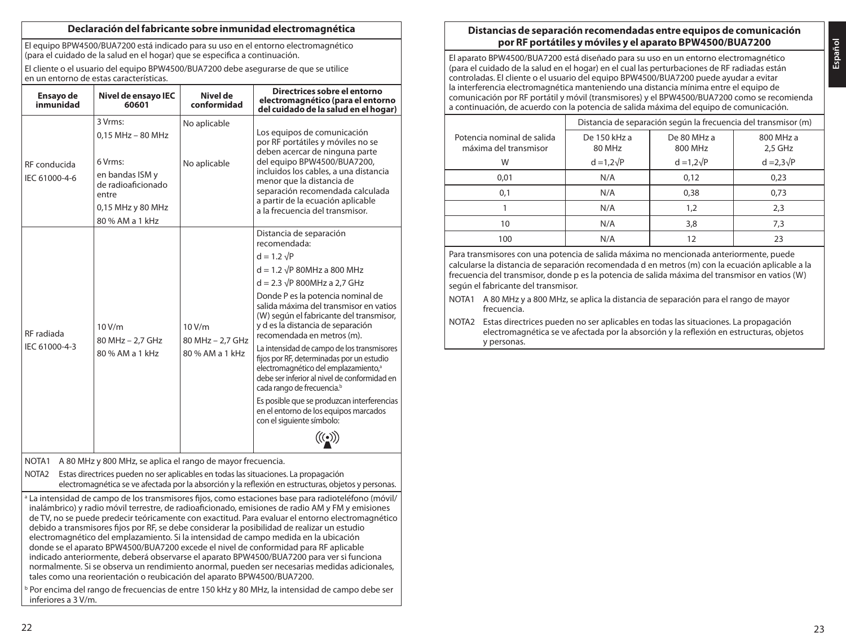### **Declaración del fabricante sobre inmunidad electromagnética**

El equipo BPW4500/BUA7200 está indicado para su uso en el entorno electromagnético (para el cuidado de la salud en el hogar) que se especifica a continuación.

El cliente o el usuario del equipo BPW4500/BUA7200 debe asegurarse de que se utilice en un entorno de estas características.

| Ensayo de<br>inmunidad                                                                                                                                                                                         | Nivel de ensayo IEC<br>60601                                                                      | Nivel de<br>conformidad    | Directrices sobre el entorno<br>electromagnético (para el entorno<br>del cuidado de la salud en el hogar)                                                                                                                             |  |
|----------------------------------------------------------------------------------------------------------------------------------------------------------------------------------------------------------------|---------------------------------------------------------------------------------------------------|----------------------------|---------------------------------------------------------------------------------------------------------------------------------------------------------------------------------------------------------------------------------------|--|
|                                                                                                                                                                                                                | 3 Vrms:<br>$0.15$ MHz $-$ 80 MHz                                                                  | No aplicable               | Los equipos de comunicación<br>por RF portátiles y móviles no se<br>deben acercar de ninguna parte                                                                                                                                    |  |
| RF conducida<br>IEC 61000-4-6                                                                                                                                                                                  | 6 Vrms:<br>en bandas ISM y<br>de radioaficionado<br>entre<br>0,15 MHz y 80 MHz<br>80 % AM a 1 kHz | No aplicable               | del equipo BPW4500/BUA7200.<br>incluidos los cables, a una distancia<br>menor que la distancia de<br>separación recomendada calculada<br>a partir de la ecuación aplicable<br>a la frecuencia del transmisor.                         |  |
|                                                                                                                                                                                                                |                                                                                                   |                            | Distancia de separación<br>recomendada:                                                                                                                                                                                               |  |
|                                                                                                                                                                                                                |                                                                                                   |                            | $d = 1.2 \sqrt{P}$                                                                                                                                                                                                                    |  |
|                                                                                                                                                                                                                |                                                                                                   |                            | $d = 1.2 \sqrt{P}$ 80MHz a 800 MHz                                                                                                                                                                                                    |  |
|                                                                                                                                                                                                                | 10 V/m<br>80 MHz - 2.7 GHz                                                                        |                            | $d = 2.3 \sqrt{P}$ 800MHz a 2.7 GHz                                                                                                                                                                                                   |  |
| RF radiada                                                                                                                                                                                                     |                                                                                                   | 10 V/m<br>80 MHz - 2.7 GHz | Donde P es la potencia nominal de<br>salida máxima del transmisor en vatios<br>(W) según el fabricante del transmisor,<br>y d es la distancia de separación<br>recomendada en metros (m).                                             |  |
| IEC 61000-4-3                                                                                                                                                                                                  | 80 % AM a 1 kHz                                                                                   | 80 % AM a 1 kHz            | La intensidad de campo de los transmisores<br>fijos por RF, determinadas por un estudio<br>electromagnético del emplazamiento, <sup>a</sup><br>debe ser inferior al nivel de conformidad en<br>cada rango de frecuencia. <sup>b</sup> |  |
|                                                                                                                                                                                                                |                                                                                                   |                            | Es posible que se produzcan interferencias<br>en el entorno de los equipos marcados<br>con el siguiente símbolo:                                                                                                                      |  |
|                                                                                                                                                                                                                |                                                                                                   |                            |                                                                                                                                                                                                                                       |  |
| NOTA <sub>1</sub>                                                                                                                                                                                              | A 80 MHz y 800 MHz, se aplica el rango de mayor frecuencia.                                       |                            |                                                                                                                                                                                                                                       |  |
| NOTA <sub>2</sub><br>Estas directrices pueden no ser aplicables en todas las situaciones. La propagación<br>electromagnética se ve afectada por la absorción y la reflexión en estructuras, objetos y personas |                                                                                                   |                            |                                                                                                                                                                                                                                       |  |

<sup>a</sup> La intensidad de campo de los transmisores fijos, como estaciones base para radioteléfono (móvil/ inalámbrico) y radio móvil terrestre, de radioaficionado, emisiones de radio AM y FM y emisiones de TV, no se puede predecir teóricamente con exactitud. Para evaluar el entorno electromagnético debido a transmisores fijos por RF, se debe considerar la posibilidad de realizar un estudio electromagnético del emplazamiento. Si la intensidad de campo medida en la ubicación donde se el aparato BPW4500/BUA7200 excede el nivel de conformidad para RF aplicable indicado anteriormente, deberá observarse el aparato BPW4500/BUA7200 para ver si funciona normalmente. Si se observa un rendimiento anormal, pueden ser necesarias medidas adicionales, tales como una reorientación o reubicación del aparato BPW4500/BUA7200.

<sup>b</sup> Por encima del rango de frecuencias de entre 150 kHz y 80 MHz, la intensidad de campo debe ser inferiores a 3 V/m.

## **Distancias de separación recomendadas entre equipos de comunicación por RF portátiles y móviles y el aparato BPW4500/BUA7200**

**Español**

El aparato BPW4500/BUA7200 está diseñado para su uso en un entorno electromagnético (para el cuidado de la salud en el hogar) en el cual las perturbaciones de RF radiadas están controladas. El cliente o el usuario del equipo BPW4500/BUA7200 puede ayudar a evitar la interferencia electromagnética manteniendo una distancia mínima entre el equipo de comunicación por RF portátil y móvil (transmisores) y el BPW4500/BUA7200 como se recomienda a continuación, de acuerdo con la potencia de salida máxima del equipo de comunicación.

|                                                     | Distancia de separación según la frecuencia del transmisor (m) |                        |                        |  |  |
|-----------------------------------------------------|----------------------------------------------------------------|------------------------|------------------------|--|--|
| Potencia nominal de salida<br>máxima del transmisor | De 150 kHz a<br>80 MHz                                         | De 80 MHz a<br>800 MHz | 800 MHz a<br>$2.5$ GHz |  |  |
| W                                                   | $d = 1,2\sqrt{P}$                                              | $d = 1,2\sqrt{P}$      | $d = 2.3\sqrt{P}$      |  |  |
| 0,01                                                | N/A                                                            | 0,12                   | 0,23                   |  |  |
| 0,1                                                 | N/A                                                            | 0.38                   | 0.73                   |  |  |
|                                                     | N/A                                                            | 1,2                    | 2,3                    |  |  |
| 10                                                  | N/A                                                            | 3,8                    | 7,3                    |  |  |
| 100                                                 | N/A                                                            | 12                     | 23                     |  |  |

Para transmisores con una potencia de salida máxima no mencionada anteriormente, puede calcularse la distancia de separación recomendada d en metros (m) con la ecuación aplicable a la frecuencia del transmisor, donde p es la potencia de salida máxima del transmisor en vatios (W) según el fabricante del transmisor.

- NOTA1 A 80 MHz y a 800 MHz, se aplica la distancia de separación para el rango de mayor frecuencia.
- NOTA2 Estas directrices pueden no ser aplicables en todas las situaciones. La propagación electromagnética se ve afectada por la absorción y la reflexión en estructuras, objetos y personas.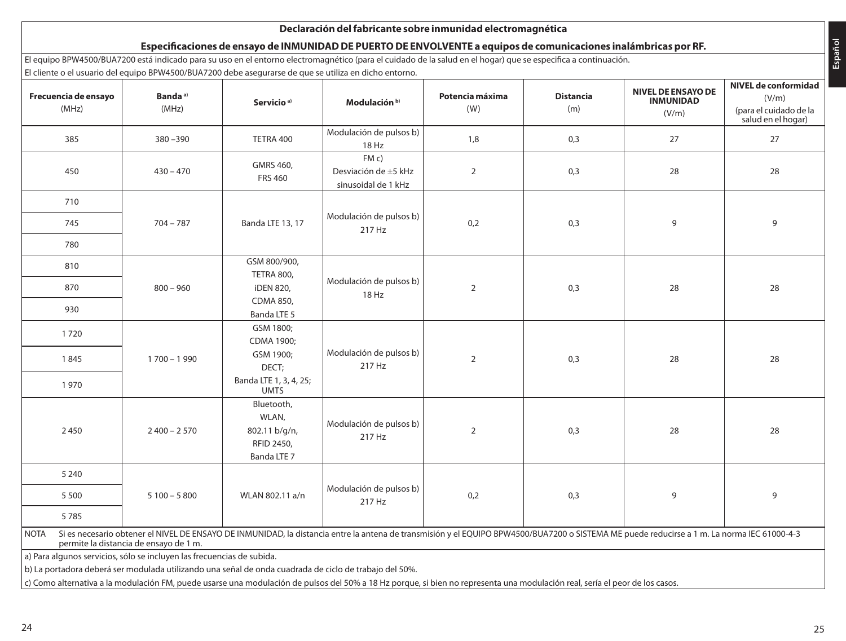|                               | El equipo BPW4500/BUA7200 está indicado para su uso en el entorno electromagnético (para el cuidado de la salud en el hogar) que se especifica a continuación.<br>El cliente o el usuario del equipo BPW4500/BUA7200 debe asegurarse de que se utiliza en dicho entorno.                                        |                                                                   |                                                    |                        |                         |                                                 |                                                                               |
|-------------------------------|-----------------------------------------------------------------------------------------------------------------------------------------------------------------------------------------------------------------------------------------------------------------------------------------------------------------|-------------------------------------------------------------------|----------------------------------------------------|------------------------|-------------------------|-------------------------------------------------|-------------------------------------------------------------------------------|
| Frecuencia de ensayo<br>(MHz) | Banda <sup>a)</sup><br>(MHz)                                                                                                                                                                                                                                                                                    | Servicio <sup>a)</sup>                                            | Modulación <sup>b)</sup>                           | Potencia máxima<br>(W) | <b>Distancia</b><br>(m) | NIVEL DE ENSAYO DE<br><b>INMUNIDAD</b><br>(V/m) | NIVEL de conformidad<br>(V/m)<br>(para el cuidado de la<br>salud en el hogar) |
| 385                           | $380 - 390$                                                                                                                                                                                                                                                                                                     | TETRA 400                                                         | Modulación de pulsos b)<br>18 Hz                   | 1,8                    | 0,3                     | 27                                              | 27                                                                            |
| 450                           | $430 - 470$                                                                                                                                                                                                                                                                                                     | GMRS 460,<br><b>FRS 460</b>                                       | FMC<br>Desviación de ±5 kHz<br>sinusoidal de 1 kHz | $\overline{2}$         | 0,3                     | 28                                              | 28                                                                            |
| 710                           |                                                                                                                                                                                                                                                                                                                 |                                                                   |                                                    |                        |                         |                                                 |                                                                               |
| 745                           | $704 - 787$                                                                                                                                                                                                                                                                                                     | Banda LTE 13, 17                                                  | Modulación de pulsos b)<br>217 Hz                  | 0,2                    | 0,3                     | 9                                               | 9                                                                             |
| 780                           |                                                                                                                                                                                                                                                                                                                 |                                                                   |                                                    |                        |                         |                                                 |                                                                               |
| 810                           |                                                                                                                                                                                                                                                                                                                 | GSM 800/900,                                                      |                                                    |                        |                         |                                                 |                                                                               |
| 870                           | $800 - 960$                                                                                                                                                                                                                                                                                                     | TETRA 800,<br><b>iDEN 820,</b>                                    | Modulación de pulsos b)<br>18 Hz                   | $\overline{2}$         | 0,3                     | 28                                              | 28                                                                            |
| 930                           |                                                                                                                                                                                                                                                                                                                 | CDMA 850.<br>Banda LTE 5                                          |                                                    |                        |                         |                                                 |                                                                               |
| 1720                          |                                                                                                                                                                                                                                                                                                                 | GSM 1800;<br>CDMA 1900;                                           |                                                    |                        |                         |                                                 |                                                                               |
| 1845                          | $1700 - 1990$                                                                                                                                                                                                                                                                                                   | GSM 1900;<br>DECT:                                                | Modulación de pulsos b)<br>217 Hz                  | $\overline{2}$         | 0,3                     | 28                                              | 28                                                                            |
| 1970                          |                                                                                                                                                                                                                                                                                                                 | Banda LTE 1, 3, 4, 25;<br><b>UMTS</b>                             |                                                    |                        |                         |                                                 |                                                                               |
| 2 4 5 0                       | $2400 - 2570$                                                                                                                                                                                                                                                                                                   | Bluetooth,<br>WLAN,<br>802.11 b/g/n,<br>RFID 2450,<br>Banda LTE 7 | Modulación de pulsos b)<br>217 Hz                  | $\overline{2}$         | 0,3                     | 28                                              | 28                                                                            |
| 5 2 4 0                       |                                                                                                                                                                                                                                                                                                                 |                                                                   |                                                    |                        |                         |                                                 |                                                                               |
| 5500                          | $5100 - 5800$                                                                                                                                                                                                                                                                                                   | WLAN 802.11 a/n                                                   | Modulación de pulsos b)<br>217 Hz                  | 0,2                    | 0,3                     | 9                                               | 9                                                                             |
| 5785                          |                                                                                                                                                                                                                                                                                                                 |                                                                   |                                                    |                        |                         |                                                 |                                                                               |
| <b>NOTA</b>                   | Si es necesario obtener el NIVEL DE ENSAYO DE INMUNIDAD, la distancia entre la antena de transmisión y el EQUIPO BPW4500/BUA7200 o SISTEMA ME puede reducirse a 1 m. La norma IEC 61000-4-3<br>permite la distancia de ensayo de 1 m.<br>a) Para algunos servicios, sólo se incluyen las frecuencias de subida. |                                                                   |                                                    |                        |                         |                                                 |                                                                               |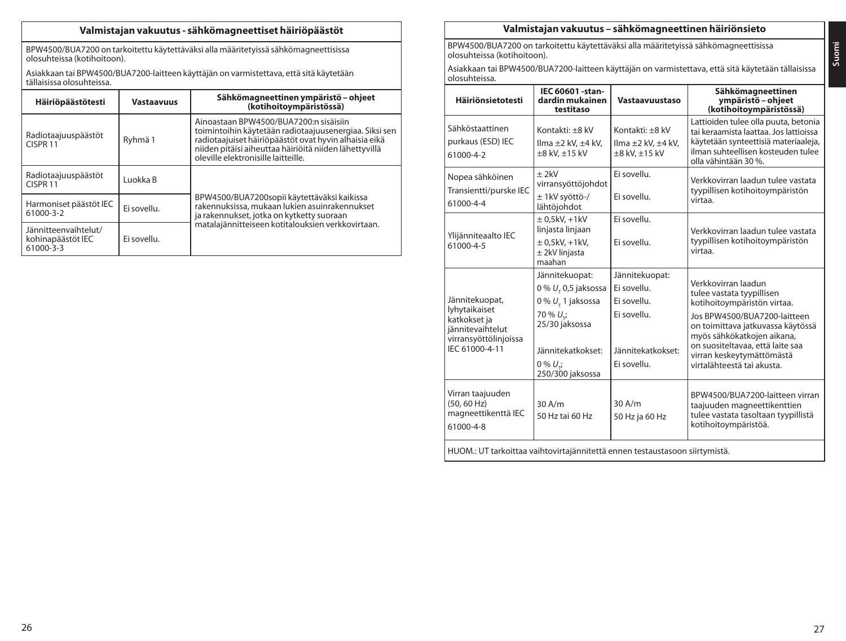# **Valmistajan vakuutus - sähkömagneettiset häiriöpäästöt**

BPW4500/BUA7200 on tarkoitettu käytettäväksi alla määritetyissä sähkömagneettisissa olosuhteissa (kotihoitoon).

Asiakkaan tai BPW4500/BUA7200-laitteen käyttäjän on varmistettava, että sitä käytetään tällaisissa olosuhteissa.

| Häiriöpäästötesti                                      | <b>Vastaavuus</b> | Sähkömagneettinen ympäristö - ohjeet<br>(kotihoitoympäristössä)                                                                                                                                                                                            |
|--------------------------------------------------------|-------------------|------------------------------------------------------------------------------------------------------------------------------------------------------------------------------------------------------------------------------------------------------------|
| Radiotaajuuspäästöt<br>CISPR <sub>11</sub>             | Ryhmä 1           | Ainoastaan BPW4500/BUA7200:n sisäisiin<br>toimintoihin käytetään radiotaajuusenergiaa. Siksi sen<br>radiotaajuiset häiriöpäästöt ovat hyvin alhaisia eikä<br>niiden pitäisi aiheuttaa häiriöitä niiden lähettyvillä<br>oleville elektronisille laitteille. |
| Radiotaajuuspäästöt<br>CISPR <sub>11</sub>             | Luokka B          |                                                                                                                                                                                                                                                            |
| Harmoniset päästöt IEC<br>61000-3-2                    | Ei sovellu.       | BPW4500/BUA7200sopii käytettäväksi kaikissa<br>rakennuksissa, mukaan lukien asuinrakennukset<br>ja rakennukset, jotka on kytketty suoraan                                                                                                                  |
| Jännitteenvaihtelut/<br>kohinapäästöt IEC<br>61000-3-3 | Ei sovellu.       | matalajännitteiseen kotitalouksien verkkovirtaan.                                                                                                                                                                                                          |

# **Valmistajan vakuutus – sähkömagneettinen häiriönsieto**

BPW4500/BUA7200 on tarkoitettu käytettäväksi alla määritetyissä sähkömagneettisissa olosuhteissa (kotihoitoon).

Asiakkaan tai BPW4500/BUA7200-laitteen käyttäjän on varmistettava, että sitä käytetään tällaisissa olosuhteissa.

| <b>Häiriönsietotesti</b>                                                                                       | IEC 60601-stan-<br>dardin mukainen<br>testitaso                                                                                                                                        | Vastaavuustaso                                                                                  | Sähkömagneettinen<br>ympäristö – ohjeet<br>(kotihoitoympäristössä)                                                                                                                                                                                                                |  |
|----------------------------------------------------------------------------------------------------------------|----------------------------------------------------------------------------------------------------------------------------------------------------------------------------------------|-------------------------------------------------------------------------------------------------|-----------------------------------------------------------------------------------------------------------------------------------------------------------------------------------------------------------------------------------------------------------------------------------|--|
| Sähköstaattinen<br>purkaus (ESD) IEC<br>61000-4-2                                                              | Kontakti: +8 kV<br>Ilma ±2 kV, ±4 kV,<br>$\pm 8$ kV, $\pm 15$ kV                                                                                                                       | Kontakti: +8 kV<br>Ilma $\pm 2$ kV, $\pm 4$ kV,<br>±8 kV, ±15 kV                                | Lattioiden tulee olla puuta, betonia<br>tai keraamista laattaa. Jos lattioissa<br>käytetään synteettisiä materiaaleja,<br>ilman suhteellisen kosteuden tulee<br>olla vähintään 30 %.                                                                                              |  |
| Nopea sähköinen<br>Transientti/purske IEC<br>61000-4-4                                                         | $+2kV$<br>virransyöttöjohdot<br>± 1kV syöttö-/<br>lähtöjohdot                                                                                                                          | Ei sovellu.<br>Fi sovellu                                                                       | Verkkovirran laadun tulee vastata<br>tyypillisen kotihoitoympäristön<br>virtaa.                                                                                                                                                                                                   |  |
| Ylijänniteaalto IEC<br>61000-4-5                                                                               | $± 0.5$ kV $. +1$ kV<br>linjasta linjaan<br>$\pm$ 0.5kV. +1kV.<br>± 2kV linjasta<br>maahan                                                                                             | Ei sovellu.<br>Ei sovellu.                                                                      | Verkkovirran laadun tulee vastata<br>tyypillisen kotihoitoympäristön<br>virtaa.                                                                                                                                                                                                   |  |
| Jännitekuopat,<br>lyhytaikaiset<br>katkokset ja<br>jännitevaihtelut<br>virransyöttölinjoissa<br>IEC 61000-4-11 | Jännitekuopat:<br>$0\% U$ <sub>-</sub> 0,5 jaksossa<br>0 % U <sub>r</sub> 1 jaksossa<br>70 % U <sub>-</sub> ;<br>25/30 jaksossa<br>Jännitekatkokset:<br>$0\% U$ .:<br>250/300 jaksossa | Jännitekuopat:<br>Ei sovellu.<br>Ei sovellu.<br>Ei sovellu.<br>Jännitekatkokset:<br>Ei sovellu. | Verkkovirran laadun<br>tulee vastata tyypillisen<br>kotihoitoympäristön virtaa.<br>Jos BPW4500/BUA7200-laitteen<br>on toimittava jatkuvassa käytössä<br>myös sähkökatkojen aikana,<br>on suositeltavaa, että laite saa<br>virran keskeytymättömästä<br>virtalähteestä tai akusta. |  |
| Virran taajuuden<br>(50.60 Hz)<br>magneettikenttä IEC<br>61000-4-8                                             | 30A/m<br>50 Hz tai 60 Hz                                                                                                                                                               | 30 A/m<br>50 Hz ja 60 Hz                                                                        | BPW4500/BUA7200-laitteen virran<br>taajuuden magneettikenttien<br>tulee vastata tasoltaan tyypillistä<br>kotihoitoympäristöä.                                                                                                                                                     |  |
| HUOM.: UT tarkoittaa vaihtovirtajännitettä ennen testaustasoon siirtymistä.                                    |                                                                                                                                                                                        |                                                                                                 |                                                                                                                                                                                                                                                                                   |  |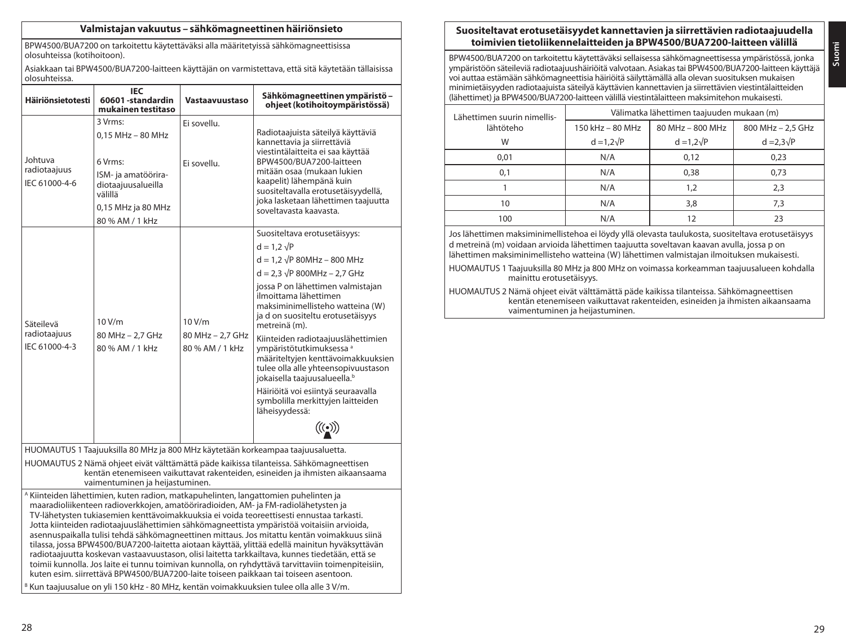### **Valmistajan vakuutus – sähkömagneettinen häiriönsieto**

BPW4500/BUA7200 on tarkoitettu käytettäväksi alla määritetyissä sähkömagneettisissa olosuhteissa (kotihoitoon).

Asiakkaan tai BPW4500/BUA7200-laitteen käyttäjän on varmistettava, että sitä käytetään tällaisissa olosuhteissa.

| Häiriönsietotesti                                                                                                                                                                                                                                                                                                                                                                                                                                                                                                                                                                                                                                                                                                                                                                                                                                                                                                                                                                      | IEC<br>60601-standardin<br>mukainen testitaso                                                                                                | Vastaavuustaso                              | Sähkömagneettinen ympäristö -<br>ohjeet (kotihoitoympäristössä)                                                                                                                                                                                                                                                                                                                                                                                                                                                                                                                                                                                                         |  |
|----------------------------------------------------------------------------------------------------------------------------------------------------------------------------------------------------------------------------------------------------------------------------------------------------------------------------------------------------------------------------------------------------------------------------------------------------------------------------------------------------------------------------------------------------------------------------------------------------------------------------------------------------------------------------------------------------------------------------------------------------------------------------------------------------------------------------------------------------------------------------------------------------------------------------------------------------------------------------------------|----------------------------------------------------------------------------------------------------------------------------------------------|---------------------------------------------|-------------------------------------------------------------------------------------------------------------------------------------------------------------------------------------------------------------------------------------------------------------------------------------------------------------------------------------------------------------------------------------------------------------------------------------------------------------------------------------------------------------------------------------------------------------------------------------------------------------------------------------------------------------------------|--|
| Johtuva<br>radiotaajuus<br>IEC 61000-4-6                                                                                                                                                                                                                                                                                                                                                                                                                                                                                                                                                                                                                                                                                                                                                                                                                                                                                                                                               | 3 Vrms:<br>$0.15$ MHz $-$ 80 MHz<br>6 Vrms:<br>ISM- ja amatöörira-<br>diotaajuusalueilla<br>välillä<br>0,15 MHz ja 80 MHz<br>80 % AM / 1 kHz | Ei sovellu.<br>Ei sovellu.                  | Radiotaajuista säteilyä käyttäviä<br>kannettavia ja siirrettäviä<br>viestintälaitteita ei saa käyttää<br>BPW4500/BUA7200-laitteen<br>mitään osaa (mukaan lukien<br>kaapelit) lähempänä kuin<br>suositeltavalla erotusetäisyydellä,<br>joka lasketaan lähettimen taajuutta<br>soveltavasta kaavasta.                                                                                                                                                                                                                                                                                                                                                                     |  |
| Säteilevä<br>radiotaajuus<br>IEC 61000-4-3                                                                                                                                                                                                                                                                                                                                                                                                                                                                                                                                                                                                                                                                                                                                                                                                                                                                                                                                             | 10V/m<br>80 MHz - 2.7 GHz<br>80 % AM / 1 kHz                                                                                                 | 10V/m<br>80 MHz - 2.7 GHz<br>80% AM / 1 kHz | Suositeltava erotusetäisyys:<br>$d = 1.2 \sqrt{P}$<br>$d = 1.2 \sqrt{P} 80 MHz - 800 MHz$<br>$d = 2.3 \sqrt{P} 800 MHz - 2.7 GHz$<br>jossa P on lähettimen valmistajan<br>ilmoittama lähettimen<br>maksiminimellisteho watteina (W)<br>ja d on suositeltu erotusetäisyys<br>metreinä (m).<br>Kiinteiden radiotaajuuslähettimien<br>vmpäristötutkimuksessa a<br>määriteltyjen kenttävoimakkuuksien<br>tulee olla alle yhteensopivuustason<br>jokaisella taajuusalueella. <sup>b</sup><br>Häiriöitä voi esiintyä seuraavalla<br>symbolilla merkittyjen laitteiden<br>läheisyydessä:<br>$\bigl(\!\bigl(\!\bigl(\begin{smallmatrix} \bullet\end{smallmatrix}\bigr)\!\bigr)$ |  |
| HUOMAUTUS 1 Taajuuksilla 80 MHz ja 800 MHz käytetään korkeampaa taajuusaluetta.<br>HUOMAUTUS 2 Nämä ohjeet eivät välttämättä päde kaikissa tilanteissa. Sähkömagneettisen<br>kentän etenemiseen vaikuttavat rakenteiden, esineiden ja ihmisten aikaansaama<br>vaimentuminen ja heijastuminen.                                                                                                                                                                                                                                                                                                                                                                                                                                                                                                                                                                                                                                                                                          |                                                                                                                                              |                                             |                                                                                                                                                                                                                                                                                                                                                                                                                                                                                                                                                                                                                                                                         |  |
| <sup>A</sup> Kiinteiden lähettimien, kuten radion, matkapuhelinten, langattomien puhelinten ja<br>maaradioliikenteen radioverkkojen, amatööriradioiden, AM- ja FM-radiolähetysten ja<br>TV-lähetysten tukiasemien kenttävoimakkuuksia ei voida teoreettisesti ennustaa tarkasti.<br>Jotta kiinteiden radiotaajuuslähettimien sähkömagneettista ympäristöä voitaisiin arvioida,<br>asennuspaikalla tulisi tehdä sähkömagneettinen mittaus. Jos mitattu kentän voimakkuus siinä<br>tilassa, jossa BPW4500/BUA7200-laitetta aiotaan käyttää, ylittää edellä mainitun hyväksyttävän<br>radiotaajuutta koskevan vastaavuustason, olisi laitetta tarkkailtava, kunnes tiedetään, että se<br>toimii kunnolla. Jos laite ei tunnu toimivan kunnolla, on ryhdyttävä tarvittaviin toimenpiteisiin,<br>kuten esim. siirrettävä BPW4500/BUA7200-laite toiseen paikkaan tai toiseen asentoon.<br><sup>8</sup> Kun taajuusalue on yli 150 kHz - 80 MHz, kentän voimakkuuksien tulee olla alle 3 V/m. |                                                                                                                                              |                                             |                                                                                                                                                                                                                                                                                                                                                                                                                                                                                                                                                                                                                                                                         |  |

### **Suositeltavat erotusetäisyydet kannettavien ja siirrettävien radiotaajuudella toimivien tietoliikennelaitteiden ja BPW4500/BUA7200-laitteen välillä**

BPW4500/BUA7200 on tarkoitettu käytettäväksi sellaisessa sähkömagneettisessa ympäristössä, jonka ympäristöön säteileviä radiotaajuushäiriöitä valvotaan. Asiakas tai BPW4500/BUA7200-laitteen käyttäjä voi auttaa estämään sähkömagneettisia häiriöitä säilyttämällä alla olevan suosituksen mukaisen minimietäisyyden radiotaajuista säteilyä käyttävien kannettavien ja siirrettävien viestintälaitteiden (lähettimet) ja BPW4500/BUA7200-laitteen välillä viestintälaitteen maksimitehon mukaisesti.

| Lähettimen suurin nimellis- |                   | Välimatka lähettimen taajuuden mukaan (m) |                   |
|-----------------------------|-------------------|-------------------------------------------|-------------------|
| lähtöteho                   | 150 kHz - 80 MHz  | 80 MHz - 800 MHz                          | 800 MHz - 2,5 GHz |
| W                           | $d = 1.2\sqrt{P}$ | $d = 1.2\sqrt{P}$                         | $d = 2.3\sqrt{P}$ |
| 0.01                        | N/A               | 0,12                                      | 0,23              |
| 0,1                         | N/A               | 0.38                                      | 0,73              |
|                             | N/A               | 1.2                                       | 2,3               |
| 10                          | N/A               | 3,8                                       | 7.3               |
| 100                         | N/A               |                                           | 23                |

Jos lähettimen maksiminimellistehoa ei löydy yllä olevasta taulukosta, suositeltava erotusetäisyys d metreinä (m) voidaan arvioida lähettimen taajuutta soveltavan kaavan avulla, jossa p on lähettimen maksiminimellisteho watteina (W) lähettimen valmistajan ilmoituksen mukaisesti.

HUOMAUTUS 2 Nämä ohjeet eivät välttämättä päde kaikissa tilanteissa. Sähkömagneettisen kentän etenemiseen vaikuttavat rakenteiden, esineiden ja ihmisten aikaansaama vaimentuminen ja heijastuminen.

HUOMAUTUS 1 Taajuuksilla 80 MHz ja 800 MHz on voimassa korkeamman taajuusalueen kohdalla mainittu erotusetäisyys.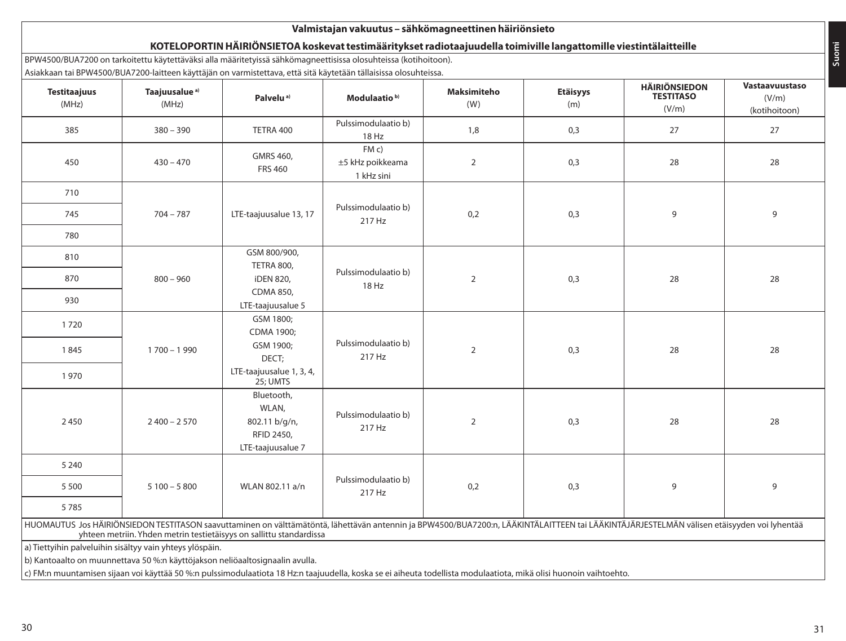| <b>Testitaajuus</b><br>(MHz) | Taajuusalue <sup>a)</sup><br>(MHz) | Palvelu <sup>a)</sup>                                                   | Modulaatio <sup>b)</sup>              | <b>Maksimiteho</b><br>(W) | <b>Etäisyys</b><br>(m) | <b>HÄIRIÖNSIEDON</b><br><b>TESTITASO</b><br>(V/m) | Vastaavuustaso<br>(V/m)<br>(kotihoitoon) |
|------------------------------|------------------------------------|-------------------------------------------------------------------------|---------------------------------------|---------------------------|------------------------|---------------------------------------------------|------------------------------------------|
| 385                          | $380 - 390$                        | TETRA 400                                                               | Pulssimodulaatio b)<br>18 Hz          | 1,8                       | 0,3                    | 27                                                | 27                                       |
| 450                          | $430 - 470$                        | GMRS 460,<br><b>FRS 460</b>                                             | FMC<br>±5 kHz poikkeama<br>1 kHz sini | $\overline{2}$            | 0,3                    | 28                                                | 28                                       |
| 710                          |                                    |                                                                         |                                       |                           |                        |                                                   |                                          |
| 745                          | $704 - 787$                        | LTE-taajuusalue 13, 17                                                  | Pulssimodulaatio b)<br>217 Hz         | 0,2                       | 0,3                    | 9                                                 | 9                                        |
| 780                          |                                    |                                                                         |                                       |                           |                        |                                                   |                                          |
| 810                          |                                    | GSM 800/900,                                                            |                                       |                           |                        |                                                   |                                          |
| 870                          | $800 - 960$                        | TETRA 800,<br><b>iDEN 820,</b>                                          | Pulssimodulaatio b)                   | $\overline{2}$            | 0,3                    | 28                                                | 28                                       |
| 930                          |                                    | CDMA 850,<br>LTE-taajuusalue 5                                          | 18 Hz                                 |                           |                        |                                                   |                                          |
| 1720                         |                                    | GSM 1800;<br>CDMA 1900;                                                 |                                       |                           |                        |                                                   |                                          |
| 1845                         | $1700 - 1990$                      | GSM 1900;<br>DECT;                                                      | Pulssimodulaatio b)<br>217 Hz         | $\overline{2}$            | 0,3                    | 28                                                | 28                                       |
| 1970                         |                                    | LTE-taajuusalue 1, 3, 4,<br>25; UMTS                                    |                                       |                           |                        |                                                   |                                          |
| 2450                         | $2400 - 2570$                      | Bluetooth,<br>WLAN,<br>802.11 b/g/n,<br>RFID 2450,<br>LTE-taajuusalue 7 | Pulssimodulaatio b)<br>217 Hz         | $\overline{2}$            | 0,3                    | 28                                                | 28                                       |
| 5 2 4 0                      |                                    |                                                                         |                                       |                           |                        |                                                   |                                          |
| 5500                         | $5100 - 5800$                      | WLAN 802.11 a/n                                                         | Pulssimodulaatio b)<br>217 Hz         | 0,2                       | 0,3                    | 9                                                 | 9                                        |
| 5785                         |                                    |                                                                         |                                       |                           |                        |                                                   |                                          |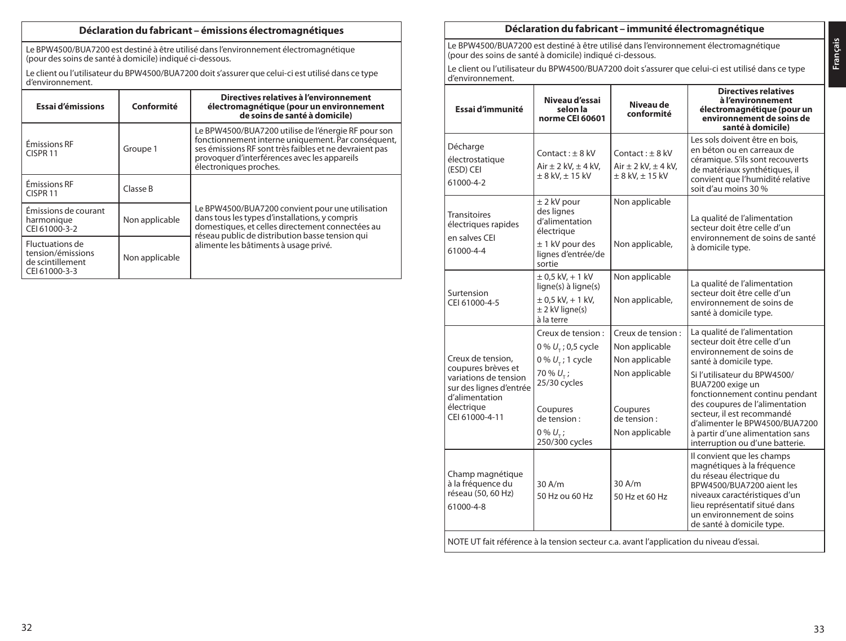### **Déclaration du fabricant – émissions électromagnétiques**

Le BPW4500/BUA7200 est destiné à être utilisé dans l'environnement électromagnétique (pour des soins de santé à domicile) indiqué ci-dessous.

Le client ou l'utilisateur du BPW4500/BUA7200 doit s'assurer que celui-ci est utilisé dans ce type d'environnement.

| Essai d'émissions                                                               | Conformité     | Directives relatives à l'environnement<br>électromagnétique (pour un environnement<br>de soins de santé à domicile)                                                                                                                           |
|---------------------------------------------------------------------------------|----------------|-----------------------------------------------------------------------------------------------------------------------------------------------------------------------------------------------------------------------------------------------|
| Émissions RF<br>CISPR <sub>11</sub>                                             | Groupe 1       | Le BPW4500/BUA7200 utilise de l'énergie RF pour son<br>fonctionnement interne uniquement. Par conséquent,<br>ses émissions RF sont très faibles et ne devraient pas<br>provoquer d'interférences avec les appareils<br>électroniques proches. |
| Émissions RF<br>CISPR <sub>11</sub>                                             | Classe B       |                                                                                                                                                                                                                                               |
| Émissions de courant<br>harmonique<br>CEL61000-3-2                              | Non applicable | Le BPW4500/BUA7200 convient pour une utilisation<br>dans tous les types d'installations, y compris<br>domestiques, et celles directement connectées au<br>réseau public de distribution basse tension qui                                     |
| <b>Fluctuations de</b><br>tension/émissions<br>de scintillement<br>CEL61000-3-3 | Non applicable | alimente les bâtiments à usage privé.                                                                                                                                                                                                         |

### **Déclaration du fabricant – immunité électromagnétique**

Le BPW4500/BUA7200 est destiné à être utilisé dans l'environnement électromagnétique (pour des soins de santé à domicile) indiqué ci-dessous.

Le client ou l'utilisateur du BPW4500/BUA7200 doit s'assurer que celui-ci est utilisé dans ce type d'environnement.

| Essai d'immunité                                                                                                         | Niveau d'essai<br>selon la<br>norme CEI 60601                                                                    | Niveau de<br>conformité                                                     | <b>Directives relatives</b><br>à l'environnement<br>électromagnétique (pour un<br>environnement de soins de<br>santé à domicile)                                                                                                                            |
|--------------------------------------------------------------------------------------------------------------------------|------------------------------------------------------------------------------------------------------------------|-----------------------------------------------------------------------------|-------------------------------------------------------------------------------------------------------------------------------------------------------------------------------------------------------------------------------------------------------------|
| Décharge<br>électrostatique<br>(ESD) CEI<br>61000-4-2                                                                    | $Context: + 8$ kV<br>Air $\pm$ 2 kV, $\pm$ 4 kV,<br>$\pm$ 8 kV, $\pm$ 15 kV                                      | $Context: + 8 kV$<br>Air $\pm$ 2 kV, $\pm$ 4 kV,<br>$\pm$ 8 kV, $\pm$ 15 kV | Les sols doivent être en bois.<br>en béton ou en carreaux de<br>céramique. S'ils sont recouverts<br>de matériaux synthétiques, il<br>convient que l'humidité relative<br>soit d'au moins 30 %                                                               |
| Transitoires<br>électriques rapides<br>en salves CEI<br>61000-4-4                                                        | $±$ 2 kV pour<br>des lignes<br>d'alimentation<br>électrique<br>$± 1$ kV pour des<br>lignes d'entrée/de<br>sortie | Non applicable<br>Non applicable,                                           | La qualité de l'alimentation<br>secteur doit être celle d'un<br>environnement de soins de santé<br>à domicile type.                                                                                                                                         |
| Surtension<br>CEI 61000-4-5                                                                                              | $± 0.5$ kV $. + 1$ kV<br>ligne(s) à ligne(s)<br>$± 0.5$ kV $. + 1$ kV $.$<br>$\pm$ 2 kV ligne(s)<br>à la terre   | Non applicable<br>Non applicable,                                           | La qualité de l'alimentation<br>secteur doit être celle d'un<br>environnement de soins de<br>santé à domicile type.                                                                                                                                         |
| Creux de tension.                                                                                                        | Creux de tension :<br>0 % $U_{+}$ ; 0,5 cycle<br>0 % $U_{\tau}$ ; 1 cycle                                        | Creux de tension :<br>Non applicable<br>Non applicable                      | La qualité de l'alimentation<br>secteur doit être celle d'un<br>environnement de soins de<br>santé à domicile type.                                                                                                                                         |
| coupures brèves et<br>variations de tension<br>sur des lignes d'entrée<br>d'alimentation<br>électrique<br>CEI 61000-4-11 | 70 % $U_{\tau}$ ;<br>25/30 cycles<br>Coupures<br>de tension :<br>$0\% U_{-}$ ;<br>250/300 cycles                 | Non applicable<br>Coupures<br>de tension:<br>Non applicable                 | Si l'utilisateur du BPW4500/<br>BUA7200 exige un<br>fonctionnement continu pendant<br>des coupures de l'alimentation<br>secteur, il est recommandé<br>d'alimenter le BPW4500/BUA7200<br>à partir d'une alimentation sans<br>interruption ou d'une batterie. |
| Champ magnétique<br>à la fréquence du<br>réseau (50, 60 Hz)<br>61000-4-8                                                 | 30A/m<br>50 Hz ou 60 Hz                                                                                          | 30 A/m<br>50 Hz et 60 Hz                                                    | Il convient que les champs<br>magnétiques à la fréquence<br>du réseau électrique du<br>BPW4500/BUA7200 aient les<br>niveaux caractéristiques d'un<br>lieu représentatif situé dans<br>un environnement de soins<br>de santé à domicile type.                |
| NOTE UT fait référence à la tension secteur c.a. avant l'application du niveau d'essai.                                  |                                                                                                                  |                                                                             |                                                                                                                                                                                                                                                             |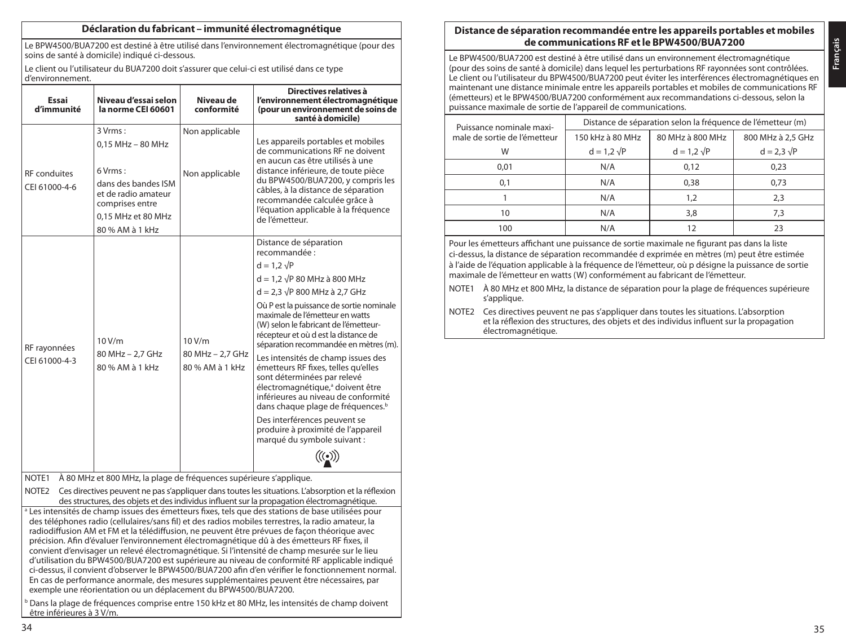### **Déclaration du fabricant – immunité électromagnétique**

Le BPW4500/BUA7200 est destiné à être utilisé dans l'environnement électromagnétique (pour des soins de santé à domicile) indiqué ci-dessous.

Le client ou l'utilisateur du BUA7200 doit s'assurer que celui-ci est utilisé dans ce type d'environnement.

| Essai<br>d'immunité                  | Niveau d'essai selon<br>la norme CEI 60601                                                                                                            | Niveau de<br>conformité                       | Directives relatives à<br>l'environnement électromagnétique<br>(pour un environnement de soins de<br>santé à domicile)                                                                                                                                                                                                                                                                                                                                                                                                                                                                                                                                                                                         |
|--------------------------------------|-------------------------------------------------------------------------------------------------------------------------------------------------------|-----------------------------------------------|----------------------------------------------------------------------------------------------------------------------------------------------------------------------------------------------------------------------------------------------------------------------------------------------------------------------------------------------------------------------------------------------------------------------------------------------------------------------------------------------------------------------------------------------------------------------------------------------------------------------------------------------------------------------------------------------------------------|
| <b>RF</b> conduites<br>CEI 61000-4-6 | 3 Vrms:<br>$0.15$ MHz - 80 MHz<br>$6$ Vrms:<br>dans des bandes ISM<br>et de radio amateur<br>comprises entre<br>0.15 MHz et 80 MHz<br>80 % AM à 1 kHz | Non applicable<br>Non applicable              | Les appareils portables et mobiles<br>de communications RF ne doivent<br>en aucun cas être utilisés à une<br>distance inférieure, de toute pièce<br>du BPW4500/BUA7200, y compris les<br>câbles, à la distance de séparation<br>recommandée calculée grâce à<br>l'équation applicable à la fréquence<br>de l'émetteur.                                                                                                                                                                                                                                                                                                                                                                                         |
| RF rayonnées<br>CEI 61000-4-3        | 10 V/m<br>80 MHz - 2.7 GHz<br>80 % AM à 1 kHz                                                                                                         | 10 V/m<br>80 MHz - 2.7 GHz<br>80 % AM à 1 kHz | Distance de séparation<br>recommandée :<br>$d = 1.2 \sqrt{P}$<br>$d = 1.2 \sqrt{P} 80$ MHz à 800 MHz<br>$d = 2.3 \sqrt{P} 800$ MHz à 2,7 GHz<br>Où P est la puissance de sortie nominale<br>maximale de l'émetteur en watts<br>(W) selon le fabricant de l'émetteur-<br>récepteur et où d est la distance de<br>séparation recommandée en mètres (m).<br>Les intensités de champ issues des<br>émetteurs RF fixes, telles qu'elles<br>sont déterminées par relevé<br>électromagnétique, <sup>a</sup> doivent être<br>inférieures au niveau de conformité<br>dans chaque plage de fréquences. <sup>b</sup><br>Des interférences peuvent se<br>produire à proximité de l'appareil<br>marqué du symbole suivant : |

NOTE1 À 80 MHz et 800 MHz, la plage de fréquences supérieure s'applique.

NOTE2 Ces directives peuvent ne pas s'appliquer dans toutes les situations. L'absorption et la réflexion des structures, des objets et des individus influent sur la propagation électromagnétique. <sup>a</sup> Les intensités de champ issues des émetteurs fixes, tels que des stations de base utilisées pour des téléphones radio (cellulaires/sans fil) et des radios mobiles terrestres, la radio amateur, la radiodiffusion AM et FM et la télédiffusion, ne peuvent être prévues de façon théorique avec précision. Afin d'évaluer l'environnement électromagnétique dû à des émetteurs RF fixes, il convient d'envisager un relevé électromagnétique. Si l'intensité de champ mesurée sur le lieu d'utilisation du BPW4500/BUA7200 est supérieure au niveau de conformité RF applicable indiqué ci-dessus, il convient d'observer le BPW4500/BUA7200 afin d'en vérifier le fonctionnement normal. En cas de performance anormale, des mesures supplémentaires peuvent être nécessaires, par exemple une réorientation ou un déplacement du BPW4500/BUA7200.

 $\frac{b}{2}$  Dans la plage de fréquences comprise entre 150 kHz et 80 MHz, les intensités de champ doivent être inférieures à 3 V/m.

# **Distance de séparation recommandée entre les appareils portables et mobiles de communications RF et le BPW4500/BUA7200**

Le BPW4500/BUA7200 est destiné à être utilisé dans un environnement électromagnétique (pour des soins de santé à domicile) dans lequel les perturbations RF rayonnées sont contrôlées. Le client ou l'utilisateur du BPW4500/BUA7200 peut éviter les interférences électromagnétiques en maintenant une distance minimale entre les appareils portables et mobiles de communications RF (émetteurs) et le BPW4500/BUA7200 conformément aux recommandations ci-dessous, selon la puissance maximale de sortie de l'appareil de communications.

| Puissance nominale maxi-     |                    | Distance de séparation selon la fréquence de l'émetteur (m) |                    |
|------------------------------|--------------------|-------------------------------------------------------------|--------------------|
| male de sortie de l'émetteur | 150 kHz à 80 MHz   | 80 MHz à 800 MHz                                            | 800 MHz à 2.5 GHz  |
| W                            | $d = 1.2 \sqrt{P}$ | $d = 1.2 \sqrt{P}$                                          | $d = 2.3 \sqrt{P}$ |
| 0.01                         | N/A                | 0.12                                                        | 0.23               |
| 0.1                          | N/A                | 0.38                                                        | 0.73               |
|                              | N/A                | 1.2                                                         | 2,3                |
| 10                           | N/A                | 3.8                                                         | 7.3                |
| 100                          | N/A                |                                                             | 23                 |

Pour les émetteurs affichant une puissance de sortie maximale ne figurant pas dans la liste ci-dessus, la distance de séparation recommandée d exprimée en mètres (m) peut être estimée à l'aide de l'équation applicable à la fréquence de l'émetteur, où p désigne la puissance de sortie maximale de l'émetteur en watts (W) conformément au fabricant de l'émetteur.

- NOTE1 À 80 MHz et 800 MHz, la distance de séparation pour la plage de fréquences supérieure s'applique.
- NOTE2 Ces directives peuvent ne pas s'appliquer dans toutes les situations. L'absorption et la réflexion des structures, des objets et des individus influent sur la propagation électromagnétique.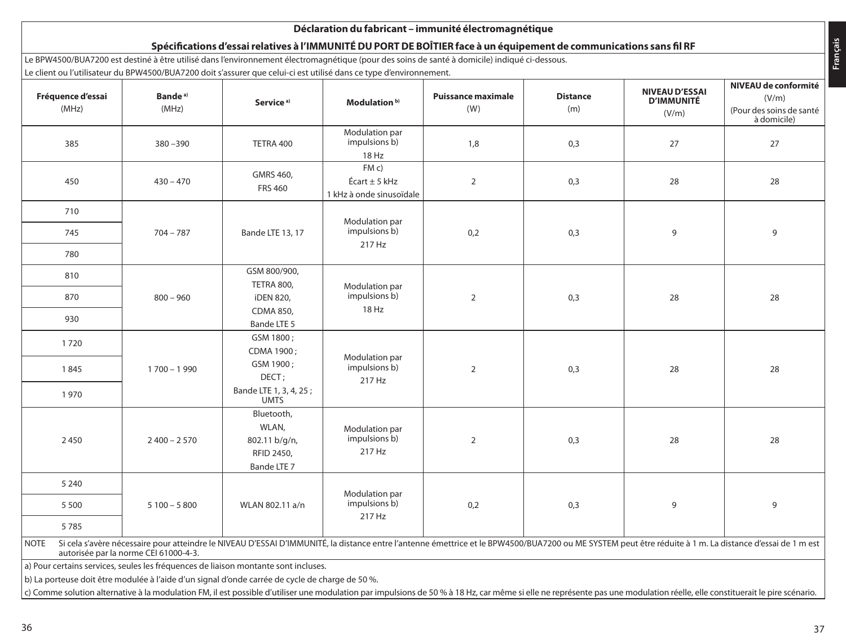| Fréquence d'essai<br>(MHz) | Bande <sup>a)</sup><br>(MHz) | Service <sup>a)</sup>                                                | Modulation <sup>b)</sup>                         | <b>Puissance maximale</b><br>(W) | <b>Distance</b><br>(m) | <b>NIVEAU D'ESSAI</b><br><b>D'IMMUNITÉ</b><br>(V/m) | NIVEAU de conformité<br>(V/m)<br>(Pour des soins de santé |
|----------------------------|------------------------------|----------------------------------------------------------------------|--------------------------------------------------|----------------------------------|------------------------|-----------------------------------------------------|-----------------------------------------------------------|
|                            |                              |                                                                      |                                                  |                                  |                        |                                                     | à domicile)                                               |
| 385                        | $380 - 390$                  | TETRA 400                                                            | Modulation par<br>impulsions b)<br>18 Hz         | 1,8                              | 0,3                    | 27                                                  | 27                                                        |
| 450                        | $430 - 470$                  | GMRS 460,<br><b>FRS 460</b>                                          | FMC<br>Écart ± 5 kHz<br>1 kHz à onde sinusoïdale | $\overline{2}$                   | 0,3                    | 28                                                  | 28                                                        |
| 710                        |                              |                                                                      |                                                  |                                  |                        |                                                     |                                                           |
| 745                        | $704 - 787$                  | Modulation par<br>impulsions b)<br>Bande LTE 13, 17<br>0,2<br>217 Hz |                                                  |                                  | 0,3                    | 9                                                   | 9                                                         |
| 780                        |                              |                                                                      |                                                  |                                  |                        |                                                     |                                                           |
| 810                        |                              | GSM 800/900,<br>TETRA 800.                                           | Modulation par                                   |                                  |                        |                                                     |                                                           |
| 870                        | $800 - 960$                  | iDEN 820,                                                            | impulsions b)                                    | $\overline{2}$                   | 0,3                    | 28                                                  | 28                                                        |
| 930                        |                              | CDMA 850,<br>Bande LTE 5                                             | 18 Hz                                            |                                  |                        |                                                     |                                                           |
| 1720                       |                              | GSM 1800;<br>CDMA 1900:                                              |                                                  |                                  |                        |                                                     |                                                           |
| 1845                       | $1700 - 1990$                | GSM 1900;<br>DECT;                                                   | Modulation par<br>impulsions b)                  | $\overline{2}$                   | 0,3                    | 28                                                  | 28                                                        |
| 1970                       |                              | Bande LTE 1, 3, 4, 25;<br><b>UMTS</b>                                | 217 Hz                                           |                                  |                        |                                                     |                                                           |
| 2450                       | $2400 - 2570$                | Bluetooth,<br>WLAN,<br>802.11 b/g/n,<br>RFID 2450,<br>Bande LTE 7    | Modulation par<br>impulsions b)<br>217 Hz        | $\overline{2}$                   | 0,3                    | 28                                                  | 28                                                        |
| 5 2 4 0                    |                              |                                                                      |                                                  |                                  |                        |                                                     |                                                           |
| 5 5 0 0                    | $5100 - 5800$                | WLAN 802.11 a/n                                                      | Modulation par<br>impulsions b)                  | 0,2                              | 0,3                    | 9                                                   | 9                                                         |
| 5785                       |                              |                                                                      | 217 Hz                                           |                                  |                        |                                                     |                                                           |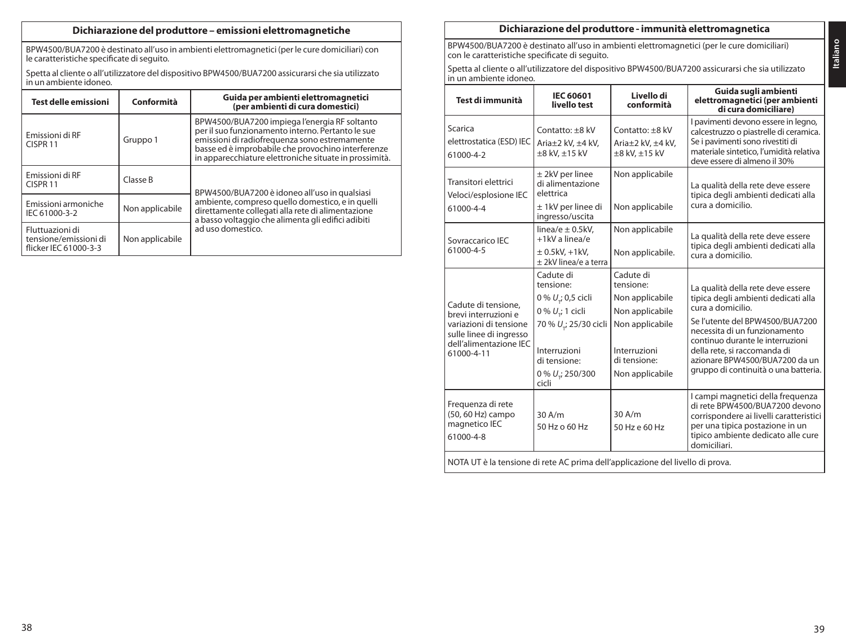# **Dichiarazione del produttore – emissioni elettromagnetiche**

BPW4500/BUA7200 è destinato all'uso in ambienti elettromagnetici (per le cure domiciliari) con le caratteristiche specificate di seguito.

Spetta al cliente o all'utilizzatore del dispositivo BPW4500/BUA7200 assicurarsi che sia utilizzato in un ambiente idoneo.

| <b>Test delle emissioni</b>                                       | Conformità      | Guida per ambienti elettromagnetici<br>(per ambienti di cura domestici)                                                                                                                                                                                             |
|-------------------------------------------------------------------|-----------------|---------------------------------------------------------------------------------------------------------------------------------------------------------------------------------------------------------------------------------------------------------------------|
| Emissioni di RF<br>CISPR <sub>11</sub>                            | Gruppo 1        | BPW4500/BUA7200 impiega l'energia RF soltanto<br>per il suo funzionamento interno. Pertanto le sue<br>emissioni di radiofreguenza sono estremamente<br>basse ed è improbabile che provochino interferenze<br>in apparecchiature elettroniche situate in prossimità. |
| Emissioni di RF<br>CISPR <sub>11</sub>                            | Classe B        | BPW4500/BUA7200 è idoneo all'uso in qualsiasi                                                                                                                                                                                                                       |
| Emissioni armoniche<br>IEC 61000-3-2                              | Non applicabile | ambiente, compreso quello domestico, e in quelli<br>direttamente collegati alla rete di alimentazione<br>a basso voltaggio che alimenta gli edifici adibiti                                                                                                         |
| Fluttuazioni di<br>tensione/emissioni di<br>flicker IEC 61000-3-3 | Non applicabile | ad uso domestico.                                                                                                                                                                                                                                                   |

### **Dichiarazione del produttore - immunità elettromagnetica**

BPW4500/BUA7200 è destinato all'uso in ambienti elettromagnetici (per le cure domiciliari) con le caratteristiche specificate di seguito.

Spetta al cliente o all'utilizzatore del dispositivo BPW4500/BUA7200 assicurarsi che sia utilizzato in un ambiente idoneo.

| Test di immunità                                                                                                                         | <b>IEC 60601</b><br>livello test                                                                                                                                             | Livello di<br>conformità                                                                                                           | Guida sugli ambienti<br>elettromagnetici (per ambienti<br>di cura domiciliare)                                                                                                                                                                                                                                  |
|------------------------------------------------------------------------------------------------------------------------------------------|------------------------------------------------------------------------------------------------------------------------------------------------------------------------------|------------------------------------------------------------------------------------------------------------------------------------|-----------------------------------------------------------------------------------------------------------------------------------------------------------------------------------------------------------------------------------------------------------------------------------------------------------------|
| Scarica<br>elettrostatica (ESD) IEC<br>61000-4-2                                                                                         | Contatto: +8 kV<br>Aria±2 kV, ±4 kV,<br>$\pm 8$ kV, $\pm 15$ kV                                                                                                              | Contatto: +8 kV<br>Aria±2 kV, ±4 kV,<br>±8 kV, ±15 kV                                                                              | I pavimenti devono essere in legno,<br>calcestruzzo o piastrelle di ceramica.<br>Se i pavimenti sono rivestiti di<br>materiale sintetico, l'umidità relativa<br>deve essere di almeno il 30%                                                                                                                    |
| Transitori elettrici<br>Veloci/esplosione IEC<br>61000-4-4                                                                               | ± 2kV per linee<br>di alimentazione<br>elettrica<br>± 1kV per linee di<br>ingresso/uscita                                                                                    | Non applicabile<br>Non applicabile                                                                                                 | La qualità della rete deve essere<br>tipica degli ambienti dedicati alla<br>cura a domicilio.                                                                                                                                                                                                                   |
| Sovraccarico IEC<br>61000-4-5                                                                                                            | linea/e $\pm$ 0.5kV.<br>+1kV a linea/e<br>$\pm$ 0.5kV, +1kV,<br>+ 2kV linea/e a terra                                                                                        | Non applicabile<br>Non applicabile.                                                                                                | La qualità della rete deve essere<br>tipica degli ambienti dedicati alla<br>cura a domicilio.                                                                                                                                                                                                                   |
| Cadute di tensione.<br>brevi interruzioni e<br>variazioni di tensione<br>sulle linee di ingresso<br>dell'alimentazione IEC<br>61000-4-11 | Cadute di<br>tensione:<br>0 % $U_{\tau}$ ; 0,5 cicli<br>0 % $U_{,i}$ 1 cicli<br>70 % U <sub>ri</sub> 25/30 cicli<br>Interruzioni<br>di tensione:<br>0 % U.; 250/300<br>cicli | Cadute di<br>tensione:<br>Non applicabile<br>Non applicabile<br>Non applicabile<br>Interruzioni<br>di tensione:<br>Non applicabile | La qualità della rete deve essere<br>tipica degli ambienti dedicati alla<br>cura a domicilio.<br>Se l'utente del BPW4500/BUA7200<br>necessita di un funzionamento<br>continuo durante le interruzioni<br>della rete, si raccomanda di<br>azionare BPW4500/BUA7200 da un<br>gruppo di continuità o una batteria. |
| Frequenza di rete<br>(50, 60 Hz) campo<br>magnetico IEC<br>61000-4-8                                                                     | 30A/m<br>50 Hz o 60 Hz                                                                                                                                                       | $30$ A/m<br>50 Hz e 60 Hz                                                                                                          | I campi magnetici della freguenza<br>di rete BPW4500/BUA7200 devono<br>corrispondere ai livelli caratteristici<br>per una tipica postazione in un<br>tipico ambiente dedicato alle cure<br>domiciliari.                                                                                                         |
| NOTA UT è la tensione di rete AC prima dell'applicazione del livello di prova.                                                           |                                                                                                                                                                              |                                                                                                                                    |                                                                                                                                                                                                                                                                                                                 |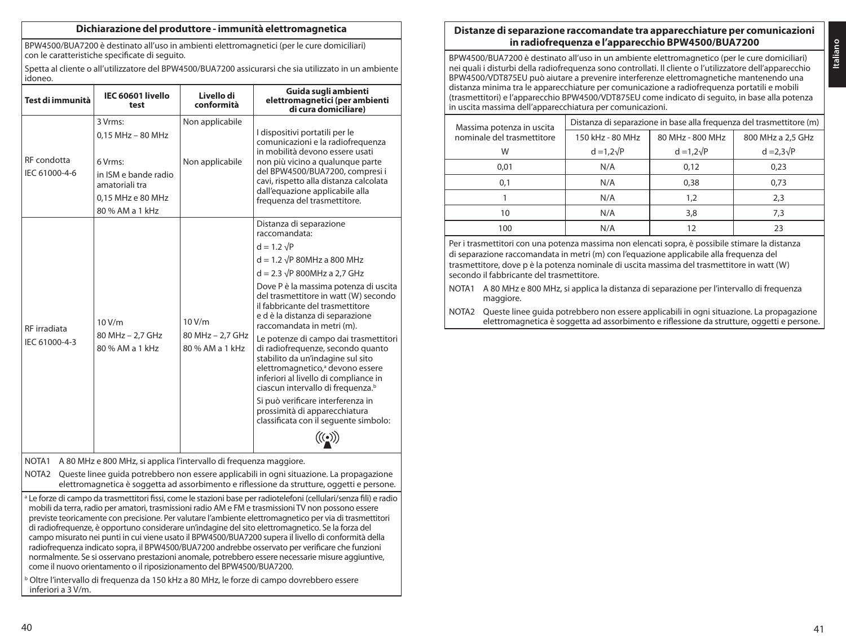### **Dichiarazione del produttore - immunità elettromagnetica**

BPW4500/BUA7200 è destinato all'uso in ambienti elettromagnetici (per le cure domiciliari) con le caratteristiche specificate di seguito.

Spetta al cliente o all'utilizzatore del BPW4500/BUA7200 assicurarsi che sia utilizzato in un ambiente idoneo.

| Test di immunità              | IEC 60601 livello<br>test                                                                                                 | Livello di<br>conformità                      | Guida sugli ambienti<br>elettromagnetici (per ambienti<br>di cura domiciliare)                                                                                                                                                                                                                                                                                                                                                                                                                                                                                                                                                                                                                                  |
|-------------------------------|---------------------------------------------------------------------------------------------------------------------------|-----------------------------------------------|-----------------------------------------------------------------------------------------------------------------------------------------------------------------------------------------------------------------------------------------------------------------------------------------------------------------------------------------------------------------------------------------------------------------------------------------------------------------------------------------------------------------------------------------------------------------------------------------------------------------------------------------------------------------------------------------------------------------|
| RF condotta<br>IEC 61000-4-6  | 3 Vrms:<br>0,15 MHz - 80 MHz<br>6 Vrms:<br>in ISM e bande radio<br>amatoriali tra<br>0.15 MHz e 80 MHz<br>80 % AM a 1 kHz | Non applicabile<br>Non applicabile            | I dispositivi portatili per le<br>comunicazioni e la radiofreguenza<br>in mobilità devono essere usati<br>non più vicino a qualunque parte<br>del BPW4500/BUA7200, compresi i<br>cavi, rispetto alla distanza calcolata<br>dall'equazione applicabile alla<br>frequenza del trasmettitore.                                                                                                                                                                                                                                                                                                                                                                                                                      |
| RF irradiata<br>IEC 61000-4-3 | 10 V/m<br>80 MHz - 2.7 GHz<br>80 % AM a 1 kHz                                                                             | 10 V/m<br>80 MHz - 2.7 GHz<br>80 % AM a 1 kHz | Distanza di separazione<br>raccomandata:<br>$d = 1.2 \sqrt{P}$<br>$d = 1.2 \sqrt{P}$ 80MHz a 800 MHz<br>$d = 2.3 \sqrt{P}$ 800MHz a 2,7 GHz<br>Dove P è la massima potenza di uscita<br>del trasmettitore in watt (W) secondo<br>il fabbricante del trasmettitore<br>e d è la distanza di separazione<br>raccomandata in metri (m).<br>Le potenze di campo dai trasmettitori<br>di radiofrequenze, secondo quanto<br>stabilito da un'indagine sul sito<br>elettromagnetico, <sup>ª</sup> devono essere<br>inferiori al livello di compliance in<br>ciascun intervallo di frequenza. <sup>b</sup><br>Si può verificare interferenza in<br>prossimità di apparecchiatura<br>classificata con il sequente simbolo: |

NOTA1 A 80 MHz e 800 MHz, si applica l'intervallo di frequenza maggiore.

NOTA2 Queste linee guida potrebbero non essere applicabili in ogni situazione. La propagazione elettromagnetica è soggetta ad assorbimento e riflessione da strutture, oggetti e persone.

<sup>a</sup> Le forze di campo da trasmettitori fissi, come le stazioni base per radiotelefoni (cellulari/senza fili) e radio mobili da terra, radio per amatori, trasmissioni radio AM e FM e trasmissioni TV non possono essere previste teoricamente con precisione. Per valutare l'ambiente elettromagnetico per via di trasmettitori di radiofrequenze, è opportuno considerare un'indagine del sito elettromagnetico. Se la forza del campo misurato nei punti in cui viene usato il BPW4500/BUA7200 supera il livello di conformità della radiofrequenza indicato sopra, il BPW4500/BUA7200 andrebbe osservato per verificare che funzioni normalmente. Se si osservano prestazioni anomale, potrebbero essere necessarie misure aggiuntive, come il nuovo orientamento o il riposizionamento del BPW4500/BUA7200.

<sup>b</sup> Oltre l'intervallo di frequenza da 150 kHz a 80 MHz, le forze di campo dovrebbero essere inferiori a 3 V/m.

# **Distanze di separazione raccomandate tra apparecchiature per comunicazioni in radiofrequenza e l'apparecchio BPW4500/BUA7200**

BPW4500/BUA7200 è destinato all'uso in un ambiente elettromagnetico (per le cure domiciliari) nei quali i disturbi della radiofrequenza sono controllati. Il cliente o l'utilizzatore dell'apparecchio BPW4500/VDT875EU può aiutare a prevenire interferenze elettromagnetiche mantenendo una distanza minima tra le apparecchiature per comunicazione a radiofrequenza portatili e mobili (trasmettitori) e l'apparecchio BPW4500/VDT875EU come indicato di seguito, in base alla potenza in uscita massima dell'apparecchiatura per comunicazioni.

| Massima potenza in uscita  |                   |                   | Distanza di separazione in base alla frequenza del trasmettitore (m) |
|----------------------------|-------------------|-------------------|----------------------------------------------------------------------|
| nominale del trasmettitore | 150 kHz - 80 MHz  | 80 MHz - 800 MHz  | 800 MHz a 2.5 GHz                                                    |
| W                          | $d = 1.2\sqrt{P}$ | $d = 1.2\sqrt{P}$ | $d = 2.3\sqrt{P}$                                                    |
| 0.01                       | N/A               | 0,12              | 0,23                                                                 |
| 0.1                        | N/A               | 0.38              | 0.73                                                                 |
|                            | N/A               | 1.2               | 2,3                                                                  |
| 10                         | N/A               | 3,8               | 7,3                                                                  |
| 100                        | N/A               |                   | 23                                                                   |

Per i trasmettitori con una potenza massima non elencati sopra, è possibile stimare la distanza di separazione raccomandata in metri (m) con l'equazione applicabile alla frequenza del trasmettitore, dove p è la potenza nominale di uscita massima del trasmettitore in watt (W) secondo il fabbricante del trasmettitore.

- NOTA1 A 80 MHz e 800 MHz, si applica la distanza di separazione per l'intervallo di frequenza maggiore.
- NOTA2 Queste linee guida potrebbero non essere applicabili in ogni situazione. La propagazione elettromagnetica è soggetta ad assorbimento e riflessione da strutture, oggetti e persone.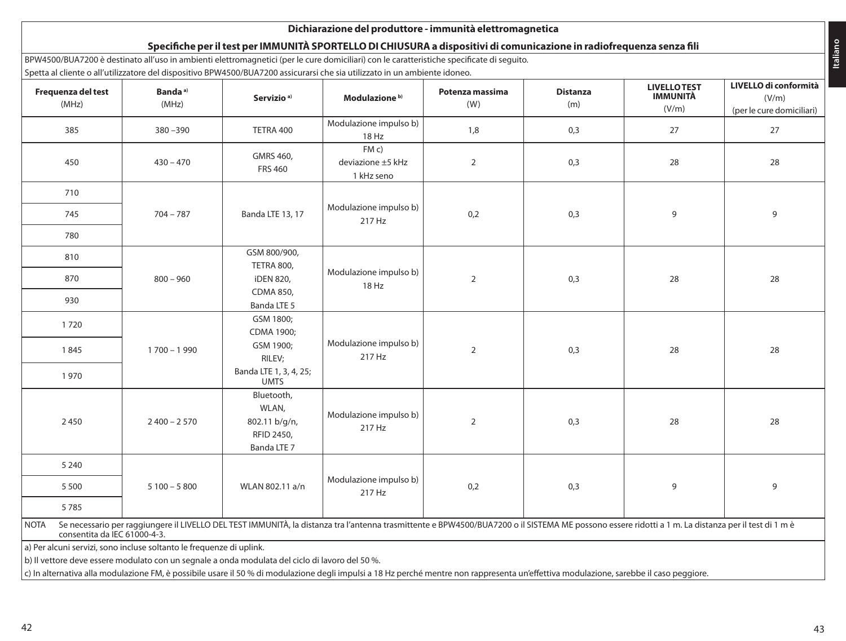|                             | Spetta al cliente o all'utilizzatore del dispositivo BPW4500/BUA7200 assicurarsi che sia utilizzato in un ambiente idoneo.                                                                                                          |                                                                   |                                        | BPW4500/BUA7200 è destinato all'uso in ambienti elettromagnetici (per le cure domiciliari) con le caratteristiche specificate di seguito. |                        |                                                |                                                             |
|-----------------------------|-------------------------------------------------------------------------------------------------------------------------------------------------------------------------------------------------------------------------------------|-------------------------------------------------------------------|----------------------------------------|-------------------------------------------------------------------------------------------------------------------------------------------|------------------------|------------------------------------------------|-------------------------------------------------------------|
| Frequenza del test<br>(MHz) | Banda <sup>a)</sup><br>(MHz)                                                                                                                                                                                                        | Servizio <sup>a)</sup>                                            | Modulazione <sup>b)</sup>              | Potenza massima<br>(W)                                                                                                                    | <b>Distanza</b><br>(m) | <b>LIVELLOTEST</b><br><b>IMMUNITÀ</b><br>(V/m) | LIVELLO di conformità<br>(V/m)<br>(per le cure domiciliari) |
| 385                         | $380 - 390$                                                                                                                                                                                                                         | TETRA 400                                                         | Modulazione impulso b)<br>18 Hz        | 1,8                                                                                                                                       | 0,3                    | 27                                             | 27                                                          |
| 450                         | $430 - 470$                                                                                                                                                                                                                         | GMRS 460,<br><b>FRS 460</b>                                       | FMC<br>deviazione ±5 kHz<br>1 kHz seno | $\overline{2}$                                                                                                                            | 0,3                    | 28                                             | 28                                                          |
| 710                         |                                                                                                                                                                                                                                     |                                                                   |                                        |                                                                                                                                           |                        |                                                |                                                             |
| 745                         | $704 - 787$                                                                                                                                                                                                                         | Banda LTE 13, 17                                                  | Modulazione impulso b)<br>217 Hz       | 0,2                                                                                                                                       | 0,3                    | 9                                              | 9                                                           |
| 780                         |                                                                                                                                                                                                                                     |                                                                   |                                        |                                                                                                                                           |                        |                                                |                                                             |
| 810                         |                                                                                                                                                                                                                                     | GSM 800/900,                                                      |                                        |                                                                                                                                           |                        |                                                |                                                             |
| 870                         | $800 - 960$                                                                                                                                                                                                                         | TETRA 800,<br>iDEN 820,                                           | Modulazione impulso b)                 | $\overline{2}$                                                                                                                            | 0,3                    | 28                                             | 28                                                          |
| 930                         |                                                                                                                                                                                                                                     | CDMA 850,<br>Banda LTE 5                                          | 18 Hz                                  |                                                                                                                                           |                        |                                                |                                                             |
| 1720                        |                                                                                                                                                                                                                                     | GSM 1800;<br>CDMA 1900;                                           |                                        |                                                                                                                                           |                        |                                                |                                                             |
| 1845                        | 1700 - 1990                                                                                                                                                                                                                         | GSM 1900;<br>RILEV;                                               | Modulazione impulso b)<br>217 Hz       | $\overline{2}$                                                                                                                            | 0,3                    | 28                                             | 28                                                          |
| 1970                        |                                                                                                                                                                                                                                     | Banda LTE 1, 3, 4, 25;<br><b>UMTS</b>                             |                                        |                                                                                                                                           |                        |                                                |                                                             |
| 2450                        | $2400 - 2570$                                                                                                                                                                                                                       | Bluetooth,<br>WLAN,<br>802.11 b/g/n,<br>RFID 2450,<br>Banda LTE 7 | Modulazione impulso b)<br>217 Hz       | $\overline{2}$                                                                                                                            | 0,3                    | 28                                             | 28                                                          |
| 5 2 4 0                     |                                                                                                                                                                                                                                     |                                                                   |                                        |                                                                                                                                           |                        |                                                |                                                             |
| 5 5 0 0                     | $5100 - 5800$                                                                                                                                                                                                                       | WLAN 802.11 a/n                                                   | Modulazione impulso b)<br>217 Hz       | 0,2                                                                                                                                       | 0,3                    | 9                                              | 9                                                           |
| 5785                        |                                                                                                                                                                                                                                     |                                                                   |                                        |                                                                                                                                           |                        |                                                |                                                             |
| <b>NOTA</b>                 | Se necessario per raggiungere il LIVELLO DEL TEST IMMUNITÀ, la distanza tra l'antenna trasmittente e BPW4500/BUA7200 o il SISTEMA ME possono essere ridotti a 1 m. La distanza per il test di 1 m è<br>consentita da IEC 61000-4-3. |                                                                   |                                        |                                                                                                                                           |                        |                                                |                                                             |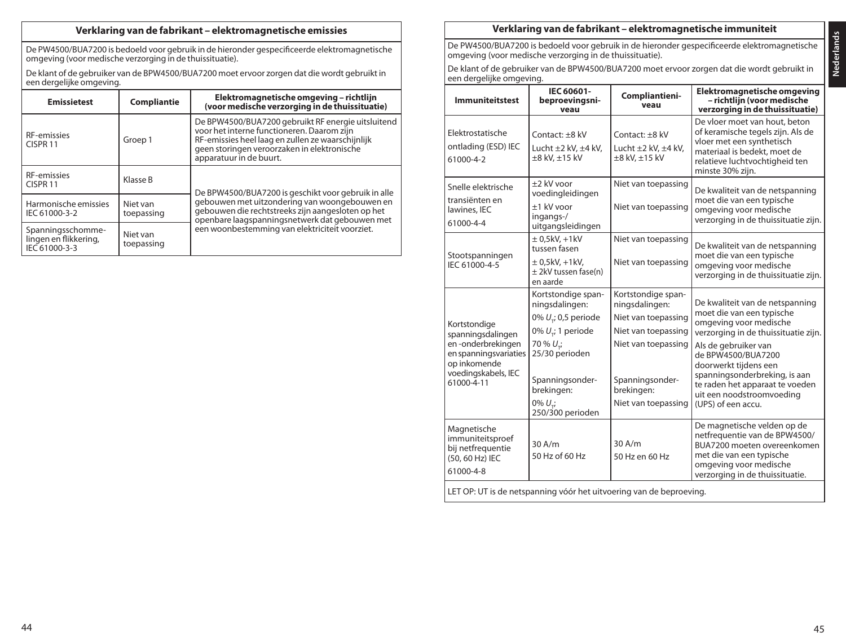### **Verklaring van de fabrikant – elektromagnetische emissies**

De PW4500/BUA7200 is bedoeld voor gebruik in de hieronder gespecificeerde elektromagnetische omgeving (voor medische verzorging in de thuissituatie).

De klant of de gebruiker van de BPW4500/BUA7200 moet ervoor zorgen dat die wordt gebruikt in een dergelijke omgeving.

| <b>Emissietest</b>                                          | Compliantie            | Elektromagnetische omgeving - richtlijn<br>(voor medische verzorging in de thuissituatie)                                                                                                                                       |
|-------------------------------------------------------------|------------------------|---------------------------------------------------------------------------------------------------------------------------------------------------------------------------------------------------------------------------------|
| <b>RF-emissies</b><br>CISPR <sub>11</sub>                   | Groep 1                | De BPW4500/BUA7200 gebruikt RF energie uitsluitend<br>voor het interne functioneren. Daarom zijn<br>RF-emissies heel laag en zullen ze waarschijnlijk<br>geen storingen veroorzaken in elektronische<br>apparatuur in de buurt. |
| <b>RF-emissies</b><br>CISPR <sub>11</sub>                   | Klasse B               | De BPW4500/BUA7200 is geschikt voor gebruik in alle                                                                                                                                                                             |
| Harmonische emissies<br>IEC 61000-3-2                       | Niet van<br>toepassing | gebouwen met uitzondering van woongebouwen en<br>gebouwen die rechtstreeks zijn aangesloten op het<br>openbare laagspanningsnetwerk dat gebouwen met                                                                            |
| Spanningsschomme-<br>lingen en flikkering,<br>IEC 61000-3-3 | Niet van<br>toepassing | een woonbestemming van elektriciteit voorziet.                                                                                                                                                                                  |

### **Verklaring van de fabrikant – elektromagnetische immuniteit**

De PW4500/BUA7200 is bedoeld voor gebruik in de hieronder gespecificeerde elektromagnetische omgeving (voor medische verzorging in de thuissituatie).

De klant of de gebruiker van de BPW4500/BUA7200 moet ervoor zorgen dat die wordt gebruikt in een dergelijke omgeving.

| <b>Immuniteitstest</b>                                                                                                                                      | IEC 60601-<br>beproevingsni-<br>veau                                                                                                                                                                | Compliantieni-<br>veau                                                                                                                                            | Elektromagnetische omgeving<br>- richtlijn (voor medische<br>verzorging in de thuissituatie)                                                                                                                                                                                                                                 |
|-------------------------------------------------------------------------------------------------------------------------------------------------------------|-----------------------------------------------------------------------------------------------------------------------------------------------------------------------------------------------------|-------------------------------------------------------------------------------------------------------------------------------------------------------------------|------------------------------------------------------------------------------------------------------------------------------------------------------------------------------------------------------------------------------------------------------------------------------------------------------------------------------|
| Elektrostatische<br>ontlading (ESD) IEC<br>61000-4-2                                                                                                        | Contact: +8 kV<br>Lucht $\pm 2$ kV, $\pm 4$ kV,<br>±8 kV, ±15 kV                                                                                                                                    | Contact: +8 kV<br>Lucht $\pm 2$ kV, $\pm 4$ kV,<br>±8 kV, ±15 kV                                                                                                  | De vloer moet van hout, beton<br>of keramische tegels zijn. Als de<br>vloer met een synthetisch<br>materiaal is bedekt, moet de<br>relatieve luchtvochtigheid ten<br>minste 30% ziin.                                                                                                                                        |
| Snelle elektrische<br>transiënten en<br>lawines, IEC<br>61000-4-4                                                                                           | +2 kV voor<br>voedingleidingen<br>+1 kV voor<br>ingangs-/<br>uitgangsleidingen                                                                                                                      | Niet van toepassing<br>Niet van toepassing                                                                                                                        | De kwaliteit van de netspanning<br>moet die van een typische<br>omgeving voor medische<br>verzorging in de thuissituatie zijn.                                                                                                                                                                                               |
| Stootspanningen<br>IEC 61000-4-5                                                                                                                            | $± 0.5$ kV $. +1$ kV<br>tussen fasen<br>$\pm$ 0,5kV, +1kV,<br>± 2kV tussen fase(n)<br>en aarde                                                                                                      | Niet van toepassing<br>Niet van toepassing                                                                                                                        | De kwaliteit van de netspanning<br>moet die van een typische<br>omgeving voor medische<br>verzorging in de thuissituatie zijn.                                                                                                                                                                                               |
| Kortstondiae<br>spanningsdalingen<br>en-onderbrekingen<br>en spanningsvariaties<br>op inkomende<br>voedingskabels, IEC<br>61000-4-11                        | Kortstondige span-<br>ningsdalingen:<br>0% U <sub>r</sub> ; 0,5 periode<br>0% $U_{\nu}$ ; 1 periode<br>70 % U.;<br>25/30 perioden<br>Spanningsonder-<br>brekingen:<br>$0\% U$ ;<br>250/300 perioden | Kortstondige span-<br>ningsdalingen:<br>Niet van toepassing<br>Niet van toepassing<br>Niet van toepassing<br>Spanningsonder-<br>brekingen:<br>Niet van toepassing | De kwaliteit van de netspanning<br>moet die van een typische<br>omgeving voor medische<br>verzorging in de thuissituatie zijn.<br>Als de gebruiker van<br>de BPW4500/BUA7200<br>doorwerkt tijdens een<br>spanningsonderbreking, is aan<br>te raden het apparaat te voeden<br>uit een noodstroomvoeding<br>(UPS) of een accu. |
| Magnetische<br>immuniteitsproef<br>bij netfrequentie<br>(50, 60 Hz) IEC<br>61000-4-8<br>LET OP: UT is de netspanning vóór het uitvoering van de beproeving. | 30 A/m<br>50 Hz of 60 Hz                                                                                                                                                                            | $30$ A/m<br>50 Hz en 60 Hz                                                                                                                                        | De magnetische velden op de<br>netfrequentie van de BPW4500/<br>BUA7200 moeten overeenkomen<br>met die van een typische<br>omgeving voor medische<br>verzorging in de thuissituatie.                                                                                                                                         |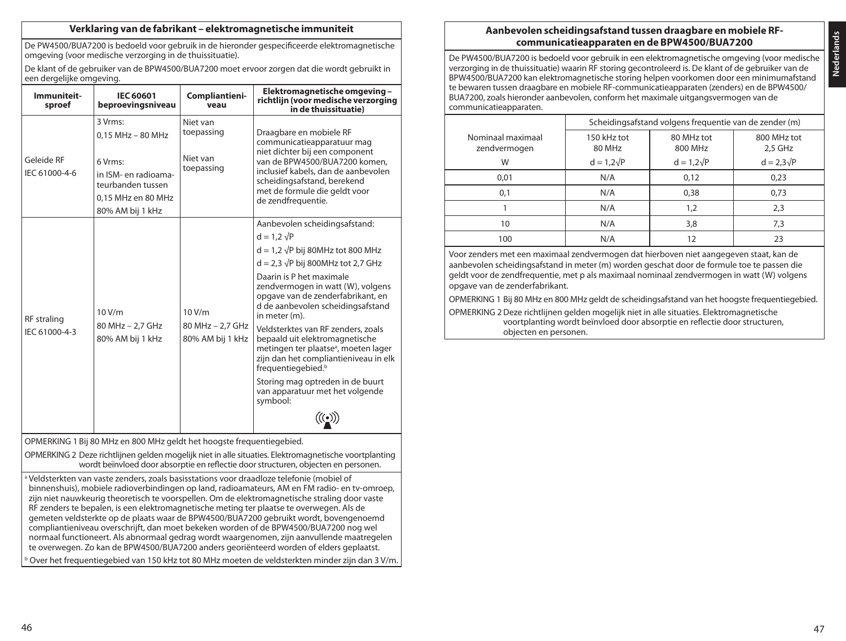### **Verklaring van de fabrikant – elektromagnetische immuniteit**

De PW4500/BUA7200 is bedoeld voor gebruik in de hieronder gespecificeerde elektromagnetische omgeving (voor medische verzorging in de thuissituatie).

De klant of de gebruiker van de BPW4500/BUA7200 moet ervoor zorgen dat die wordt gebruikt in een dergelijke omgeving.

| Immuniteit-<br>sproef                                                                                                                                                                                                                                                                                                                                                                                                                                                                                                                                                                                                                                                                                                                                                                                                                                                                                                                                             | <b>IEC 60601</b><br>beproevingsniveau                                                                                              | Compliantieni-<br>veau                           | Elektromagnetische omgeving-<br>richtlijn (voor medische verzorging<br>in de thuissituatie)                                                                                                                                                                                                                                                                                                                                                                                                                                                                                                                                                            |  |  |
|-------------------------------------------------------------------------------------------------------------------------------------------------------------------------------------------------------------------------------------------------------------------------------------------------------------------------------------------------------------------------------------------------------------------------------------------------------------------------------------------------------------------------------------------------------------------------------------------------------------------------------------------------------------------------------------------------------------------------------------------------------------------------------------------------------------------------------------------------------------------------------------------------------------------------------------------------------------------|------------------------------------------------------------------------------------------------------------------------------------|--------------------------------------------------|--------------------------------------------------------------------------------------------------------------------------------------------------------------------------------------------------------------------------------------------------------------------------------------------------------------------------------------------------------------------------------------------------------------------------------------------------------------------------------------------------------------------------------------------------------------------------------------------------------------------------------------------------------|--|--|
| Geleide RF<br>IEC 61000-4-6                                                                                                                                                                                                                                                                                                                                                                                                                                                                                                                                                                                                                                                                                                                                                                                                                                                                                                                                       | 3 Vrms:<br>$0.15$ MHz $-$ 80 MHz<br>6 Vrms:<br>in ISM- en radioama-<br>teurbanden tussen<br>0.15 MHz en 80 MHz<br>80% AM bij 1 kHz | Niet van<br>toepassing<br>Niet van<br>toepassing | Draagbare en mobiele RF<br>communicatieapparatuur mag<br>niet dichter bij een component<br>van de BPW4500/BUA7200 komen.<br>inclusief kabels, dan de aanbevolen<br>scheidingsafstand, berekend<br>met de formule die geldt voor<br>de zendfrequentie.                                                                                                                                                                                                                                                                                                                                                                                                  |  |  |
| <b>RF</b> straling<br>IEC 61000-4-3                                                                                                                                                                                                                                                                                                                                                                                                                                                                                                                                                                                                                                                                                                                                                                                                                                                                                                                               | 10V/m<br>80 MHz - 2,7 GHz<br>80% AM bij 1 kHz                                                                                      | 10V/m<br>80 MHz - 2,7 GHz<br>80% AM bij 1 kHz    | Aanbevolen scheidingsafstand:<br>$d = 1.2 \sqrt{P}$<br>$d = 1.2 \sqrt{P}$ bij 80MHz tot 800 MHz<br>$d = 2.3 \sqrt{P}$ bij 800MHz tot 2.7 GHz<br>Daarin is P het maximale<br>zendvermogen in watt (W), volgens<br>opgave van de zenderfabrikant, en<br>d de aanbevolen scheidingsafstand<br>in meter (m).<br>Veldsterktes van RF zenders, zoals<br>bepaald uit elektromagnetische<br>metingen ter plaatse <sup>a</sup> , moeten lager<br>zijn dan het compliantieniveau in elk<br>frequentiegebied. <sup>b</sup><br>Storing mag optreden in de buurt<br>van apparatuur met het volgende<br>symbool:<br>$\bigl(\!\bigl(\mathbf{(\bullet)}\bigr)\!\bigl)$ |  |  |
|                                                                                                                                                                                                                                                                                                                                                                                                                                                                                                                                                                                                                                                                                                                                                                                                                                                                                                                                                                   | OPMERKING 1 Bij 80 MHz en 800 MHz geldt het hoogste frequentiegebied.                                                              |                                                  |                                                                                                                                                                                                                                                                                                                                                                                                                                                                                                                                                                                                                                                        |  |  |
| OPMERKING 2 Deze richtlijnen gelden mogelijk niet in alle situaties. Elektromagnetische voortplanting<br>wordt beïnvloed door absorptie en reflectie door structuren, objecten en personen.<br>a Veldsterkten van vaste zenders, zoals basisstations voor draadloze telefonie (mobiel of<br>binnenshuis), mobiele radioverbindingen op land, radioamateurs, AM en FM radio- en tv-omroep,<br>zijn niet nauwkeurig theoretisch te voorspellen. Om de elektromagnetische straling door vaste<br>RF zenders te bepalen, is een elektromagnetische meting ter plaatse te overwegen. Als de<br>gemeten veldsterkte op de plaats waar de BPW4500/BUA7200 gebruikt wordt, bovengenoemd<br>compliantieniveau overschrijft, dan moet bekeken worden of de BPW4500/BUA7200 nog wel<br>normaal functioneert. Als abnormaal gedrag wordt waargenomen, zijn aanvullende maatregelen<br>te overwegen. Zo kan de BPW4500/BUA7200 anders georiënteerd worden of elders geplaatst. |                                                                                                                                    |                                                  |                                                                                                                                                                                                                                                                                                                                                                                                                                                                                                                                                                                                                                                        |  |  |

# **Aanbevolen scheidingsafstand tussen draagbare en mobiele RFcommunicatieapparaten en de BPW4500/BUA7200**

De PW4500/BUA7200 is bedoeld voor gebruik in een elektromagnetische omgeving (voor medische verzorging in de thuissituatie) waarin RF storing gecontroleerd is. De klant of de gebruiker van de BPW4500/BUA7200 kan elektromagnetische storing helpen voorkomen door een minimumafstand te bewaren tussen draagbare en mobiele RF-communicatieapparaten (zenders) en de BPW4500/ BUA7200, zoals hieronder aanbevolen, conform het maximale uitgangsvermogen van de communicatieapparaten.

|                                   | Scheidingsafstand volgens frequentie van de zender (m) |                       |                        |  |  |
|-----------------------------------|--------------------------------------------------------|-----------------------|------------------------|--|--|
| Nominaal maximaal<br>zendvermogen | 150 kHz tot<br>80 MHz                                  | 80 MHz tot<br>800 MHz | 800 MHz tot<br>2,5 GHz |  |  |
| W                                 | $d = 1,2\sqrt{P}$                                      | $d = 1,2\sqrt{P}$     | $d = 2.3\sqrt{P}$      |  |  |
| 0.01                              | N/A                                                    | 0,12                  | 0,23                   |  |  |
| 0,1                               | N/A                                                    | 0.38                  | 0,73                   |  |  |
|                                   | N/A                                                    | 1,2                   | 2,3                    |  |  |
| 10                                | N/A                                                    | 3,8                   | 7,3                    |  |  |
| 100                               | N/A                                                    | 12                    | 23                     |  |  |
|                                   |                                                        |                       |                        |  |  |

Voor zenders met een maximaal zendvermogen dat hierboven niet aangegeven staat, kan de aanbevolen scheidingsafstand in meter (m) worden geschat door de formule toe te passen die geldt voor de zendfrequentie, met p als maximaal nominaal zendvermogen in watt (W) volgens opgave van de zenderfabrikant.

OPMERKING 1 Bij 80 MHz en 800 MHz geldt de scheidingsafstand van het hoogste frequentiegebied.

OPMERKING 2 Deze richtlijnen gelden mogelijk niet in alle situaties. Elektromagnetische voortplanting wordt beïnvloed door absorptie en reflectie door structuren, objecten en personen.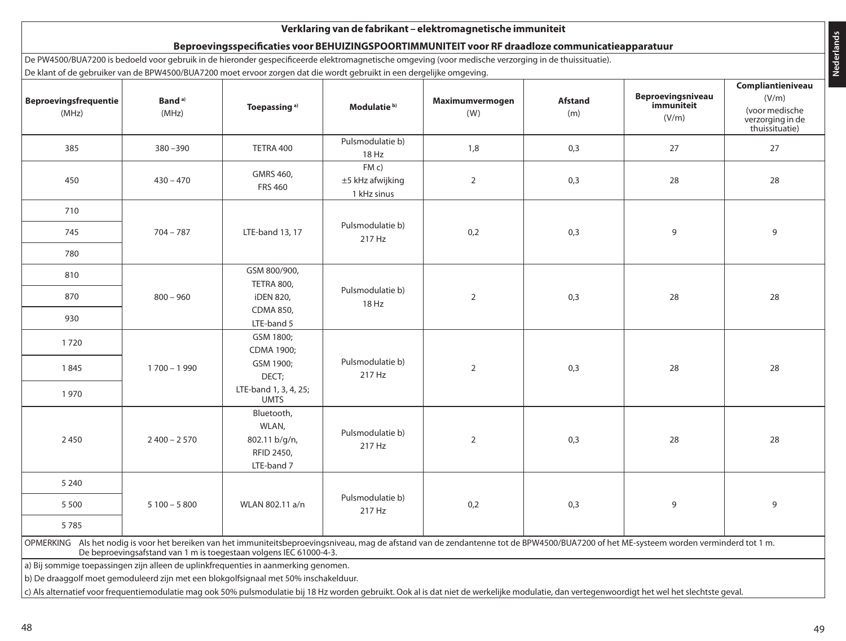|                                       |                             | De klant of de gebruiker van de BPW4500/BUA7200 moet ervoor zorgen dat die wordt gebruikt in een dergelijke omgeving. |                                          |                                                                                                                                                                                          |                       |                                                 | Compliantieniveau                                             |
|---------------------------------------|-----------------------------|-----------------------------------------------------------------------------------------------------------------------|------------------------------------------|------------------------------------------------------------------------------------------------------------------------------------------------------------------------------------------|-----------------------|-------------------------------------------------|---------------------------------------------------------------|
| <b>Beproevingsfrequentie</b><br>(MHz) | Band <sup>a)</sup><br>(MHz) | Toepassing <sup>a)</sup>                                                                                              | Modulatie <sup>b)</sup>                  | Maximumvermogen<br>(W)                                                                                                                                                                   | <b>Afstand</b><br>(m) | <b>Beproevingsniveau</b><br>immuniteit<br>(V/m) | (V/m)<br>(voor medische<br>verzorging in de<br>thuissituatie) |
| 385                                   | 380-390                     | TETRA 400                                                                                                             | Pulsmodulatie b)<br>18 Hz                | 1,8                                                                                                                                                                                      | 0,3                   | 27                                              | 27                                                            |
| 450                                   | $430 - 470$                 | GMRS 460,<br><b>FRS 460</b>                                                                                           | FMC<br>$±5$ kHz afwijking<br>1 kHz sinus | $\overline{2}$                                                                                                                                                                           | 0,3                   | 28                                              | 28                                                            |
| 710                                   |                             |                                                                                                                       |                                          |                                                                                                                                                                                          |                       |                                                 |                                                               |
| 745                                   | $704 - 787$                 | LTE-band 13, 17                                                                                                       | Pulsmodulatie b)<br>217 Hz               | 0,2                                                                                                                                                                                      | 0,3                   | 9                                               | 9                                                             |
| 780                                   |                             |                                                                                                                       |                                          |                                                                                                                                                                                          |                       |                                                 |                                                               |
| 810                                   |                             | GSM 800/900,                                                                                                          |                                          |                                                                                                                                                                                          |                       |                                                 |                                                               |
| 870                                   | $800 - 960$                 | <b>TETRA 800,</b><br><b>iDEN 820,</b>                                                                                 | Pulsmodulatie b)<br>18 Hz                | $\overline{2}$                                                                                                                                                                           | 0,3                   | 28                                              | 28                                                            |
| 930                                   |                             | <b>CDMA 850.</b><br>LTE-band 5                                                                                        |                                          |                                                                                                                                                                                          |                       |                                                 |                                                               |
| 1720                                  |                             | GSM 1800:<br>CDMA 1900;                                                                                               |                                          |                                                                                                                                                                                          |                       |                                                 |                                                               |
| 1845                                  | $1700 - 1990$               | GSM 1900;<br>DECT;                                                                                                    | Pulsmodulatie b)<br>217 Hz               | $\overline{2}$                                                                                                                                                                           | 0,3                   | 28                                              | 28                                                            |
| 1970                                  |                             | LTE-band 1, 3, 4, 25;<br><b>UMTS</b>                                                                                  |                                          |                                                                                                                                                                                          |                       |                                                 |                                                               |
| 2450                                  | $2400 - 2570$               | Bluetooth,<br>WLAN,<br>802.11 b/g/n,<br>RFID 2450,<br>LTE-band 7                                                      | Pulsmodulatie b)<br>217 Hz               | $\overline{2}$                                                                                                                                                                           | 0,3                   | 28                                              | 28                                                            |
| 5 2 4 0                               |                             |                                                                                                                       |                                          |                                                                                                                                                                                          |                       |                                                 |                                                               |
| 5 5 0 0                               | $5100 - 5800$               | WLAN 802.11 a/n                                                                                                       | Pulsmodulatie b)<br>217 Hz               | 0,2                                                                                                                                                                                      | 0,3                   | 9                                               | 9                                                             |
| 5785                                  |                             |                                                                                                                       |                                          |                                                                                                                                                                                          |                       |                                                 |                                                               |
|                                       |                             | De beproevingsafstand van 1 m is toegestaan volgens IEC 61000-4-3.                                                    |                                          | OPMERKING Als het nodig is voor het bereiken van het immuniteitsbeproevingsniveau, mag de afstand van de zendantenne tot de BPW4500/BUA7200 of het ME-systeem worden verminderd tot 1 m. |                       |                                                 |                                                               |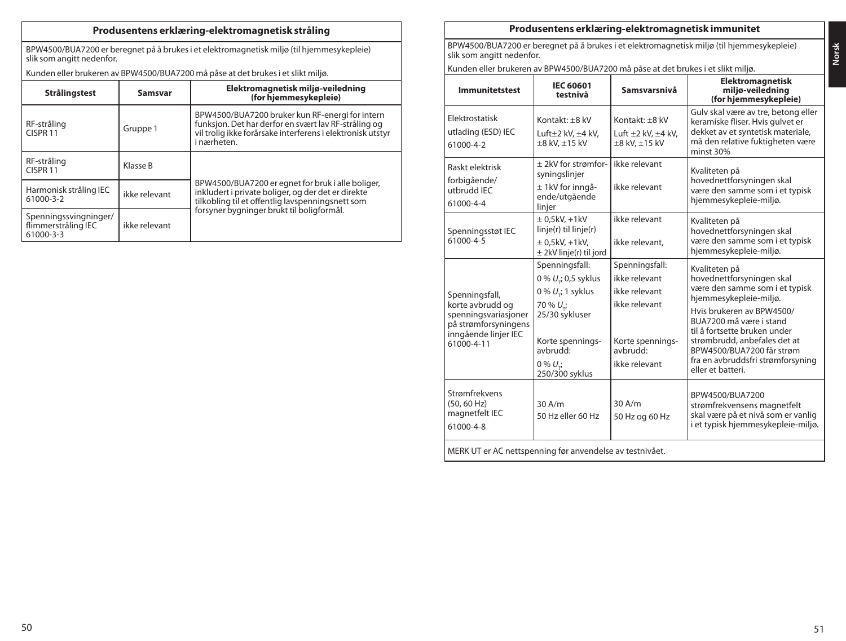# **Produsentens erklæring-elektromagnetisk stråling**

BPW4500/BUA7200 er beregnet på å brukes i et elektromagnetisk miljø (til hjemmesykepleie) slik som angitt nedenfor.

Kunden eller brukeren av BPW4500/BUA7200 må påse at det brukes i et slikt miljø.

| Strålingstest                                             | Samsvar       | Elektromagnetisk miljø-veiledning<br>(for hjemmesykepleie)                                                                                                                           |
|-----------------------------------------------------------|---------------|--------------------------------------------------------------------------------------------------------------------------------------------------------------------------------------|
| RF-stråling<br>CISPR <sub>11</sub>                        | Gruppe 1      | BPW4500/BUA7200 bruker kun RF-energi for intern<br>funksjon. Det har derfor en svært lav RF-stråling og<br>vil trolig ikke forårsake interferens i elektronisk utstyr<br>i nærheten. |
| RF-stråling<br>CISPR <sub>11</sub>                        | Klasse B      |                                                                                                                                                                                      |
| Harmonisk stråling IEC<br>61000-3-2                       | ikke relevant | BPW4500/BUA7200 er egnet for bruk i alle boliger,<br>inkludert i private boliger, og der det er direkte<br>tilkobling til et offentlig lavspenningsnett som                          |
| Spenningssvingninger/<br>flimmerstråling IEC<br>61000-3-3 | ikke relevant | forsyner bygninger brukt til boligformål.                                                                                                                                            |

# **Produsentens erklæring-elektromagnetisk immunitet**

slik som angitt nedenfor. Kunden eller brukeren av BPW4500/BUA7200 må påse at det brukes i et slikt miljø.

BPW4500/BUA7200 er beregnet på å brukes i et elektromagnetisk miljø (til hjemmesykepleie)

| <b>Immunitetstest</b>                                                                                                    | IEC 60601<br>testnivå                                                                                                                                                      | Samsvarsnivå                                                                                                      | <b>Elektromagnetisk</b><br>miljø-veiledning<br>(for hjemmesykepleie)                                                                                                                                                                                                                                                  |  |  |  |
|--------------------------------------------------------------------------------------------------------------------------|----------------------------------------------------------------------------------------------------------------------------------------------------------------------------|-------------------------------------------------------------------------------------------------------------------|-----------------------------------------------------------------------------------------------------------------------------------------------------------------------------------------------------------------------------------------------------------------------------------------------------------------------|--|--|--|
| Elektrostatisk<br>utlading (ESD) IEC<br>61000-4-2                                                                        | Kontakt: +8 kV<br>Luft $\pm 2$ kV, $\pm 4$ kV,<br>$\pm 8$ kV, $\pm 15$ kV                                                                                                  | Kontakt: +8 kV<br>Luft $\pm 2$ kV, $\pm 4$ kV,<br>$\pm 8$ kV, $\pm 15$ kV                                         | Gulv skal være av tre, betong eller<br>keramiske fliser. Hvis gulvet er<br>dekket av et syntetisk materiale.<br>må den relative fuktigheten være<br>minst 30%                                                                                                                                                         |  |  |  |
| Raskt elektrisk<br>forbigående/<br>utbrudd IEC<br>61000-4-4                                                              | + 2kV for strømfor-<br>syningslinjer<br>± 1kV for inngå-<br>ende/utgående<br>linjer                                                                                        | ikke relevant<br>ikke relevant                                                                                    | Kvaliteten på<br>hovednettforsyningen skal<br>være den samme som i et typisk<br>hjemmesykepleie-miljø.                                                                                                                                                                                                                |  |  |  |
| Spenningsstøt IEC<br>61000-4-5                                                                                           | $± 0.5$ kV $. +1$ kV<br>linje(r) til linje(r)<br>$\pm$ 0,5kV, +1kV,<br>$\pm$ 2kV linje(r) til jord                                                                         | ikke relevant<br>ikke relevant.                                                                                   | Kvaliteten på<br>hovednettforsyningen skal<br>være den samme som i et typisk<br>hjemmesykepleie-miljø.                                                                                                                                                                                                                |  |  |  |
| Spenningsfall,<br>korte avbrudd og<br>spenningsvariasjoner<br>på strømforsyningens<br>inngående linjer IEC<br>61000-4-11 | Spenningsfall:<br>0 % $U_{\tau}$ ; 0,5 syklus<br>$0\% U$ ; 1 syklus<br>$70\% U$ ;<br>25/30 sykluser<br>Korte spennings-<br>avbrudd:<br>$0\% U_{\star i}$<br>250/300 syklus | Spenningsfall:<br>ikke relevant<br>ikke relevant<br>ikke relevant<br>Korte spennings-<br>avbrudd<br>ikke relevant | Kvaliteten på<br>hovednettforsyningen skal<br>være den samme som i et typisk<br>hjemmesykepleie-miljø.<br>Hvis brukeren av BPW4500/<br>BUA7200 må være i stand<br>til å fortsette bruken under<br>strømbrudd, anbefales det at<br>BPW4500/BUA7200 får strøm<br>fra en avbruddsfri strømforsyning<br>eller et batteri. |  |  |  |
| Strømfrekvens<br>(50, 60 Hz)<br>magnetfelt IEC<br>61000-4-8                                                              | 30A/m<br>50 Hz eller 60 Hz                                                                                                                                                 | 30 A/m<br>50 Hz og 60 Hz                                                                                          | BPW4500/BUA7200<br>strømfrekvensens magnetfelt<br>skal være på et nivå som er vanlig<br>i et typisk hjemmesykepleie-miljø.                                                                                                                                                                                            |  |  |  |
| MERK UT er AC nettspenning før anvendelse av testnivået.                                                                 |                                                                                                                                                                            |                                                                                                                   |                                                                                                                                                                                                                                                                                                                       |  |  |  |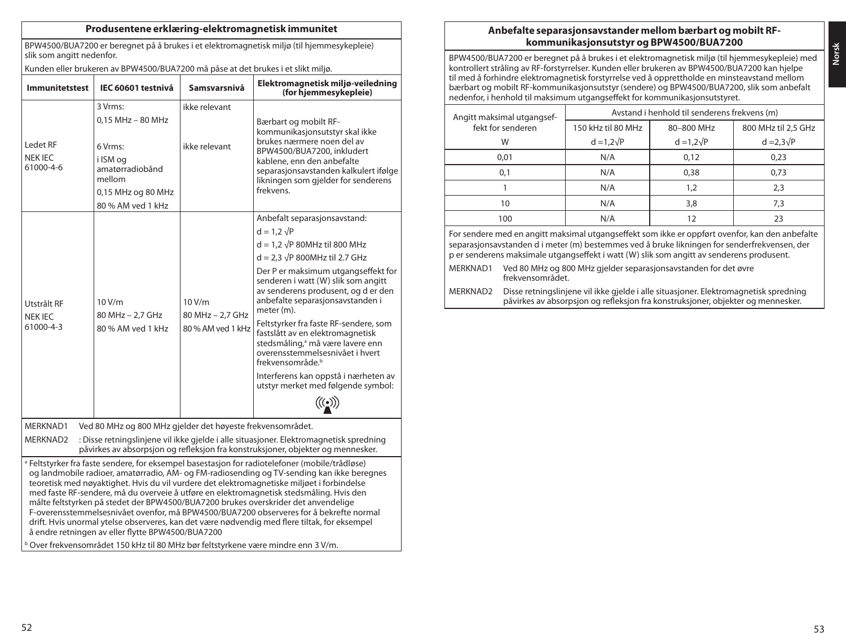### **Produsentene erklæring-elektromagnetisk immunitet**

BPW4500/BUA7200 er beregnet på å brukes i et elektromagnetisk miljø (til hjemmesykepleie) slik som angitt nedenfor.

Kunden eller brukeren av BPW4500/BUA7200 må påse at det brukes i et slikt miljø.

| <b>Immunitetstest</b>                                                                                                                                                                                                                                                                                                                                                                                                                                                                                                                                                                                                                                                                                                                                                                                                                 | IEC 60601 testnivå                                                                                               | Samsvarsnivå               | Elektromagnetisk miljø-veiledning<br>(for hjemmesykepleie)                                                                                                                                                                                     |  |
|---------------------------------------------------------------------------------------------------------------------------------------------------------------------------------------------------------------------------------------------------------------------------------------------------------------------------------------------------------------------------------------------------------------------------------------------------------------------------------------------------------------------------------------------------------------------------------------------------------------------------------------------------------------------------------------------------------------------------------------------------------------------------------------------------------------------------------------|------------------------------------------------------------------------------------------------------------------|----------------------------|------------------------------------------------------------------------------------------------------------------------------------------------------------------------------------------------------------------------------------------------|--|
|                                                                                                                                                                                                                                                                                                                                                                                                                                                                                                                                                                                                                                                                                                                                                                                                                                       | 3 Vrms:                                                                                                          | ikke relevant              |                                                                                                                                                                                                                                                |  |
| Ledet RF<br>NEK IEC<br>61000-4-6                                                                                                                                                                                                                                                                                                                                                                                                                                                                                                                                                                                                                                                                                                                                                                                                      | 0.15 MHz - 80 MHz<br>6 Vrms:<br>i ISM og<br>amatørradiobånd<br>mellom<br>0,15 MHz og 80 MHz<br>80 % AM ved 1 kHz | ikke relevant              | Bærbart og mobilt RF-<br>kommunikasjonsutstyr skal ikke<br>brukes nærmere noen del av<br>BPW4500/BUA7200, inkludert<br>kablene, enn den anbefalte<br>separasjonsavstanden kalkulert ifølge<br>likningen som gjelder for senderens<br>frekvens. |  |
|                                                                                                                                                                                                                                                                                                                                                                                                                                                                                                                                                                                                                                                                                                                                                                                                                                       |                                                                                                                  |                            | Anbefalt separasjonsavstand:<br>$d = 1.2 \sqrt{P}$                                                                                                                                                                                             |  |
|                                                                                                                                                                                                                                                                                                                                                                                                                                                                                                                                                                                                                                                                                                                                                                                                                                       |                                                                                                                  |                            | $d = 1.2 \sqrt{P}$ 80MHz til 800 MHz                                                                                                                                                                                                           |  |
|                                                                                                                                                                                                                                                                                                                                                                                                                                                                                                                                                                                                                                                                                                                                                                                                                                       |                                                                                                                  |                            | $d = 2.3 \sqrt{P}$ 800MHz til 2.7 GHz                                                                                                                                                                                                          |  |
| Utstrålt RF<br>NEK IEC                                                                                                                                                                                                                                                                                                                                                                                                                                                                                                                                                                                                                                                                                                                                                                                                                | 10V/m<br>80 MHz - 2.7 GHz                                                                                        | 10 V/m<br>80 MHz - 2.7 GHz | Der P er maksimum utgangseffekt for<br>senderen i watt (W) slik som angitt<br>av senderens produsent, og d er den<br>anbefalte separasjonsavstanden i<br>meter (m).                                                                            |  |
| 61000-4-3                                                                                                                                                                                                                                                                                                                                                                                                                                                                                                                                                                                                                                                                                                                                                                                                                             | 80 % AM ved 1 kHz                                                                                                | 80 % AM yed 1 kHz          | Feltstyrker fra faste RF-sendere, som<br>fastslått av en elektromagnetisk<br>stedsmåling, <sup>a</sup> må være lavere enn<br>overensstemmelsesnivået i hvert<br>frekvensområde. <sup>b</sup>                                                   |  |
|                                                                                                                                                                                                                                                                                                                                                                                                                                                                                                                                                                                                                                                                                                                                                                                                                                       |                                                                                                                  |                            | Interferens kan oppstå i nærheten av<br>utstyr merket med følgende symbol:                                                                                                                                                                     |  |
|                                                                                                                                                                                                                                                                                                                                                                                                                                                                                                                                                                                                                                                                                                                                                                                                                                       |                                                                                                                  |                            | $\mathcal{C}(\bullet)$                                                                                                                                                                                                                         |  |
| MERKNAD1                                                                                                                                                                                                                                                                                                                                                                                                                                                                                                                                                                                                                                                                                                                                                                                                                              | Ved 80 MHz og 800 MHz gjelder det høyeste frekvensområdet.                                                       |                            |                                                                                                                                                                                                                                                |  |
| MERKNAD2                                                                                                                                                                                                                                                                                                                                                                                                                                                                                                                                                                                                                                                                                                                                                                                                                              |                                                                                                                  |                            | : Disse retningslinjene vil ikke gjelde i alle situasjoner. Elektromagnetisk spredning<br>påvirkes av absorpsjon og refleksjon fra konstruksjoner, objekter og mennesker.                                                                      |  |
| <sup>a</sup> Feltstyrker fra faste sendere, for eksempel basestasjon for radiotelefoner (mobile/trådløse)<br>og landmobile radioer, amatørradio, AM- og FM-radiosending og TV-sending kan ikke beregnes<br>teoretisk med nøyaktighet. Hvis du vil vurdere det elektromagnetiske miljøet i forbindelse<br>med faste RF-sendere, må du overveie å utføre en elektromagnetisk stedsmåling. Hvis den<br>målte feltstyrken på stedet der BPW4500/BUA7200 brukes overskrider det anvendelige<br>F-overensstemmelsesnivået ovenfor, må BPW4500/BUA7200 observeres for å bekrefte normal<br>drift. Hvis unormal ytelse observeres, kan det være nødvendig med flere tiltak, for eksempel<br>å endre retningen av eller flytte BPW4500/BUA7200<br><sup>b</sup> Over frekvensområdet 150 kHz til 80 MHz bør feltstyrkene være mindre enn 3 V/m. |                                                                                                                  |                            |                                                                                                                                                                                                                                                |  |

# **Anbefalte separasjonsavstander mellom bærbart og mobilt RFkommunikasjonsutstyr og BPW4500/BUA7200**

BPW4500/BUA7200 er beregnet på å brukes i et elektromagnetisk miljø (til hjemmesykepleie) med kontrollert stråling av RF-forstyrrelser. Kunden eller brukeren av BPW4500/BUA7200 kan hjelpe til med å forhindre elektromagnetisk forstyrrelse ved å opprettholde en minsteavstand mellom bærbart og mobilt RF-kommunikasjonsutstyr (sendere) og BPW4500/BUA7200, slik som anbefalt nedenfor, i henhold til maksimum utgangseffekt for kommunikasjonsutstyret.

| Angitt maksimal utgangsef- | Avstand i henhold til senderens frekvens (m) |                   |                     |  |  |
|----------------------------|----------------------------------------------|-------------------|---------------------|--|--|
| fekt for senderen          | 150 kHz til 80 MHz                           | 80-800 MHz        | 800 MHz til 2.5 GHz |  |  |
| W                          | $d = 1.2\sqrt{P}$                            | $d = 1.2\sqrt{P}$ | $d = 2.3\sqrt{P}$   |  |  |
| 0.01                       | N/A                                          | 0,12              | 0,23                |  |  |
| 0,1                        | N/A                                          | 0.38              | 0,73                |  |  |
|                            | N/A                                          | 1.2               | 2,3                 |  |  |
| 10                         | N/A                                          | 3,8               | 7,3                 |  |  |
| 100                        | N/A                                          |                   | 23                  |  |  |

For sendere med en angitt maksimal utgangseffekt som ikke er oppført ovenfor, kan den anbefalte separasjonsavstanden d i meter (m) bestemmes ved å bruke likningen for senderfrekvensen, der p er senderens maksimale utgangseffekt i watt (W) slik som angitt av senderens produsent.

MERKNAD1 Ved 80 MHz og 800 MHz gjelder separasjonsavstanden for det øvre frekvensområdet.

MERKNAD2 Disse retningslinjene vil ikke gjelde i alle situasjoner. Elektromagnetisk spredning påvirkes av absorpsjon og refleksjon fra konstruksjoner, objekter og mennesker.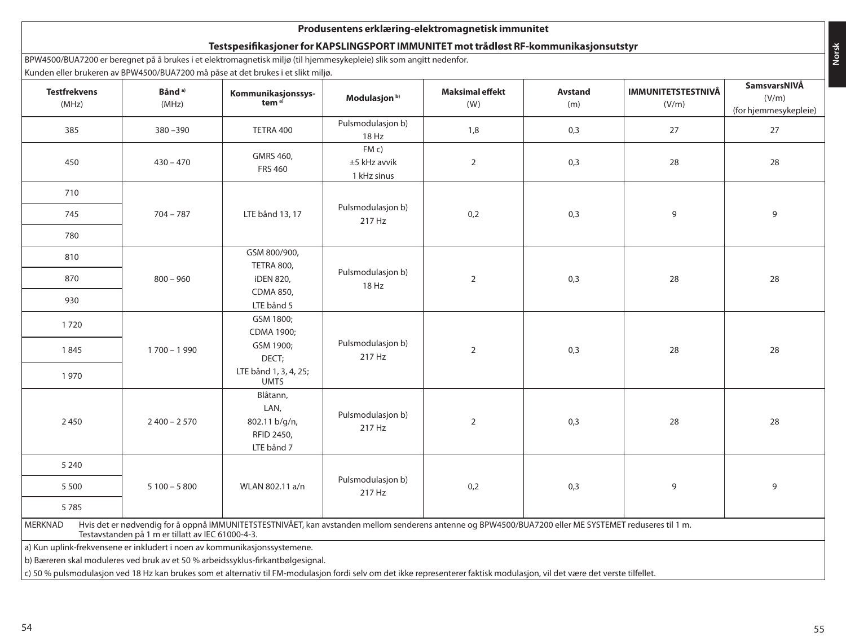# **Produsentens erklæring-elektromagnetisk immunitet**

# **Testspesifikasjoner for KAPSLINGSPORT IMMUNITET mot trådløst RF-kommunikasjonsutstyr**

BPW4500/BUA7200 er beregnet på å brukes i et elektromagnetisk miljø (til hjemmesykepleie) slik som angitt nedenfor. Kunden eller brukeren av BPW4500/BUA7200 må påse at det brukes i et slikt miljø.

| <b>Testfrekvens</b><br>(MHz)                                                                                                                                                                                           | Bånd <sup>a)</sup><br>(MHz) | where the protection of the soul born zoo ma pase at actibitates i cessite miljo.<br>Kommunikasjonssys-<br>tem <sup>a)</sup> | Modulasjon <sup>b)</sup>             | <b>Maksimal effekt</b><br>(W) | Avstand<br>(m) | <b>IMMUNITETSTESTNIVÅ</b><br>(V/m) | SamsvarsNIVÅ<br>(V/m)       |
|------------------------------------------------------------------------------------------------------------------------------------------------------------------------------------------------------------------------|-----------------------------|------------------------------------------------------------------------------------------------------------------------------|--------------------------------------|-------------------------------|----------------|------------------------------------|-----------------------------|
| 385                                                                                                                                                                                                                    | $380 - 390$                 | TETRA 400                                                                                                                    | Pulsmodulasjon b)                    | 1,8                           | 0,3            | 27                                 | (for hjemmesykepleie)<br>27 |
|                                                                                                                                                                                                                        |                             |                                                                                                                              | 18 Hz                                |                               |                |                                    |                             |
| 450                                                                                                                                                                                                                    | $430 - 470$                 | GMRS 460,<br><b>FRS 460</b>                                                                                                  | FM c)<br>±5 kHz avvik<br>1 kHz sinus | $\overline{2}$                | 0,3            | 28                                 | 28                          |
| 710                                                                                                                                                                                                                    |                             |                                                                                                                              |                                      |                               |                |                                    |                             |
| 745                                                                                                                                                                                                                    | $704 - 787$                 | LTE bånd 13, 17                                                                                                              | Pulsmodulasjon b)<br>217 Hz          | 0,2                           | 0,3            | 9                                  | 9                           |
| 780                                                                                                                                                                                                                    |                             |                                                                                                                              |                                      |                               |                |                                    |                             |
| 810                                                                                                                                                                                                                    |                             | GSM 800/900,                                                                                                                 |                                      |                               |                |                                    |                             |
| 870                                                                                                                                                                                                                    | $800 - 960$                 | TETRA 800,<br><b>iDEN 820,</b>                                                                                               | Pulsmodulasjon b)<br>18 Hz           | $\overline{2}$                | 0,3            | 28                                 | 28                          |
| 930                                                                                                                                                                                                                    |                             | CDMA 850,<br>LTE bånd 5                                                                                                      |                                      |                               |                |                                    |                             |
| 1720                                                                                                                                                                                                                   |                             | GSM 1800;<br>CDMA 1900;                                                                                                      |                                      |                               |                |                                    |                             |
| 1845                                                                                                                                                                                                                   | $1700 - 1990$               | GSM 1900;<br>DECT;                                                                                                           | Pulsmodulasjon b)<br>217 Hz          | $\overline{2}$                | 0,3            | 28                                 | 28                          |
| 1970                                                                                                                                                                                                                   |                             | LTE bånd 1, 3, 4, 25;<br><b>UMTS</b>                                                                                         |                                      |                               |                |                                    |                             |
| 2450                                                                                                                                                                                                                   | $2400 - 2570$               | Blåtann,<br>LAN,<br>802.11 b/g/n,<br>RFID 2450,<br>LTE bånd 7                                                                | Pulsmodulasjon b)<br>217 Hz          | $\overline{2}$                | 0,3            | 28                                 | 28                          |
| 5 2 4 0                                                                                                                                                                                                                |                             |                                                                                                                              |                                      |                               |                |                                    |                             |
| 5 5 0 0                                                                                                                                                                                                                | $5100 - 5800$               | WLAN 802.11 a/n                                                                                                              | Pulsmodulasjon b)<br>217 Hz          | 0,2                           | 0,3            | 9                                  | 9                           |
| 5785                                                                                                                                                                                                                   |                             |                                                                                                                              |                                      |                               |                |                                    |                             |
| Hvis det er nødvendig for å oppnå IMMUNITETSTESTNIVÅET, kan avstanden mellom senderens antenne og BPW4500/BUA7200 eller ME SYSTEMET reduseres til 1 m.<br>MERKNAD<br>Testavstanden på 1 m er tillatt av IEC 61000-4-3. |                             |                                                                                                                              |                                      |                               |                |                                    |                             |
| a) Kun uplink-frekvensene er inkludert i noen av kommunikasjonssystemene.                                                                                                                                              |                             |                                                                                                                              |                                      |                               |                |                                    |                             |
|                                                                                                                                                                                                                        |                             | b) Bæreren skal moduleres ved bruk av et 50 % arbeidssyklus-firkantbølgesignal.                                              |                                      |                               |                |                                    |                             |
| c) 50 % pulsmodulasjon ved 18 Hz kan brukes som et alternativ til FM-modulasjon fordi selv om det ikke representerer faktisk modulasjon, vil det være det verste tilfellet.                                            |                             |                                                                                                                              |                                      |                               |                |                                    |                             |

**Norsk**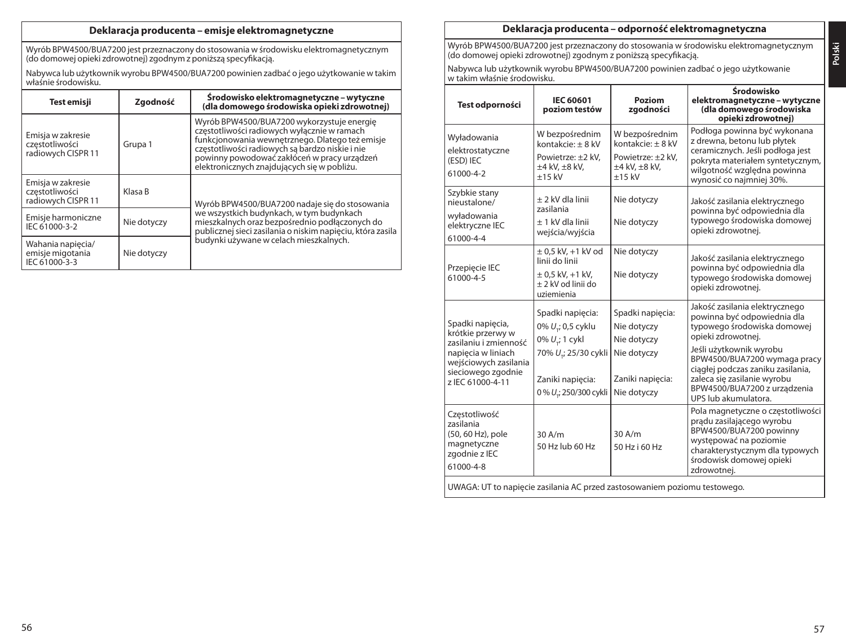# **Deklaracja producenta – emisje elektromagnetyczne**

Wyrób BPW4500/BUA7200 jest przeznaczony do stosowania w środowisku elektromagnetycznym (do domowej opieki zdrowotnej) zgodnym z poniższą specyfikacją.

Nabywca lub użytkownik wyrobu BPW4500/BUA7200 powinien zadbać o jego użytkowanie w takim właśnie środowisku.

| Test emisji                                               | Zgodność    | Srodowisko elektromagnetyczne - wytyczne<br>(dla domowego środowiska opieki zdrowotnej)                                                                                                                                                                                                       |
|-----------------------------------------------------------|-------------|-----------------------------------------------------------------------------------------------------------------------------------------------------------------------------------------------------------------------------------------------------------------------------------------------|
| Emisja w zakresie<br>czestotliwości<br>radiowych CISPR 11 | Grupa 1     | Wyrób BPW4500/BUA7200 wykorzystuje energie<br>czestotliwości radiowych wyłącznie w ramach<br>funkcionowania wewnetrznego. Dlatego też emisie<br>częstotliwości radiowych są bardzo niskie i nie<br>powinny powodować zakłóceń w pracy urzadzeń<br>elektronicznych znajdujących się w pobliżu. |
| Emisja w zakresie<br>czestotliwości<br>radiowych CISPR 11 | Klasa B     | Wyrób BPW4500/BUA7200 nadaje się do stosowania                                                                                                                                                                                                                                                |
| Emisie harmoniczne<br>IEC 61000-3-2                       | Nie dotyczy | we wszystkich budynkach, w tym budynkach<br>mieszkalnych oraz bezpośrednio podłączonych do<br>publicznej sieci zasilania o niskim napięciu, która zasila                                                                                                                                      |
| Wahania napiecia/<br>emisje migotania<br>IEC 61000-3-3    | Nie dotyczy | budynki używane w celach mieszkalnych.                                                                                                                                                                                                                                                        |

### **Deklaracja producenta – odporność elektromagnetyczna**

Wyrób BPW4500/BUA7200 jest przeznaczony do stosowania w środowisku elektromagnetycznym (do domowej opieki zdrowotnej) zgodnym z poniższą specyfikacją.

Nabywca lub użytkownik wyrobu BPW4500/BUA7200 powinien zadbać o jego użytkowanie w takim właśnie środowisku.

| Test odporności                                                                                                                                         | <b>IEC 60601</b><br>poziom testów                                                                                                               | Poziom<br>zgodności                                                                              | Środowisko<br>elektromagnetyczne – wytyczne<br>(dla domowego środowiska<br>opieki zdrowotnej)                                                                                                                                                                                                             |  |  |
|---------------------------------------------------------------------------------------------------------------------------------------------------------|-------------------------------------------------------------------------------------------------------------------------------------------------|--------------------------------------------------------------------------------------------------|-----------------------------------------------------------------------------------------------------------------------------------------------------------------------------------------------------------------------------------------------------------------------------------------------------------|--|--|
| Wyładowania<br>elektrostatyczne<br>(ESD) IEC<br>61000-4-2                                                                                               | W bezpośrednim<br>kontakcie: + 8 kV<br>Powietrze: ±2 kV.<br>±4 kV, ±8 kV,<br>$+15$ kV                                                           | W bezpośrednim<br>kontakcie: + 8 kV<br>Powietrze: ±2 kV.<br>$\pm 4$ kV, $\pm 8$ kV,<br>$+15$ kV  | Podłoga powinna być wykonana<br>z drewna, betonu lub płytek<br>ceramicznych. Jeśli podłoga jest<br>pokryta materiałem syntetycznym,<br>wilgotność wzgledna powinna<br>wynosić co najmniej 30%.                                                                                                            |  |  |
| Szybkie stany<br>nieustalone/<br>wyładowania<br>elektryczne IEC<br>61000-4-4                                                                            | + 2 kV dla linii<br>zasilania<br>+ 1 kV dla linii<br>wejścia/wyjścia                                                                            | Nie dotyczy<br>Nie dotyczy                                                                       | Jakość zasilania elektrycznego<br>powinna być odpowiednia dla<br>typowego środowiska domowej<br>opieki zdrowotnej.                                                                                                                                                                                        |  |  |
| Przepiecie IEC<br>61000-4-5                                                                                                                             | $\pm$ 0.5 kV, $+1$ kV od<br>linii do linii<br>$\pm$ 0.5 kV, +1 kV,<br>+ 2 kV od linii do<br>uziemienia                                          | Nie dotyczy<br>Nie dotyczy                                                                       | Jakość zasilania elektrycznego<br>powinna być odpowiednia dla<br>typowego środowiska domowej<br>opieki zdrowotnej.                                                                                                                                                                                        |  |  |
| Spadki napiecia,<br>krótkie przerwy w<br>zasilanju i zmienność<br>napięcia w liniach<br>wejściowych zasilania<br>sieciowego zgodnie<br>z IEC 61000-4-11 | Spadki napięcia:<br>0% U <sub>ri</sub> 0,5 cyklu<br>0% U.; 1 cykl<br>70% U.; 25/30 cykli<br>Zaniki napięcia:<br>0% U <sub>1</sub> 250/300 cykli | Spadki napiecia:<br>Nie dotyczy<br>Nie dotyczy<br>Nie dotyczy<br>Zaniki napięcia:<br>Nie dotyczy | Jakość zasilania elektrycznego<br>powinna być odpowiednia dla<br>typowego środowiska domowej<br>opieki zdrowotnej.<br>Jeśli użytkownik wyrobu<br>BPW4500/BUA7200 wymaga pracy<br>ciągłej podczas zaniku zasilania,<br>zaleca się zasilanie wyrobu<br>BPW4500/BUA7200 z urządzenia<br>UPS lub akumulatora. |  |  |
| Czestotliwość<br>zasilania<br>(50, 60 Hz), pole<br>magnetyczne<br>zgodnie z IEC<br>61000-4-8                                                            | 30A/m<br>50 Hz lub 60 Hz                                                                                                                        | $30$ A/m<br>50 Hz i 60 Hz                                                                        | Pola magnetyczne o częstotliwości<br>pradu zasilającego wyrobu<br>BPW4500/BUA7200 powinny<br>występować na poziomie<br>charakterystycznym dla typowych<br>środowisk domowej opieki<br>zdrowotnej.                                                                                                         |  |  |
| UWAGA: UT to napiecie zasilania AC przed zastosowaniem poziomu testowego.                                                                               |                                                                                                                                                 |                                                                                                  |                                                                                                                                                                                                                                                                                                           |  |  |

**Polski**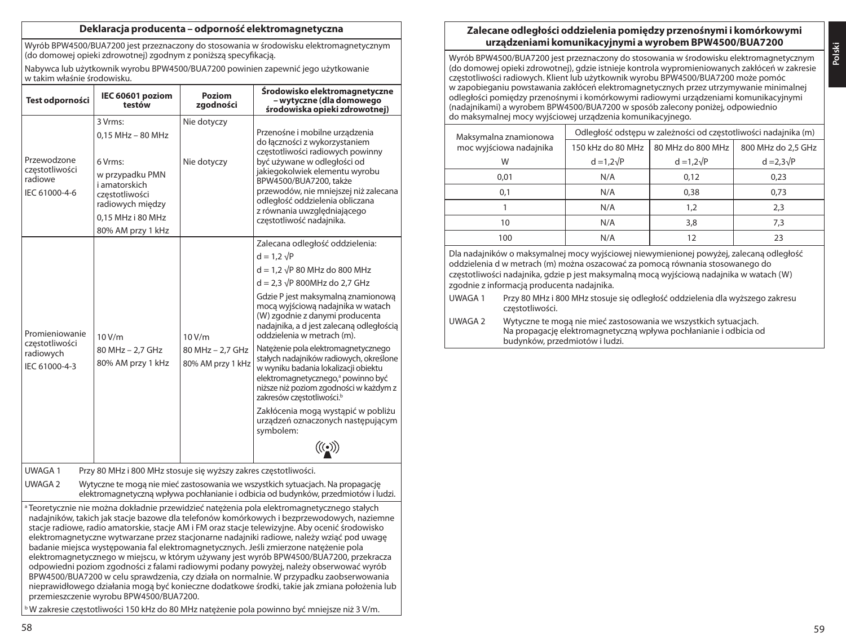### **Deklaracja producenta – odporność elektromagnetyczna**

Wyrób BPW4500/BUA7200 jest przeznaczony do stosowania w środowisku elektromagnetycznym (do domowej opieki zdrowotnej) zgodnym z poniższą specyfikacją.

Nabywca lub użytkownik wyrobu BPW4500/BUA7200 powinien zapewnić jego użytkowanie w takim właśnie środowisku.

| Test odporności                                                                                                                                                                                                                                                                                                                                                                                                                                                                                                                                                                                                                                                                                                                                                                                                                                                                                                                                                                                                          | IEC 60601 poziom<br>testów                                                                                                                                  | Poziom<br>zaodności                             | Środowisko elektromagnetyczne<br>– wytyczne (dla domowego<br>środowiska opieki zdrowotnej)                                                                                                                                                                                                                                                                                                                                                                                                                                                                                                                                                                                                                        |  |  |  |
|--------------------------------------------------------------------------------------------------------------------------------------------------------------------------------------------------------------------------------------------------------------------------------------------------------------------------------------------------------------------------------------------------------------------------------------------------------------------------------------------------------------------------------------------------------------------------------------------------------------------------------------------------------------------------------------------------------------------------------------------------------------------------------------------------------------------------------------------------------------------------------------------------------------------------------------------------------------------------------------------------------------------------|-------------------------------------------------------------------------------------------------------------------------------------------------------------|-------------------------------------------------|-------------------------------------------------------------------------------------------------------------------------------------------------------------------------------------------------------------------------------------------------------------------------------------------------------------------------------------------------------------------------------------------------------------------------------------------------------------------------------------------------------------------------------------------------------------------------------------------------------------------------------------------------------------------------------------------------------------------|--|--|--|
| Przewodzone<br>czestotliwości<br>radiowe<br>IEC 61000-4-6                                                                                                                                                                                                                                                                                                                                                                                                                                                                                                                                                                                                                                                                                                                                                                                                                                                                                                                                                                | 3 Vrms:<br>0.15 MHz - 80 MHz<br>6 Vrms:<br>w przypadku PMN<br>i amatorskich<br>czestotliwości<br>radiowych między<br>0.15 MHz i 80 MHz<br>80% AM przy 1 kHz | Nie dotyczy<br>Nie dotyczy                      | Przenośne i mobilne urządzenia<br>do łączności z wykorzystaniem<br>częstotliwości radiowych powinny<br>być używane w odległości od<br>jakiegokolwiek elementu wyrobu<br>BPW4500/BUA7200, także<br>przewodów, nie mniejszej niż zalecana<br>odległość oddzielenia obliczana<br>z równania uwzględniającego<br>częstotliwość nadajnika.                                                                                                                                                                                                                                                                                                                                                                             |  |  |  |
| Promieniowanie<br>10 V/m<br>częstotliwości<br>80 MHz - 2,7 GHz<br>radiowych<br>80% AM przy 1 kHz<br>IEC 61000-4-3                                                                                                                                                                                                                                                                                                                                                                                                                                                                                                                                                                                                                                                                                                                                                                                                                                                                                                        |                                                                                                                                                             | 10 V/m<br>80 MHz - 2,7 GHz<br>80% AM przy 1 kHz | Zalecana odległość oddzielenia:<br>$d = 1.2 \sqrt{P}$<br>$d = 1.2 \sqrt{P} 80$ MHz do 800 MHz<br>$d = 2.3 \sqrt{P}$ 800MHz do 2.7 GHz<br>Gdzie P jest maksymalną znamionową<br>mocą wyjściową nadajnika w watach<br>(W) zgodnie z danymi producenta<br>nadajnika, a d jest zalecana odległościa<br>oddzielenia w metrach (m).<br>Nateżenie pola elektromagnetycznego<br>stałych nadajników radiowych, określone<br>w wyniku badania lokalizacji obiektu<br>elektromagnetycznego, <sup>a</sup> powinno być<br>niższe niż poziom zgodności w każdym z<br>zakresów częstotliwości. <sup>b</sup><br>Zakłócenia mogą wystąpić w pobliżu<br>urządzeń oznaczonych następującym<br>symbolem:<br>$(\underline{(\bullet)})$ |  |  |  |
| <b>UWAGA1</b><br>Przy 80 MHz i 800 MHz stosuje się wyższy zakres częstotliwości.<br>UWAGA 2<br>Wytyczne te mogą nie mieć zastosowania we wszystkich sytuacjach. Na propagację<br>elektromagnetyczną wpływa pochłanianie i odbicia od budynków, przedmiotów i ludzi.                                                                                                                                                                                                                                                                                                                                                                                                                                                                                                                                                                                                                                                                                                                                                      |                                                                                                                                                             |                                                 |                                                                                                                                                                                                                                                                                                                                                                                                                                                                                                                                                                                                                                                                                                                   |  |  |  |
| a Teoretycznie nie można dokładnie przewidzieć natężenia pola elektromagnetycznego stałych<br>nadajników, takich jak stacje bazowe dla telefonów komórkowych i bezprzewodowych, naziemne<br>stacje radiowe, radio amatorskie, stacje AM i FM oraz stacje telewizyjne. Aby ocenić środowisko<br>elektromagnetyczne wytwarzane przez stacjonarne nadajniki radiowe, należy wziąć pod uwagę<br>badanie miejsca występowania fal elektromagnetycznych. Jeśli zmierzone natężenie pola<br>elektromagnetycznego w miejscu, w którym używany jest wyrób BPW4500/BUA7200, przekracza<br>odpowiedni poziom zgodności z falami radiowymi podany powyżej, należy obserwować wyrób<br>BPW4500/BUA7200 w celu sprawdzenia, czy działa on normalnie. W przypadku zaobserwowania<br>nieprawidłowego działania mogą być konieczne dodatkowe środki, takie jak zmiana położenia lub<br>przemieszczenie wyrobu BPW4500/BUA7200.<br><sup>b</sup> W zakresie częstotliwości 150 kHz do 80 MHz nateżenie pola powinno być mniejsze niż 3 V/m. |                                                                                                                                                             |                                                 |                                                                                                                                                                                                                                                                                                                                                                                                                                                                                                                                                                                                                                                                                                                   |  |  |  |

### **Zalecane odległości oddzielenia pomiędzy przenośnymi i komórkowymi urządzeniami komunikacyjnymi a wyrobem BPW4500/BUA7200**

**Polski**

Wyrób BPW4500/BUA7200 jest przeznaczony do stosowania w środowisku elektromagnetycznym (do domowej opieki zdrowotnej), gdzie istnieje kontrola wypromieniowanych zakłóceń w zakresie częstotliwości radiowych. Klient lub użytkownik wyrobu BPW4500/BUA7200 może pomóc w zapobieganiu powstawania zakłóceń elektromagnetycznych przez utrzymywanie minimalnej odległości pomiędzy przenośnymi i komórkowymi radiowymi urządzeniami komunikacyjnymi (nadajnikami) a wyrobem BPW4500/BUA7200 w sposób zalecony poniżej, odpowiednio do maksymalnej mocy wyjściowej urządzenia komunikacyjnego.

| Maksymalna znamionowa   | Odległość odstępu w zależności od częstotliwości nadajnika (m) |                   |                    |  |  |
|-------------------------|----------------------------------------------------------------|-------------------|--------------------|--|--|
| moc wyjściowa nadajnika | 150 kHz do 80 MHz                                              | 80 MHz do 800 MHz | 800 MHz do 2.5 GHz |  |  |
| W                       | $d = 1.2\sqrt{P}$                                              | $d = 1.2\sqrt{P}$ | $d = 2.3\sqrt{P}$  |  |  |
| 0.01                    | N/A                                                            | 0,12              | 0,23               |  |  |
| 0,1                     | N/A                                                            | 0.38              | 0,73               |  |  |
|                         | N/A                                                            | 1,2               | 2,3                |  |  |
| 10                      | N/A                                                            | 3,8               | 7,3                |  |  |
| 100                     | N/A                                                            | 12                | 23                 |  |  |

Dla nadajników o maksymalnej mocy wyjściowej niewymienionej powyżej, zalecaną odległość oddzielenia d w metrach (m) można oszacować za pomocą równania stosowanego do częstotliwości nadajnika, gdzie p jest maksymalną mocą wyjściową nadajnika w watach (W) zgodnie z informacją producenta nadajnika.

- UWAGA 1 Przy 80 MHz i 800 MHz stosuje się odległość oddzielenia dla wyższego zakresu częstotliwości.
- UWAGA 2 Wytyczne te mogą nie mieć zastosowania we wszystkich sytuacjach. Na propagację elektromagnetyczną wpływa pochłanianie i odbicia od budynków, przedmiotów i ludzi.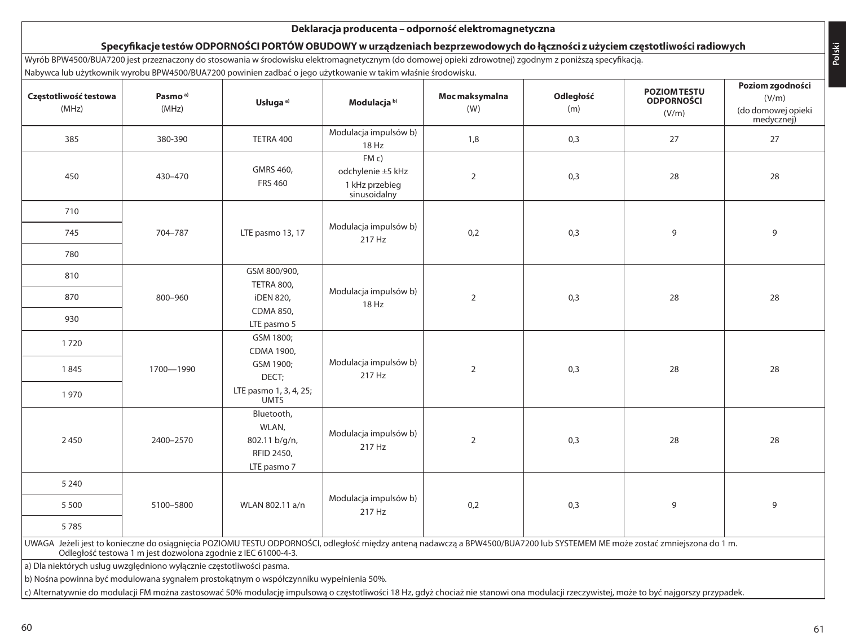### **Deklaracja producenta – odporność elektromagnetyczna Specyfikacje testów ODPORNOŚCI PORTÓW OBUDOWY w urządzeniach bezprzewodowych do łączności z użyciem częstotliwości radiowych** Wyrób BPW4500/BUA7200 jest przeznaczony do stosowania w środowisku elektromagnetycznym (do domowej opieki zdrowotnej) zgodnym z poniższą specyfikacją. Nabywca lub użytkownik wyrobu BPW4500/BUA7200 powinien zadbać o jego użytkowanie w takim właśnie środowisku. **Częstotliwość testowa** (MHz) **Pasmo a)** (MHz) **Usługa a) Modulacja b) Moc maksymalna** (W) **Odległość** (m) **POZIOM TESTU ODPORNOŚCI** (V/m) **Poziom zgodności** (V/m) (do domowej opieki medycznej) <sup>385</sup> 380-390 TETRA 400 Modulacja impulsów b)  $18 \text{ Hz}$  1,8 0,3 27 27 27 450 430–470 GMRS 460, FRS 460 FM c) odchylenie ±5 kHz 1 kHz przebieg sinusoidalny 2 0,3 28 28 710 704–787 LTE pasmo 13, 17 Modulacja impulsów b) 745 704–787 LTE pasmo 13, 17 217 Hz 0,2 0.3 9 9 780 810 800–960 GSM 800/900, TETRA 800, iDEN 820, CDMA 850, LTE pasmo 5 Modulacja impulsów b) 18 Hz <sup>870</sup> <sup>2</sup> 0,3 <sup>28</sup> <sup>28</sup> 930 1 720 1700—1990 GSM 1800; CDMA 1900, GSM 1900; DECT; LTE pasmo 1, 3, 4, 25; UMTS Modulacja impulsów b) 1845 | 1700—1990 | CDH JOURN 1990, 228 | 228 | 229 | 229 | 229 | 229 | 229 | 229 | 229 | 229 | 229 | 229 | 229 1 970 2450 2400-2570 Bluetooth, WI AN 802.11 b/g/n, RFID 2450, LTE pasmo 7 Modulacja impulsów b) 217 Hz 217 Hz 28 28 5 240 5100–5800 WLAN 802.11 a/n  $\left|\begin{array}{cc} \text{Modular} \\ \text{Modular} \end{array}\right|$   $\left|\begin{array}{cc} \text{Modular} \\ \text{217 Hz} \end{array}\right|$ 217 Hz 5 500 0,2 0,3 <sup>9</sup> <sup>9</sup> 5 785 UWAGA Jeżeli jest to konieczne do osiągnięcia POZIOMU TESTU ODPORNOŚCI, odległość między anteną nadawczą a BPW4500/BUA7200 lub SYSTEMEM ME może zostać zmniejszona do 1 m. Odległość testowa 1 m jest dozwolona zgodnie z IEC 61000-4-3. a) Dla niektórych usług uwzględniono wyłącznie częstotliwości pasma. b) Nośna powinna być modulowana sygnałem prostokątnym o współczynniku wypełnienia 50%. c) Alternatywnie do modulacji FM można zastosować 50% modulację impulsową o częstotliwości 18 Hz, gdyż chociaż nie stanowi ona modulacji rzeczywistej, może to być najgorszy przypadek.

**Polski**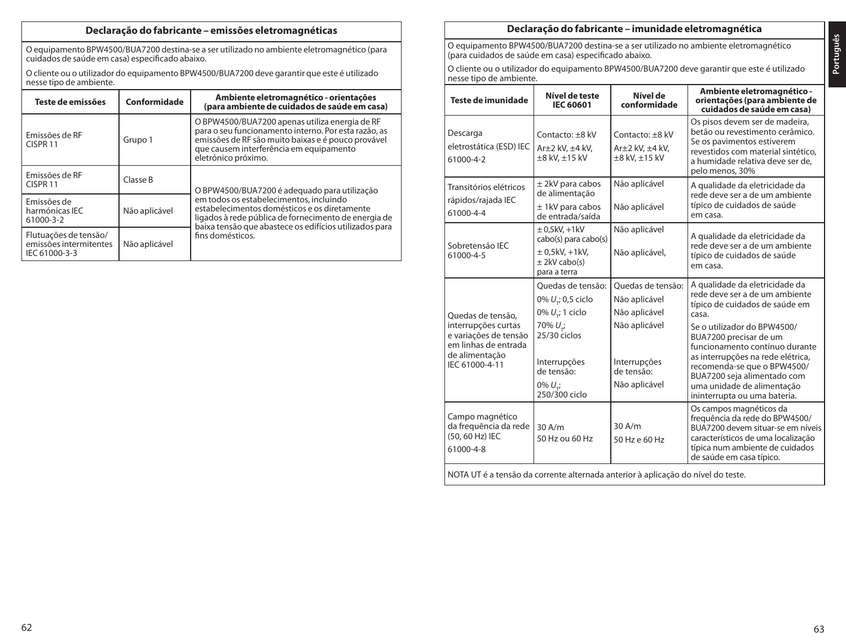### **Declaração do fabricante – emissões eletromagnéticas**

O equipamento BPW4500/BUA7200 destina-se a ser utilizado no ambiente eletromagnético (para cuidados de saúde em casa) especificado abaixo.

O cliente ou o utilizador do equipamento BPW4500/BUA7200 deve garantir que este é utilizado nesse tipo de ambiente.

| Teste de emissões                                                                 | Conformidade | Ambiente eletromagnético - orientações<br>(para ambiente de cuidados de saúde em casa)                                                                                                                                         |  |  |
|-----------------------------------------------------------------------------------|--------------|--------------------------------------------------------------------------------------------------------------------------------------------------------------------------------------------------------------------------------|--|--|
| Emissões de RF<br>CISPR <sub>11</sub>                                             | Grupo 1      | O BPW4500/BUA7200 apenas utiliza energia de RF<br>para o seu funcionamento interno. Por esta razão, as<br>emissões de RF são muito baixas e é pouco provável<br>que causem interferência em equipamento<br>eletrónico próximo. |  |  |
| Emissões de RF<br>CISPR <sub>11</sub>                                             | Classe B     | O BPW4500/BUA7200 é adequado para utilização                                                                                                                                                                                   |  |  |
| Emissões de<br>harmónicas IEC<br>Não aplicável<br>61000-3-2                       |              | em todos os estabelecimentos, incluindo<br>estabelecimentos domésticos e os diretamente<br>ligados à rede pública de fornecimento de energia de<br>baixa tensão que abastece os edifícios utilizados para                      |  |  |
| Flutuações de tensão/<br>emissões intermitentes<br>Não aplicável<br>IEC 61000-3-3 |              | fins domésticos.                                                                                                                                                                                                               |  |  |

### **Declaração do fabricante – imunidade eletromagnética**

O equipamento BPW4500/BUA7200 destina-se a ser utilizado no ambiente eletromagnético (para cuidados de saúde em casa) especificado abaixo.

O cliente ou o utilizador do equipamento BPW4500/BUA7200 deve garantir que este é utilizado nesse tipo de ambiente.

| Teste de imunidade                                                                                                                                           | Nível de teste<br><b>IEC 60601</b>                                                                                                                                             | Nível de<br>conformidade                                                                                            | Ambiente eletromagnético -<br>orientações (para ambiente de<br>cuidados de saúde em casa)                                                                                                                                                                                                                                                                               |
|--------------------------------------------------------------------------------------------------------------------------------------------------------------|--------------------------------------------------------------------------------------------------------------------------------------------------------------------------------|---------------------------------------------------------------------------------------------------------------------|-------------------------------------------------------------------------------------------------------------------------------------------------------------------------------------------------------------------------------------------------------------------------------------------------------------------------------------------------------------------------|
| Descarga<br>eletrostática (ESD) IEC<br>61000-4-2                                                                                                             | Contacto: +8 kV<br>$Ar±2$ kV, $±4$ kV,<br>±8 kV, ±15 kV                                                                                                                        | Contacto: +8 kV<br>$Ar±2$ kV, $±4$ kV,<br>±8 kV, ±15 kV                                                             | Os pisos devem ser de madeira,<br>betão ou revestimento cerâmico.<br>Se os pavimentos estiverem<br>revestidos com material sintético,<br>a humidade relativa deve ser de,<br>pelo menos, 30%                                                                                                                                                                            |
| Transitórios elétricos<br>rápidos/rajada IEC<br>61000-4-4                                                                                                    | $±$ 2kV para cabos<br>de alimentação<br>$±$ 1kV para cabos<br>de entrada/saída                                                                                                 | Não aplicável<br>Não aplicável                                                                                      | A qualidade da eletricidade da<br>rede deve ser a de um ambiente<br>típico de cuidados de saúde<br>em casa.                                                                                                                                                                                                                                                             |
| Sobretensão IEC<br>61000-4-5                                                                                                                                 | $± 0.5$ kV $. +1$ kV<br>cabo(s) para cabo(s)<br>$\pm$ 0,5kV, +1kV,<br>$±$ 2kV cabo(s)<br>para a terra                                                                          | Não aplicável<br>Não aplicável,                                                                                     | A qualidade da eletricidade da<br>rede deve ser a de um ambiente<br>típico de cuidados de saúde<br>em casa.                                                                                                                                                                                                                                                             |
| Ouedas de tensão.<br>interrupções curtas<br>e variações de tensão<br>em linhas de entrada<br>de alimentação<br>IEC 61000-4-11                                | Quedas de tensão:<br>0% $U_{\tau}$ ; 0,5 ciclo<br>0% $U_{\tau}$ ; 1 ciclo<br>70% $U_{\tau i}$<br>$25/30$ ciclos<br>Interrupções<br>de tensão:<br>$0\% U_{ri}$<br>250/300 ciclo | Quedas de tensão:<br>Não aplicável<br>Não aplicável<br>Não aplicável<br>Interrupções<br>de tensão:<br>Não aplicável | A qualidade da eletricidade da<br>rede deve ser a de um ambiente<br>típico de cuidados de saúde em<br>casa.<br>Se o utilizador do BPW4500/<br>BUA7200 precisar de um<br>funcionamento contínuo durante<br>as interrupções na rede elétrica,<br>recomenda-se que o BPW4500/<br>BUA7200 seja alimentado com<br>uma unidade de alimentação<br>ininterrupta ou uma bateria. |
| Campo magnético<br>da freguência da rede<br>(50, 60 Hz) IEC<br>61000-4-8<br>NOTA UT é a tensão da corrente alternada anterior à aplicação do nível do teste. | 30A/m<br>50 Hz ou 60 Hz                                                                                                                                                        | $30$ A/m<br>50 Hz e 60 Hz                                                                                           | Os campos magnéticos da<br>frequência da rede do BPW4500/<br>BUA7200 devem situar-se em níveis<br>característicos de uma localização<br>típica num ambiente de cuidados<br>de saúde em casa típico.                                                                                                                                                                     |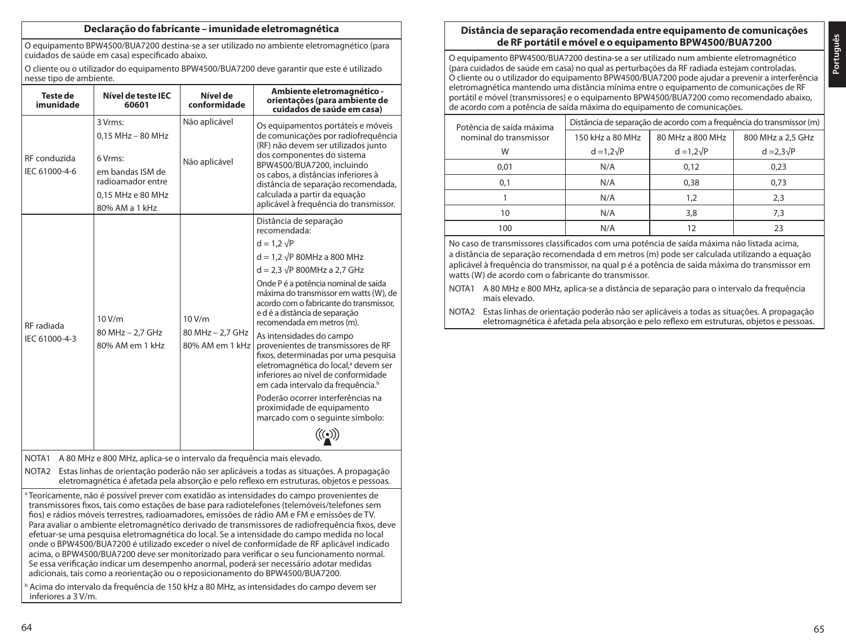### **Declaração do fabricante – imunidade eletromagnética**

O equipamento BPW4500/BUA7200 destina-se a ser utilizado no ambiente eletromagnético (para cuidados de saúde em casa) especificado abaixo.

O cliente ou o utilizador do equipamento BPW4500/BUA7200 deve garantir que este é utilizado nesse tipo de ambiente.

| Teste de<br>imunidade                                                                                                                                                                         | Nível de teste IEC<br>60601                                                                                                 | Nível de<br>conformidade                      | Ambiente eletromagnético -<br>orientações (para ambiente de<br>cuidados de saúde em casa)                                                                                                                                                                                                                                                                                                                                                                                                                                                                                                                                                                                                                    |  |  |
|-----------------------------------------------------------------------------------------------------------------------------------------------------------------------------------------------|-----------------------------------------------------------------------------------------------------------------------------|-----------------------------------------------|--------------------------------------------------------------------------------------------------------------------------------------------------------------------------------------------------------------------------------------------------------------------------------------------------------------------------------------------------------------------------------------------------------------------------------------------------------------------------------------------------------------------------------------------------------------------------------------------------------------------------------------------------------------------------------------------------------------|--|--|
| RF conduzida<br>IEC 61000-4-6                                                                                                                                                                 | 3 Vrms:<br>$0.15$ MHz $-$ 80 MHz<br>6 Vrms:<br>em bandas ISM de<br>radioamador entre<br>0.15 MHz e 80 MHz<br>80% AM a 1 kHz | Não aplicável<br>Não aplicável                | Os equipamentos portáteis e móveis<br>de comunicações por radiofrequência<br>(RF) não devem ser utilizados junto<br>dos componentes do sistema<br>BPW4500/BUA7200, incluindo<br>os cabos, a distâncias inferiores à<br>distância de separação recomendada,<br>calculada a partir da equação<br>aplicável à frequência do transmissor.                                                                                                                                                                                                                                                                                                                                                                        |  |  |
| RF radiada<br>IEC 61000-4-3                                                                                                                                                                   | 10 V/m<br>80 MHz - 2.7 GHz<br>80% AM em 1 kHz                                                                               | 10 V/m<br>80 MHz - 2.7 GHz<br>80% AM em 1 kHz | Distância de separação<br>recomendada:<br>$d = 1.2 \sqrt{P}$<br>$d = 1.2 \sqrt{P}$ 80MHz a 800 MHz<br>$d = 2.3 \sqrt{P} 800 MHz$ a 2.7 GHz<br>Onde P é a potência nominal de saída<br>máxima do transmissor em watts (W), de<br>acordo com o fabricante do transmissor.<br>e d é a distância de separação<br>recomendada em metros (m).<br>As intensidades do campo<br>provenientes de transmissores de RF<br>fixos, determinadas por uma pesquisa<br>eletromagnética do local, <sup>a</sup> devem ser<br>inferiores ao nível de conformidade<br>em cada intervalo da frequência. <sup>b</sup><br>Poderão ocorrer interferências na<br>proximidade de equipamento<br>marcado com o seguinte símbolo:<br>70 W |  |  |
| NOTA1                                                                                                                                                                                         | A 80 MHz e 800 MHz, aplica-se o intervalo da frequência mais elevado.                                                       |                                               |                                                                                                                                                                                                                                                                                                                                                                                                                                                                                                                                                                                                                                                                                                              |  |  |
| Estas linhas de orientação poderão não ser aplicáveis a todas as situações. A propagação<br>NOTA2<br>eletromagnética é afetada pela absorção e pelo reflexo em estruturas, objetos e pessoas. |                                                                                                                             |                                               |                                                                                                                                                                                                                                                                                                                                                                                                                                                                                                                                                                                                                                                                                                              |  |  |
|                                                                                                                                                                                               |                                                                                                                             |                                               | a Teoricamente, não é possível prever com exatidão as intensidades do campo provenientes de<br>transmissores fixos, tais como estações de base para radiotelefones (telemóveis/telefones sem<br>fios) e rádios móveis terrestres, radioamadores, emissões de rádio AM e FM e emissões de TV.<br>Para avaliar o ambiente eletromagnético derivado de transmissores de radiofrequência fixos, deve<br>efetuar-se uma pesquisa eletromagnética do local. Se a intensidade do campo medida no local<br>onde o BPW4500/BUA7200 é utilizado exceder o nível de conformidade de RF aplicável indicado<br>acima, o BPW4500/BUA7200 deve ser monitorizado para verificar o seu funcionamento normal.                  |  |  |

Se essa verificação indicar um desempenho anormal, poderá ser necessário adotar medidas adicionais, tais como a reorientação ou o reposicionamento do BPW4500/BUA7200.

<sup>b</sup> Acima do intervalo da frequência de 150 kHz a 80 MHz, as intensidades do campo devem ser inferiores a 3 V/m.

# **Distância de separação recomendada entre equipamento de comunicações de RF portátil e móvel e o equipamento BPW4500/BUA7200**

O equipamento BPW4500/BUA7200 destina-se a ser utilizado num ambiente eletromagnético (para cuidados de saúde em casa) no qual as perturbações da RF radiada estejam controladas. O cliente ou o utilizador do equipamento BPW4500/BUA7200 pode ajudar a prevenir a interferência eletromagnética mantendo uma distância mínima entre o equipamento de comunicações de RF portátil e móvel (transmissores) e o equipamento BPW4500/BUA7200 como recomendado abaixo, de acordo com a potência de saída máxima do equipamento de comunicações.

|                        | Potência de saída máxima | Distância de separação de acordo com a frequência do transmissor (m) |                   |                   |  |  |
|------------------------|--------------------------|----------------------------------------------------------------------|-------------------|-------------------|--|--|
| nominal do transmissor |                          | 150 kHz a 80 MHz                                                     | 80 MHz a 800 MHz  | 800 MHz a 2.5 GHz |  |  |
|                        | W                        | $d = 1.2\sqrt{P}$                                                    | $d = 1.2\sqrt{P}$ | $d = 2.3\sqrt{P}$ |  |  |
|                        | 0.01                     | N/A                                                                  | 0.12              | 0.23              |  |  |
|                        | 0.1                      | N/A                                                                  | 0.38              | 0,73              |  |  |
|                        |                          | N/A                                                                  | 1.2               | 2.3               |  |  |
|                        | 10                       | N/A                                                                  | 3.8               | 7.3               |  |  |
|                        | 100                      | N/A                                                                  |                   | 23                |  |  |

No caso de transmissores classificados com uma potência de saída máxima não listada acima, a distância de separação recomendada d em metros (m) pode ser calculada utilizando a equação aplicável à frequência do transmissor, na qual p é a potência de saída máxima do transmissor em watts (W) de acordo com o fabricante do transmissor.

- NOTA1 A 80 MHz e 800 MHz, aplica-se a distância de separação para o intervalo da frequência mais elevado.
- NOTA2 Estas linhas de orientação poderão não ser aplicáveis a todas as situações. A propagação eletromagnética é afetada pela absorção e pelo reflexo em estruturas, objetos e pessoas.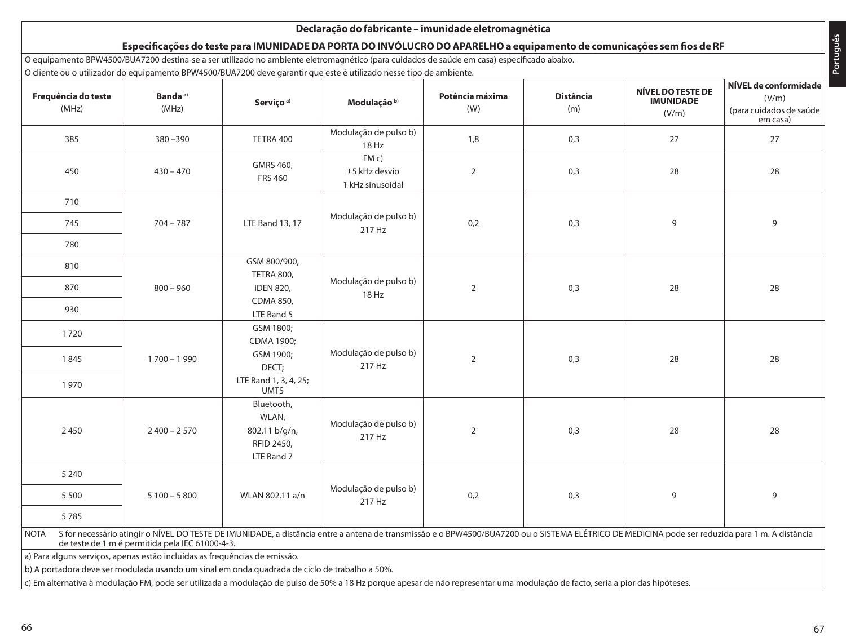### **Declaração do fabricante – imunidade eletromagnética Especificações do teste para IMUNIDADE DA PORTA DO INVÓLUCRO DO APARELHO a equipamento de comunicações sem fios de RF** O equipamento BPW4500/BUA7200 destina-se a ser utilizado no ambiente eletromagnético (para cuidados de saúde em casa) especificado abaixo. O cliente ou o utilizador do equipamento BPW4500/BUA7200 deve garantir que este é utilizado nesse tipo de ambiente. **Frequência do teste** (MHz) **Banda a)** (MHz) **Serviço a) Modulação b) Potência máxima** (W) **Distância** (m) **NÍVEL DO TESTE DE IMUNIDADE** (V/m) **NÍVEL de conformidade** (V/m) (para cuidados de saúde em casa) <sup>385</sup> 380 –390 TETRA 400 Modulação de pulso b)  $18 \text{ Hz}$  1,8 0,3 27 27 27 450 430 – 470 GMRS 460, FRS 460 FM c) ±5 kHz desvio 1 kHz sinusoidal 2 0,3 28 28 710  $704 - 787$  LTE Band 13, 17 Modulação de pulso b) 217 Hz <sup>745</sup> 0,2 0,3 <sup>9</sup> <sup>9</sup> 780 810 800 – 960 GSM 800/900, TETRA 800, iDEN 820, CDMA 850, LTE Band 5 Modulação de pulso b) 18 Hz <sup>870</sup> <sup>2</sup> 0,3 <sup>28</sup> <sup>28</sup> 930 1 720 1 700 – 1 990 GSM 1800; CDMA 1900; GSM 1900; DECT; LTE Band 1, 3, 4, 25; UMTS Modulação de pulso b)  $21845$   $1700-1990$   $2000$   $1000$   $217$   $217$   $217$   $228$   $28$   $28$ 1 970 2 450 2 400 – 2 570 Bluetooth, WLAN, 802.11 b/g/n, RFID 2450, LTE Band 7 Modulação de pulso b) 217 Hz <sup>2</sup> 0,3 <sup>28</sup> <sup>28</sup> 5 240  $5100 - 5800$  WLAN 802.11 a/n Modulação de pulso b) 217 Hz 5 500 0,2 0,3 <sup>9</sup> <sup>9</sup> 5 785 NOTA S for necessário atingir o NÍVEL DO TESTE DE IMUNIDADE, a distância entre a antena de transmissão e o BPW4500/BUA7200 ou o SISTEMA ELÉTRICO DE MEDICINA pode ser reduzida para 1 m. A distância de teste de 1 m é permitida pela IEC 61000-4-3. a) Para alguns serviços, apenas estão incluídas as frequências de emissão. b) A portadora deve ser modulada usando um sinal em onda quadrada de ciclo de trabalho a 50%. c) Em alternativa à modulação FM, pode ser utilizada a modulação de pulso de 50% a 18 Hz porque apesar de não representar uma modulação de facto, seria a pior das hipóteses.

**Português**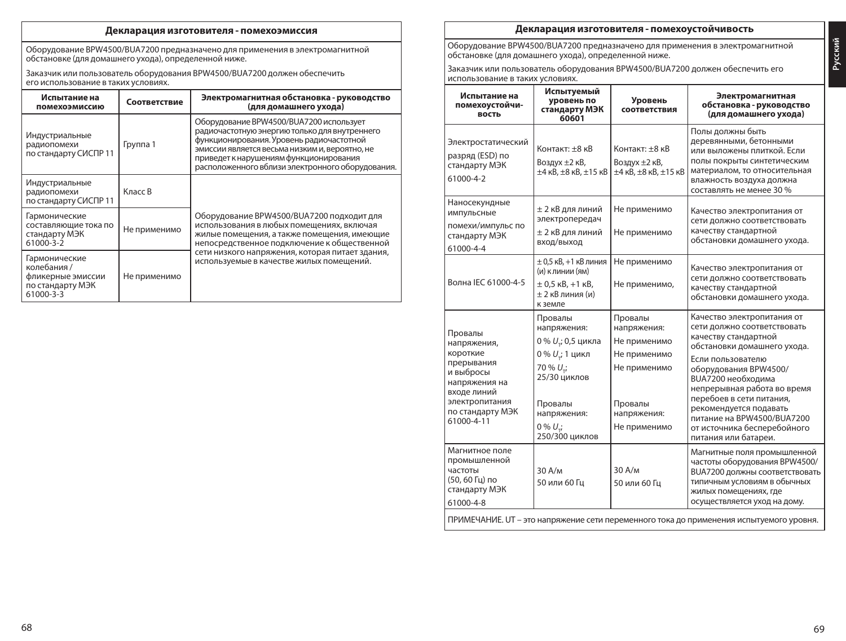### **Декларация изготовителя - помехоэмиссия**

Оборудование BPW4500/BUA7200 предназначено для применения в электромагнитной обстановке (для домашнего ухода), определенной ниже.

Заказчик или пользователь оборудования BPW4500/BUA7200 должен обеспечить его использование в таких условиях.

| Испытание на<br>помехоэмиссию                                                       | Соответствие | Электромагнитная обстановка - руководство<br>(для домашнего ухода)                                                                                                                                                                                                                   |  |
|-------------------------------------------------------------------------------------|--------------|--------------------------------------------------------------------------------------------------------------------------------------------------------------------------------------------------------------------------------------------------------------------------------------|--|
| Индустриальные<br>радиопомехи<br>по стандарту СИСПР 11                              | Группа 1     | Оборудование BPW4500/BUA7200 использует<br>радиочастотную энергию только для внутреннего<br>функционирования. Уровень радиочастотной<br>эмиссии является весьма низким и, вероятно, не<br>приведет к нарушениям функционирования<br>расположенного вблизи электронного оборудования. |  |
| Индустриальные<br>радиопомехи<br>по стандарту СИСПР 11                              | Класс В      |                                                                                                                                                                                                                                                                                      |  |
| Гармонические<br>составляющие тока по<br>Не применимо<br>стандарту МЭК<br>61000-3-2 |              | Оборудование BPW4500/BUA7200 подходит для<br>использования в любых помещениях, включая<br>жилые помещения, а также помещения, имеющие<br>непосредственное подключение к общественной                                                                                                 |  |
| Гармонические<br>колебания /<br>фликерные эмиссии<br>по стандарту МЭК<br>61000-3-3  | Не применимо | сети низкого напряжения, которая питает здания,<br>используемые в качестве жилых помещений.                                                                                                                                                                                          |  |

### **Декларация изготовителя - помехоустойчивость**

Оборудование BPW4500/BUA7200 предназначено для применения в электромагнитной обстановке (для домашнего ухода), определенной ниже.

Заказчик или пользователь оборудования BPW4500/BUA7200 должен обеспечить его использование в таких условиях.

| Испытание на<br>помехоустойчи-<br>ВОСТЬ                                                                                                           | Испытуемый<br>уровень по<br>стандарту МЭК<br>60601                                                                                                                               | Уровень<br>соответствия                                                                                          | Электромагнитная<br>обстановка - руководство<br>(для домашнего ухода)                                                                                                                                                                                                                                                                                                  |
|---------------------------------------------------------------------------------------------------------------------------------------------------|----------------------------------------------------------------------------------------------------------------------------------------------------------------------------------|------------------------------------------------------------------------------------------------------------------|------------------------------------------------------------------------------------------------------------------------------------------------------------------------------------------------------------------------------------------------------------------------------------------------------------------------------------------------------------------------|
| Электростатический<br>разряд (ESD) по<br>стандарту МЭК<br>61000-4-2                                                                               | Контакт: +8 кВ<br>Воздух ±2 кВ,<br>$\pm 4$ KB, $\pm 8$ KB, $\pm 15$ KB                                                                                                           | Контакт: +8 кВ<br>Воздух ±2 кВ,<br>$\pm 4$ кВ, $\pm 8$ кВ, $\pm 15$ кВ                                           | Полы должны быть<br>деревянными, бетонными<br>или выложены плиткой. Если<br>полы покрыты синтетическим<br>материалом, то относительная<br>влажность воздуха должна<br>составлять не менее 30 %                                                                                                                                                                         |
| Наносекундные<br>импульсные<br>помехи/импульс по<br>стандарту МЭК<br>61000-4-4                                                                    | ± 2 кВ для линий<br>электропередач<br>± 2 кВ для линий<br>вход/выход                                                                                                             | Не применимо<br>Не применимо                                                                                     | Качество электропитания от<br>сети должно соответствовать<br>качеству стандартной<br>обстановки домашнего ухода.                                                                                                                                                                                                                                                       |
| Волна IEC 61000-4-5                                                                                                                               | $\pm$ 0,5 кВ, +1 кВ линия<br>(и) клинии (ям)<br>$\pm$ 0,5 kB, +1 kB,<br>± 2 кВ линия (и)<br>к земле                                                                              | Не применимо<br>Не применимо,                                                                                    | Качество электропитания от<br>сети должно соответствовать<br>качеству стандартной<br>обстановки домашнего ухода.                                                                                                                                                                                                                                                       |
| Провалы<br>напряжения,<br>короткие<br>прерывания<br>и выбросы<br>напряжения на<br>входе линий<br>электропитания<br>по стандарту МЭК<br>61000-4-11 | Провалы<br>напряжения:<br>0 % $U_{\tau}$ ; 0,5 цикла<br>0 % U .; 1 цикл<br>70 % U <sub>ri</sub><br>25/30 циклов<br>Провалы<br>напряжения:<br>$0\% U_{\star i}$<br>250/300 циклов | Провалы<br>напряжения:<br>Не применимо<br>Не применимо<br>Не применимо<br>Провалы<br>напряжения:<br>Не применимо | Качество электропитания от<br>сети должно соответствовать<br>качеству стандартной<br>обстановки домашнего ухода.<br>Если пользователю<br>оборудования BPW4500/<br><b>В</b> UA7200 необходима<br>непрерывная работа во время<br>перебоев в сети питания,<br>рекомендуется подавать<br>питание на BPW4500/BUA7200<br>от источника бесперебойного<br>питания или батареи. |
| Магнитное поле<br>промышленной<br>частоты<br>(50, 60 Гц) по<br>стандарту МЭК<br>61000-4-8                                                         | 30A/m<br>50 или 60 Гц                                                                                                                                                            | 30 A/M<br>50 или 60 Гц                                                                                           | Магнитные поля промышленной<br>частоты оборудования BPW4500/<br><b>В</b> UA7200 должны соответствовать<br>типичным условиям в обычных<br>жилых помещениях, где<br>осуществляется уход на дому.                                                                                                                                                                         |
|                                                                                                                                                   |                                                                                                                                                                                  |                                                                                                                  | ПРИМЕЧАНИЕ. UT - это напряжение сети переменного тока до применения испытуемого уровня.                                                                                                                                                                                                                                                                                |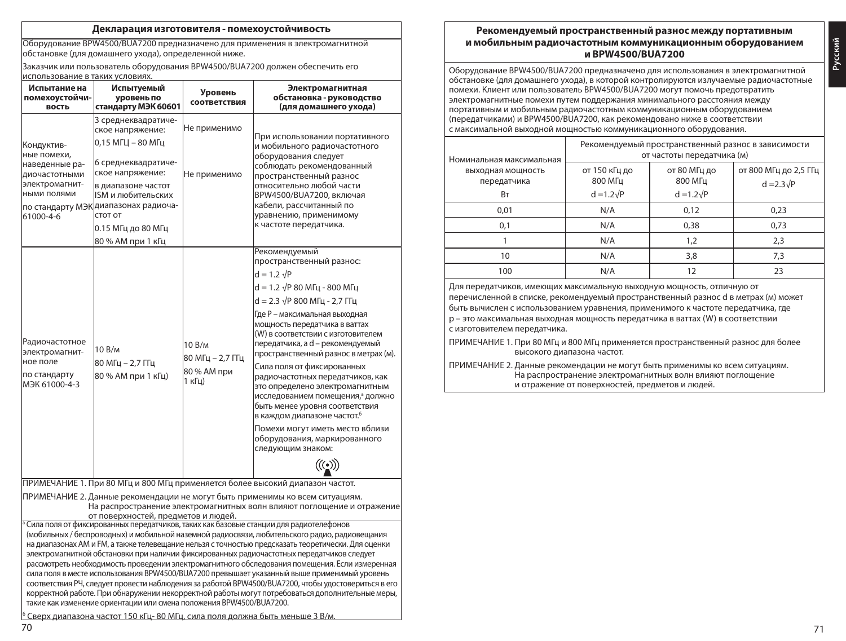### **Декларация изготовителя - помехоустойчивость**

Оборудование BPW4500/BUA7200 предназначено для применения в электромагнитной обстановке (для домашнего ухода), определенной ниже.

Заказчик или пользователь оборудования BPW4500/BUA7200 должен обеспечить его использование в таких условиях.

| Испытание на<br>помехоустойчи-<br>вость                                                                                                                                                                                                                                                                                                                                                                                                                                                                                                                                                                                                                                                                                                                                                                                                                                                                                                                                                                                                                                                       | Испытуемый<br>уровень по<br>стандарту МЭК 60601                                                                                                                                                                                                   | Уровень<br>соответствия                             | Электромагнитная<br>обстановка - руководство<br>(для домашнего ухода)                                                                                                                                                                                                                                                                                                                                                                                                                                                                                                                                                                                                            |  |
|-----------------------------------------------------------------------------------------------------------------------------------------------------------------------------------------------------------------------------------------------------------------------------------------------------------------------------------------------------------------------------------------------------------------------------------------------------------------------------------------------------------------------------------------------------------------------------------------------------------------------------------------------------------------------------------------------------------------------------------------------------------------------------------------------------------------------------------------------------------------------------------------------------------------------------------------------------------------------------------------------------------------------------------------------------------------------------------------------|---------------------------------------------------------------------------------------------------------------------------------------------------------------------------------------------------------------------------------------------------|-----------------------------------------------------|----------------------------------------------------------------------------------------------------------------------------------------------------------------------------------------------------------------------------------------------------------------------------------------------------------------------------------------------------------------------------------------------------------------------------------------------------------------------------------------------------------------------------------------------------------------------------------------------------------------------------------------------------------------------------------|--|
| Кондуктив-<br>ные помехи.<br>наведенные ра-<br>диочастотными<br>электромагнит-<br>ными полями<br>61000-4-6                                                                                                                                                                                                                                                                                                                                                                                                                                                                                                                                                                                                                                                                                                                                                                                                                                                                                                                                                                                    | 3 среднеквадратиче-<br>ское напряжение:<br>0,15 МГЦ – 80 МГц<br>6 среднеквадратиче-<br>ское напряжение:<br>в диапазоне частот<br>ISM и любительских<br>по стандарту МЭК диапазонах радиоча-<br>CTOT OT<br>0.15 МГц до 80 МГц<br>80 % АМ при 1 кГц | Не применимо<br>Не применимо                        | При использовании портативного<br>и мобильного радиочастотного<br>оборудования следует<br>соблюдать рекомендованный<br>пространственный разнос<br>относительно любой части<br><b>ВРW4500/ВUA7200, включая</b><br>кабели, рассчитанный по<br>уравнению, применимому<br>к частоте передатчика.                                                                                                                                                                                                                                                                                                                                                                                     |  |
| Радиочастотное<br>электромагнит-<br>ное поле<br>по стандарту<br>M <sub>3</sub> K 61000-4-3                                                                                                                                                                                                                                                                                                                                                                                                                                                                                                                                                                                                                                                                                                                                                                                                                                                                                                                                                                                                    | 10 B/m<br>80 МГц - 2,7 ГГц<br>80 % АМ при 1 кГц)                                                                                                                                                                                                  | 10 B/m<br>80 МГц - 2,7 ГГц<br>80 % AM при<br>1 кГц) | Рекомендуемый<br>пространственный разнос:<br>$d = 1.2 \sqrt{P}$<br>$d = 1.2 \sqrt{P} 80 M\Gamma H - 800 M\Gamma H$<br>$d = 2.3 \sqrt{P} 800 M\Gamma\mu - 2.7 \Gamma\Gamma\mu$<br>Где Р - максимальная выходная<br>мощность передатчика в ваттах<br>(W) в соответствии с изготовителем<br>передатчика, а d - рекомендуемый<br>пространственный разнос в метрах (м).<br>Сила поля от фиксированных<br>радиочастотных передатчиков, как<br>это определено электромагнитным<br>исследованием помещения, <sup>а</sup> должно<br>быть менее уровня соответствия<br>в каждом диапазоне частот.6<br>Помехи могут иметь место вблизи<br>оборудования, маркированного<br>следующим знаком: |  |
|                                                                                                                                                                                                                                                                                                                                                                                                                                                                                                                                                                                                                                                                                                                                                                                                                                                                                                                                                                                                                                                                                               |                                                                                                                                                                                                                                                   |                                                     | ПРИМЕЧАНИЕ 1. При 80 МГц и 800 МГц применяется более высокий диапазон частот.<br>ПРИМЕЧАНИЕ 2. Данные рекомендации не могут быть применимы ко всем ситуациям.                                                                                                                                                                                                                                                                                                                                                                                                                                                                                                                    |  |
| На распространение электромагнитных волн влияют поглощение и отражение<br>от поверхностей, предметов и людей.<br><sup>а</sup> Сила поля от фиксированных передатчиков, таких как базовые станции для радиотелефонов<br>(мобильных / беспроводных) и мобильной наземной радиосвязи, любительского радио, радиовещания<br>на диапазонах АМ и FM, а также телевещание нельзя с точностью предсказать теоретически. Для оценки<br>электромагнитной обстановки при наличии фиксированных радиочастотных передатчиков следует<br>рассмотреть необходимость проведении электромагнитного обследования помещения. Если измеренная<br>сила поля в месте использования BPW4500/BUA7200 превышает указанный выше применимый уровень<br>соответствия РЧ, следует провести наблюдения за работой BPW4500/BUA7200, чтобы удостовериться в его<br>корректной работе. При обнаружении некорректной работы могут потребоваться дополнительные меры,<br>такие как изменение ориентации или смена положения BPW4500/BUA7200.<br>$^6$ Сверх лиапазона частот 150 кГц- 80 МГц, сила поля лолжна быть меньше 3 В/м. |                                                                                                                                                                                                                                                   |                                                     |                                                                                                                                                                                                                                                                                                                                                                                                                                                                                                                                                                                                                                                                                  |  |

### **Рекомендуемый пространственный разнос между портативным и мобильным радиочастотным коммуникационным оборудованием и BPW4500/BUA7200**

Оборудование BPW4500/BUA7200 предназначено для использования в электромагнитной обстановке (для домашнего ухода), в которой контролируются излучаемые радиочастотные помехи. Клиент или пользователь BPW4500/BUA7200 могут помочь предотвратить электромагнитные помехи путем поддержания минимального расстояния между портативным и мобильным радиочастотным коммуникационным оборудованием (передатчиками) и BPW4500/BUA7200, как рекомендовано ниже в соответствии с максимальной выходной мощностью коммуникационного оборудования.

| Номинальная максимальная                                                             | Рекомендуемый пространственный разнос в зависимости<br>от частоты передатчика (м) |                         |                                            |  |  |
|--------------------------------------------------------------------------------------|-----------------------------------------------------------------------------------|-------------------------|--------------------------------------------|--|--|
| выходная мощность<br>передатчика                                                     | от 150 кГц до<br>800 MFu                                                          | от 80 МГц до<br>800 MFu | от 800 МГц до 2,5 ГГц<br>$d = 2.3\sqrt{P}$ |  |  |
| Bт                                                                                   | $d = 1.2\sqrt{P}$                                                                 | $d = 1.2\sqrt{P}$       |                                            |  |  |
| 0.01                                                                                 | N/A                                                                               | 0,12                    | 0,23                                       |  |  |
| 0,1                                                                                  | N/A                                                                               | 0.38                    | 0,73                                       |  |  |
|                                                                                      | N/A                                                                               | 1,2                     | 2,3                                        |  |  |
| 10                                                                                   | N/A                                                                               | 3,8                     | 7,3                                        |  |  |
| 100                                                                                  | N/A                                                                               | 12                      | 23                                         |  |  |
| <u>I Ang nananstiimmod mmaioilimm msmcmmsnlumo blivonumo moiliuoctl otnimiumo ot</u> |                                                                                   |                         |                                            |  |  |

Для передатчиков, имеющих максимальную выходную мощность, отличную от перечисленной в списке, рекомендуемый пространственный разнос d в метрах (м) может быть вычислен с использованием уравнения, применимого к частоте передатчика, где p – это максимальная выходная мощность передатчика в ваттах (W) в соответствии с изготовителем передатчика.

### ПРИМЕЧАНИЕ 1. При 80 МГц и 800 МГц применяется пространственный разнос для более высокого диапазона частот.

ПРИМЕЧАНИЕ 2. Данные рекомендации не могут быть применимы ко всем ситуациям. На распространение электромагнитных волн влияют поглощение и отражение от поверхностей, предметов и людей.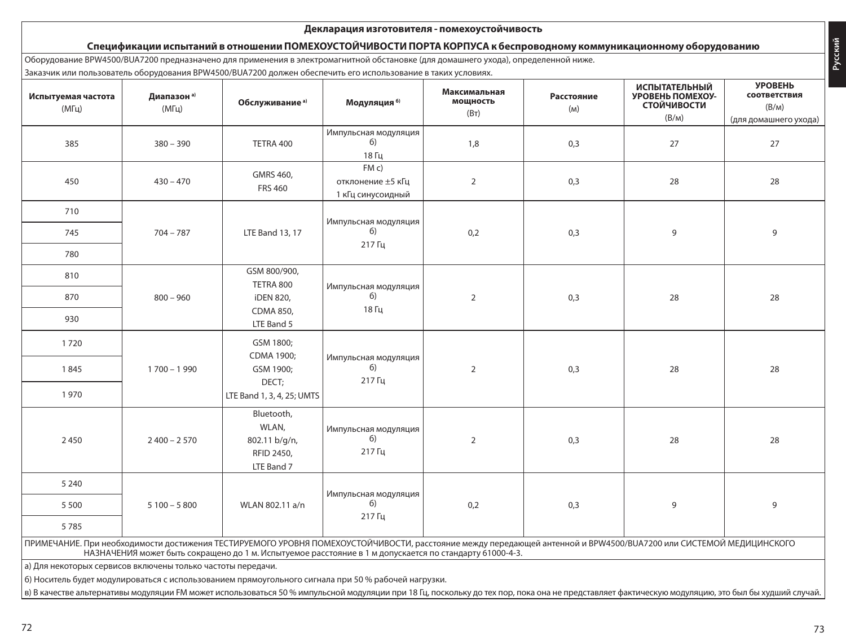### **Декларация изготовителя - помехоустойчивость**

# **Спецификации испытаний в отношении ПОМЕХОУСТОЙЧИВОСТИ ПОРТА КОРПУСА к беспроводному коммуникационному оборудованию**

Оборудование BPW4500/BUA7200 предназначено для применения в электромагнитной обстановке (для домашнего ухода), определенной ниже.

Заказчик или пользователь оборудования BPW4500/BUA7200 должен обеспечить его использование в таких условиях.

| Испытуемая частота<br>$(M\Gamma\mu)$                                                                                                                                                                                                                                                                     | Диапазон а)<br>$(M\Gamma\mu)$ | Обслуживание <sup>а)</sup>                                       | Модуляция 6)                                  | Максимальная<br>мощность<br>(BT) | Расстояние<br>(M) | <b>ИСПЫТАТЕЛЬНЫЙ</b><br>УРОВЕНЬ ПОМЕХОУ-<br><b>СТОЙЧИВОСТИ</b> | <b>YPOBEHb</b><br>соответствия<br>(B/M) |
|----------------------------------------------------------------------------------------------------------------------------------------------------------------------------------------------------------------------------------------------------------------------------------------------------------|-------------------------------|------------------------------------------------------------------|-----------------------------------------------|----------------------------------|-------------------|----------------------------------------------------------------|-----------------------------------------|
|                                                                                                                                                                                                                                                                                                          |                               |                                                                  |                                               |                                  |                   | (B/M)                                                          | (для домашнего ухода)                   |
| 385                                                                                                                                                                                                                                                                                                      | $380 - 390$                   | TETRA 400                                                        | Импульсная модуляция<br>6)<br>18 Гц           | 1,8                              | 0,3               | 27                                                             | 27                                      |
| 450                                                                                                                                                                                                                                                                                                      | $430 - 470$                   | GMRS 460,<br><b>FRS 460</b>                                      | FMC<br>отклонение ±5 кГц<br>1 кГц синусоидный | $\overline{2}$                   | 0,3               | 28                                                             | 28                                      |
| 710                                                                                                                                                                                                                                                                                                      |                               |                                                                  |                                               |                                  |                   |                                                                |                                         |
| 745                                                                                                                                                                                                                                                                                                      | $704 - 787$                   | <b>LTE Band 13, 17</b>                                           | Импульсная модуляция<br>6)<br>217 Гц          | 0,2                              | 0,3               | 9                                                              | 9                                       |
| 780                                                                                                                                                                                                                                                                                                      |                               |                                                                  |                                               |                                  |                   |                                                                |                                         |
| 810                                                                                                                                                                                                                                                                                                      |                               | GSM 800/900,<br>TETRA 800                                        | Импульсная модуляция                          |                                  |                   |                                                                |                                         |
| 870                                                                                                                                                                                                                                                                                                      | $800 - 960$                   | iDEN 820,                                                        | 6)                                            | $\overline{2}$                   | 0,3               | 28                                                             | 28                                      |
| 930                                                                                                                                                                                                                                                                                                      |                               | <b>CDMA 850.</b><br>LTE Band 5                                   | 18 Гц                                         |                                  |                   |                                                                |                                         |
| 1720                                                                                                                                                                                                                                                                                                     |                               | GSM 1800;<br>CDMA 1900;                                          |                                               |                                  |                   |                                                                |                                         |
| 1845                                                                                                                                                                                                                                                                                                     | $1700 - 1990$                 | GSM 1900;<br>DECT;                                               | Импульсная модуляция<br>6)<br>217 Гц          | $\overline{2}$                   | 0,3               | 28                                                             | 28                                      |
| 1970                                                                                                                                                                                                                                                                                                     |                               | LTE Band 1, 3, 4, 25; UMTS                                       |                                               |                                  |                   |                                                                |                                         |
| 2450                                                                                                                                                                                                                                                                                                     | $2400 - 2570$                 | Bluetooth.<br>WLAN.<br>802.11 b/g/n,<br>RFID 2450,<br>LTE Band 7 | Импульсная модуляция<br>6)<br>217 Гц          | $\overline{2}$                   | 0,3               | 28                                                             | 28                                      |
| 5 2 4 0                                                                                                                                                                                                                                                                                                  |                               |                                                                  |                                               |                                  |                   |                                                                |                                         |
| 5500                                                                                                                                                                                                                                                                                                     | $5100 - 5800$                 | WLAN 802.11 a/n                                                  | Импульсная модуляция<br>6)                    | 0,2                              | 0,3               | 9                                                              | 9                                       |
| 5785                                                                                                                                                                                                                                                                                                     |                               |                                                                  | 217 Гц                                        |                                  |                   |                                                                |                                         |
| ПРИМЕЧАНИЕ. При необходимости достижения ТЕСТИРУЕМОГО УРОВНЯ ПОМЕХОУСТОЙЧИВОСТИ, расстояние между передающей антенной и BPW4500/BUA7200 или СИСТЕМОЙ МЕДИЦИНСКОГО<br>НАЗНАЧЕНИЯ может быть сокращено до 1 м. Испытуемое расстояние в 1 м допускается по стандарту 61000-4-3.                             |                               |                                                                  |                                               |                                  |                   |                                                                |                                         |
| а) Для некоторых сервисов включены только частоты передачи.                                                                                                                                                                                                                                              |                               |                                                                  |                                               |                                  |                   |                                                                |                                         |
| б) Носитель будет модулироваться с использованием прямоугольного сигнала при 50 % рабочей нагрузки.<br>в) В качестве альтернативы модуляции FM может использоваться 50 % импульсной модуляции при 18 Гц, поскольку до тех пор, пока она не представляет фактическую модуляцию, это был бы худший случай. |                               |                                                                  |                                               |                                  |                   |                                                                |                                         |

**Русский**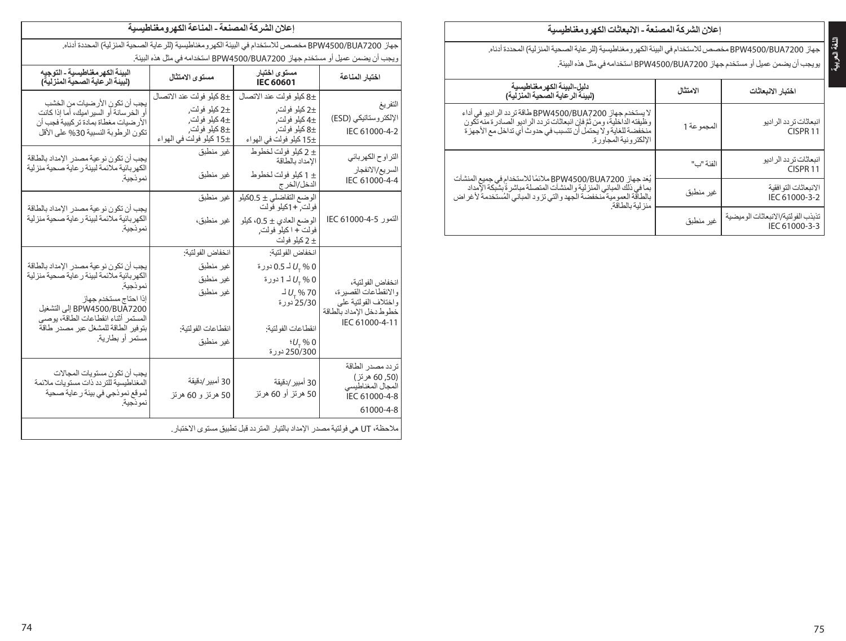| A7200 |  |
|-------|--|
| ان بٹ |  |
| اخت   |  |

Н

| إعلان الشركة المصنعة ـ الانبعاثات الكهرومغناطيسية |  |
|---------------------------------------------------|--|
|---------------------------------------------------|--|

جهاز 7200BUA4500/BPW مخصصلالستخدام في البيئةالكهرومغناطيسية)للرعايةالصحيةالمنزلية( المحددة أدناه. يمن عميل أو مستخدم جهاز BPW4500/BUA7200 استخدامه في مثل هذه البيئة.

| الامتثال   | اختبار الانبعاثات                                                                                                                                                                                                                                                                                                                                                                                                                                                            |
|------------|------------------------------------------------------------------------------------------------------------------------------------------------------------------------------------------------------------------------------------------------------------------------------------------------------------------------------------------------------------------------------------------------------------------------------------------------------------------------------|
| المجموعة 1 | انبعاثات تر دد الر ادیو<br>CISPR <sub>11</sub>                                                                                                                                                                                                                                                                                                                                                                                                                               |
| الفئة "ب"  | انبعاثات تر دد الر ادیو<br>CISPR <sub>11</sub>                                                                                                                                                                                                                                                                                                                                                                                                                               |
| غير منطبق  | الانمعاثات التو افقية<br>IEC 61000-3-2                                                                                                                                                                                                                                                                                                                                                                                                                                       |
| غير منطبق  | تذبذب الفو لتية/الانبعاثات الوميضية<br>IEC 61000-3-3                                                                                                                                                                                                                                                                                                                                                                                                                         |
|            | لا يستخدم جهاز BPW4500/BUA7200 طاقة تر دد الر اديو في أداء<br>وظَيفتَه الداخليةَ، ومن ثَمَّ فإن انبعاثات تر دد الر اديو الصـادر ة منه تكون<br>منخفضة للغاية و لا يحتمل أن تتسبب في حدوث أي تداخل مع الأجهز ة<br>الألكتر ونبة المجاور ة.<br>يُعَد جهاز BPW4500/BUA7200 ملائمًا للاستخدام في جميع المنشآت<br>بما في ذلك المباني المنز لية و المنشآت المتصلة مباشر ةٌ بِشْبِكَة الإمداد<br>بالطاقة العمومية منخفضة الجهدوالتي تزود المباني المستخدمة لأغراض<br>منز لية بالطاقة. |

| إعلان الشركة المصنعة - المناعة الكهرومغناطيسية                                                                  |                                                                                                                                                                  |                                                                                                         |                                                                                                                                                                                                                                                              |  |  |  |  |
|-----------------------------------------------------------------------------------------------------------------|------------------------------------------------------------------------------------------------------------------------------------------------------------------|---------------------------------------------------------------------------------------------------------|--------------------------------------------------------------------------------------------------------------------------------------------------------------------------------------------------------------------------------------------------------------|--|--|--|--|
| جهاز BPW4500/BUA7200 مخصص للاستخدام في البيئة الكهرومغناطيسية (للر عاية الصحية المنزلية) المحددة أدناه.         |                                                                                                                                                                  |                                                                                                         |                                                                                                                                                                                                                                                              |  |  |  |  |
| ريجب أن يضمن عميل أو مستخدم جهاز BPW4500/BUA7200 استخدامه في مثّل هذه البيئة.                                   |                                                                                                                                                                  |                                                                                                         |                                                                                                                                                                                                                                                              |  |  |  |  |
| اختبار المناعة                                                                                                  | مستوى اختبار<br><b>IEC 60601</b>                                                                                                                                 | مستوى الامتثال                                                                                          | البينة الكهر مغناطيسية - التوجيه<br>(لبينة الرعاية الصحية المنزلية)                                                                                                                                                                                          |  |  |  |  |
| لتفريغ<br>الإلكتر وستاتيكي (ESD)<br>IEC 61000-4-2                                                               | ±8 كيلو فولت عند الاتصال<br>±2 كيلو فولت,<br>±4 كيلو فولت,<br>8± كيلو فولت,<br>±15 كيلو فولت في الهواء                                                           | ±8 كيلو فولت عند الاتصـال<br>±2 كيلو فولت,<br>±4 كيلو فولت,<br>±8 كيلو فولت,<br>±15 كيلو فولت في الهواء | يجب أن تكون الأر ضيات من الخشب<br>أو الخر سانة أو السير اميك، أما إذا كانت<br>الأر ضيات مغطاة بمادة تر كيبية فجب أن<br>تكون الرطوبة النسبية 30% على الأقل                                                                                                    |  |  |  |  |
| لتر او ح الكهرباني<br>السريع/الانفجار<br>IEC 61000-4-4                                                          | ± 2 كيلو فولت لخطوط<br>الإمداد بالطاقة<br>± 1 كيلو فولت لخطوط<br>الدخل/الخر ج                                                                                    | غير منطبق<br>غير منطبق                                                                                  | يجب أن تكون نو عية مصدر الإمداد بالطاقة<br>الكهر بائية ملائمة لبيئة ر عاية صحية منز لية<br>نموذجية.                                                                                                                                                          |  |  |  |  |
| التمور IEC 61000-4-5                                                                                            | الوضع التفاضلي ± 0.5كيلو<br>فولت, +1كيلو فولت<br>الوضع العادي ± 0.5، كيلو<br>فولت + اكيلو فولت,<br>± 2 كيلو فولت                                                 | غير منطبق<br>غير منطبق،                                                                                 | يجب أن تكون نو عية مصدر الإمداد بالطاقة<br>الكهر بانية ملائمة لبيئة ر عاية صحية منزلية<br>نموذجية.                                                                                                                                                           |  |  |  |  |
| انخفاض الفو لتية،<br>رالانقطاعات القصيرة،<br>واختلاف الفولتية على<br>خطوط دخل الإمداد بالطاقة<br>IEC 61000-4-11 | انخفاض الفولتية:<br>0.5 √ل لـ 0.5 دورة<br>0 % <sub>⊤</sub> √ل 1 1 دورة<br>$J U_{\tau}$ % 70<br>25/30 دورة<br>انقطاعات الفولتية:<br>$U_{\tau}$ %0<br>250/300 دورة | انخفاض الفولتية:<br>غير منطبق<br>غير منطبق<br>غير منطبق<br>انقطاعات الفولتية:<br>غير منطبق              | يجب أن تكون نو عية مصدر الإمداد بالطاقة<br>الكهر بائية ملائمة لبيئة ر عاية صحية منز لية<br>نموذجية.<br>إذا احتاج مستخدم جهاز<br>BPW4500/BUA7200 إلى التشغيل<br>المستمر أثناء انقطاعات الطاقة، يوصى<br>بتوفير الطاقة للمشغل عبر مصدر طاقة<br>مستمر أو بطارية. |  |  |  |  |
| نردد مصدر الطاقة<br>(50, 60 هرتز)<br>المجال المغناطيسي<br>IEC 61000-4-8<br>61000-4-8                            | 30 أمبير /دقيقة<br>50 هرنز أو 60 هرنز                                                                                                                            | 30 أمبير /دقيقة<br>50 هرتز و 60 هرتز                                                                    | يجب أن تكون مستويات المجالات<br>المغناطيسية للتردد ذات مستويات ملائمة<br>لموقع نموذجي في بيئة ر عاية صحية<br>نمو ذھية.                                                                                                                                       |  |  |  |  |
|                                                                                                                 | ملاحظة، UT هي فولتية مصدر  الإمداد بالتيار  المتر دد قبل تطبيق مستوى الاختبار .                                                                                  |                                                                                                         |                                                                                                                                                                                                                                                              |  |  |  |  |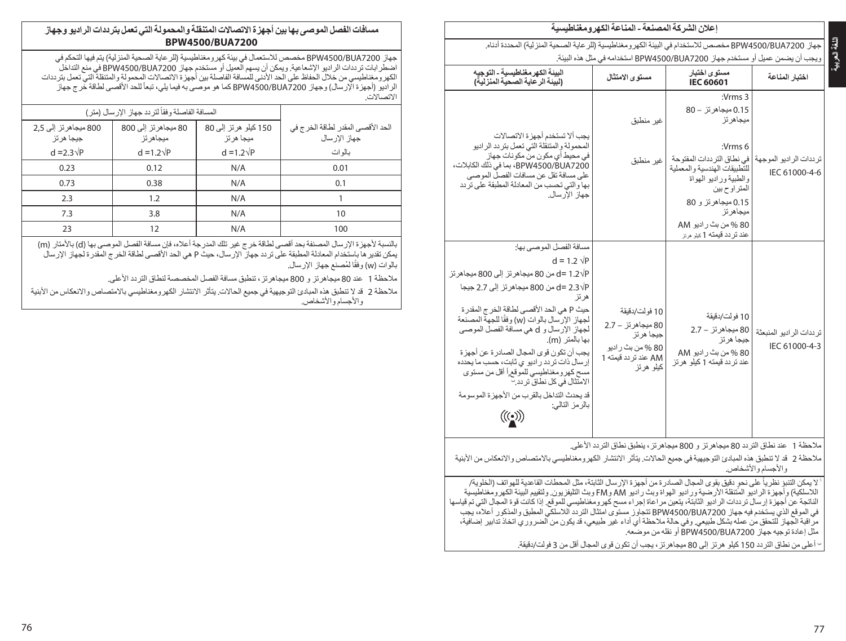|                                                                                                                                                                                                                                                                                                                                                                                                                                                                                                                                                                             | اعلان الشر كة المصنعة ـ المناعة الكهر و مغناطيسية                                                                                                                                          |                                                                                                                                                                                                                                                             |                                            |  |  |  |  |
|-----------------------------------------------------------------------------------------------------------------------------------------------------------------------------------------------------------------------------------------------------------------------------------------------------------------------------------------------------------------------------------------------------------------------------------------------------------------------------------------------------------------------------------------------------------------------------|--------------------------------------------------------------------------------------------------------------------------------------------------------------------------------------------|-------------------------------------------------------------------------------------------------------------------------------------------------------------------------------------------------------------------------------------------------------------|--------------------------------------------|--|--|--|--|
|                                                                                                                                                                                                                                                                                                                                                                                                                                                                                                                                                                             |                                                                                                                                                                                            |                                                                                                                                                                                                                                                             |                                            |  |  |  |  |
|                                                                                                                                                                                                                                                                                                                                                                                                                                                                                                                                                                             | جهاز. BPW4500/BUA7200 مخصص للاستخدام في البيئة الكهر ومغناطيسية (للر عاية الصحية المنزلية) المحددة أدناه.<br>ويجب أن يضمن عميل أو مستخدم جهاز BPW4500/BUA7200 استخدامه في مثّل هذه البيئة. |                                                                                                                                                                                                                                                             |                                            |  |  |  |  |
| البينة الكهر مغناطيسية - التوجيه<br>(لبينة الرعاية الصحية المنزلية)                                                                                                                                                                                                                                                                                                                                                                                                                                                                                                         | مستوى الامتثال                                                                                                                                                                             | مستوى اختبار<br><b>IEC 60601</b>                                                                                                                                                                                                                            | اختبار المناعة                             |  |  |  |  |
| يجب ألا تستخدم أجهزة الاتصىالات<br>المحمولة والمتنقلة التي تعمل بتردد الراديو<br>في محبط أي مكون من مكونات جهاز<br>BPW4500/BUA7200، بما في ذلك الكابلات،<br>على مسافة تقل عن مسافات الفصل الموصىي<br>بها والتي تحسب من المعادلة المطبقة على تردد<br>جهاز الأرسال.                                                                                                                                                                                                                                                                                                           | غير منطبق<br>غير منطبق                                                                                                                                                                     | : $Vrms$ 3<br>0.15 ميجاهر تز – 80<br>ميجاهر تز<br>:Vrms 6<br>في نطاق التر ددات المفتوحة<br>للتطبيقات الهندسية والمعملية<br>والطبية وراديو الهواة<br>المتر او ح بين<br>0.15 ميجاهرتز و 80<br>ميجاهر تز<br>80 % من بث ر اديو AM<br>عند تر دد قیمته 1 میر مرتز | ترددات الراديو الموجهة<br>IEC 61000-4-6    |  |  |  |  |
| مسافة الفصل الموصبي بها:<br>$d = 1.2 \sqrt{P}$<br>d= 1.2√P من 80 ميجاهرتز إلى 800 ميجاهرتز<br>d= 2.3√P من 800 ميجاهر تز إلى 2.7 جيجا<br>هر تز<br>حيث P هي الحد الأقصبي لطاقة الخر ج المقدر ة<br>لجهاز الإرسال بالوات (w) وفقًا للجهة المصنِّعة<br>لجهاز الإرسال و d هي مسافة الفصل الموصى<br> بها بالمتر  (m).<br>يجب أن تكون قوى المجال الصادر ة عن أجهزة<br>إرسال ذات تر دد ر ادیو ی ثابت، حسب ما یحدده<br>مسح كهر ومغناطيسي للموقع أأقل من مستوى<br>الامتثال في كل نطاق تر دد. <sup>ب</sup><br>قد يحدث التداخل بالقر ب من الأجهز ة المو سو مة<br>بالرمز النالي:<br>(((•) | 10 فو لَت⁄دقيقة<br>80 ميجاھر ئز  — 2.7<br>جيجا هر تز<br>80 % من بث ر اديو<br>AM عند تر دد قیمته 1<br>كيلو هرتز                                                                             | 10 فولت/دقيقة<br>80 مبجاهر تز – 2.7<br>جيجا هر تز<br>80 % من بث راديو AM<br>عند تر دد قیمته 1 کیلو هر تز                                                                                                                                                    | تر ددات الر اديو المنبعثة<br>IEC 61000-4-3 |  |  |  |  |

مالحظة 1 عند نطاق التردد 80 ميجاهرتز و 800 ميجاهرتز، ينطبق نطاق التردد األعلى.

ملاحظة 2 قد لا تنطبق هذه المبادئ التوجيهية في جميع الحالات. يتأثر الانتشار الكهرومغناطيسي بالامتصاص والانعكاس من الأبنية والأجسام والأشخاص.

لا يمكن التنبؤ نظرياً على نحوٍ دقيق بقوى المجال الصادرة من أجهزة الإرسال الثابتة، مثل المحطات القاعدية للهواتف (الخلوية/<br>أن ذلك التنبؤ نظرياً على نفس المجال الصادرة من أجهزة الإرسابية اللاسلكية) وأجهزة الراديو المُتنقلة الأرضية وراديو الهواة وبث راديو AM وFM وبث التليفزيون. ولتقييم البيئة الكهرومغناطيسية الناتجة عن أجهزة إرسال ترددات الراديو الثابتة، يتعين مراعاة إجراء مسح كهرومغناطيسي للموقع. إذا كانت قوة المجال التي تم قياسها في الموقع الذي يستخدم فيه جهاز 7200BUA4500/BPW تتجاوز مستوى امتثال التردد الالسلكي المطبق والمذكور أعاله، يجب مراقبة الجهاز للتحقق من عمله بشكل طبيعي. وفي حالة مالحظة أي أداء غير طبيعي، قد يكون من الضروري اتخاذ تدابير إضافية، مثل إعادة توجيه جهاز 7200BUA4500/BPW أو نقله من موضعه.

بأعلى من نطاق التردد 150 كيلو هرتز إلى 80 ميجاهرتز، يجب أن تكون قوى المجال أقل من 3 فولت/دقيقة.

# **مسافات الفصل الموصى بها بين أجهزةاالتصاالت المتنقلة والمحمولة التي تعمل بتردداتالراديو وجهاز BPW4500/BUA7200**

جهاز BPW4500/BUA7200 مخصص للاستعمال في بيئة كهرومغناطيسية (للر عاية الصحية المنز لية) يتم فيها التحكم في اضطرابات ترددات الراديو اإلشعاعية. ويمكن أن يسهم العميل أو مستخدم جهاز 7200BUA4500/BPW في منع التداخل الكهرومغناطيسي من خالل الحفاظ على الحد األدنى للمسافة الفاصلة بين أجهزة االتصاالت المحمولة والمتنقلة التي تعمل بترددات الر اديو (أجهزة الإرسال) وجهاز BPW4500/BUA7200 كما هو موصىي به فيما يلي، تبعاً للحد الأقصىي لطاقة خرج جهاز االتصاالت.

| المسافة الفاصلة وفقاً لتر دد جهاز ١لار سال (متر ) |                                   |                                     |                                                     |
|---------------------------------------------------|-----------------------------------|-------------------------------------|-----------------------------------------------------|
| 800 ميجاھر تز الے 2.5<br>جيجا هر تز               | 80 مبجاھر نز إلى 800<br>ميجاهر تز | 150 كيلو هر تز إلى 80<br>ميجا هر تز | الحد الأقصبي المقدر لطاقة الخرج في<br>جهاز الار سال |
| $d = 2.3\sqrt{P}$                                 | $d = 1.2\sqrt{P}$                 | $d = 1.2\sqrt{P}$                   | ىالو ات                                             |
| 0.23                                              | 0.12                              | N/A                                 | 0.01                                                |
| 0.73                                              | 0.38                              | N/A                                 | 0.1                                                 |
| 2.3                                               | 1.2                               | N/A                                 |                                                     |
| 7.3                                               | 3.8                               | N/A                                 | 10                                                  |
| 23                                                | 12                                | N/A                                 | 100                                                 |

بالنسبة لأجهزة الإرسال المصنفة بحد أقصى لطاقة خرج غير تلك المدرجة أعلاه، فإن مسافة الفصل الموصى بها (d) بالأمتار (m) يمكن تقديرها باستخدام المعادلة المطبقة على تردد جهاز اإلرسال، حيث P هي الحد األقصى لطاقة الخرج المقدرة لجهاز اإلرسال بالوات (w) وفقًا لمُصنع جهاز الإرسال.

ملاحظة 1 عند 80 ميجاهرتز و 800 ميجاهرتز ، تنطبق مسافة الفصل المخصصة لنطاق التردد الأعلى.

ملاحظة 2 قد لا تنطبق هذه المبادئ التوجيهية في جميع الحالات. يتأثر الانتشار الكهرومغناطيسي بالامتصاص والانعكاس من الأبنية والأجسام والأشخاص.

**اللغةالعربية**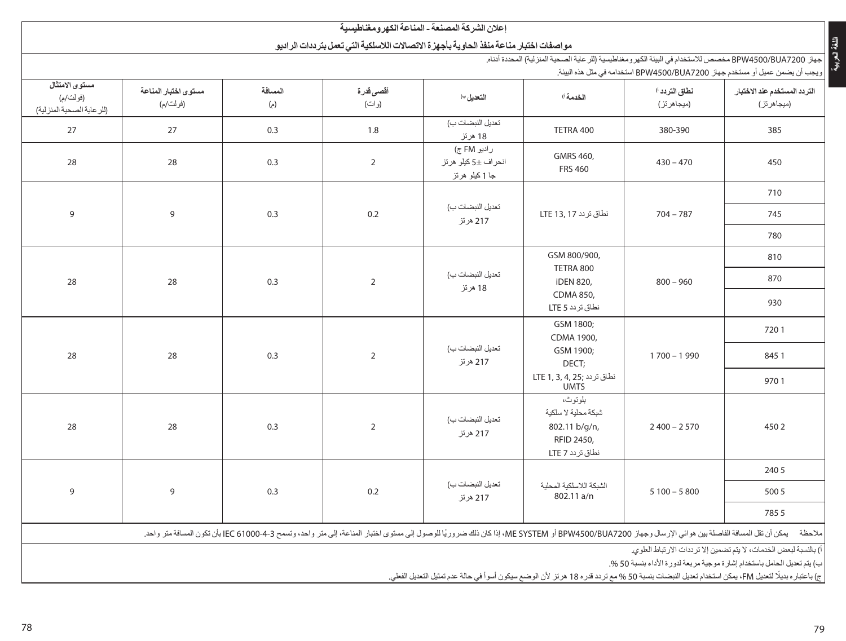|                                                                                                                                     |                                  |                       |                              | اعلان الشر كة المصنعة - المناعة الكهر و مغناطيسية                                          |                                                                                                                                                                                                                               |                               |                                                                                                                              |                    |               |      |
|-------------------------------------------------------------------------------------------------------------------------------------|----------------------------------|-----------------------|------------------------------|--------------------------------------------------------------------------------------------|-------------------------------------------------------------------------------------------------------------------------------------------------------------------------------------------------------------------------------|-------------------------------|------------------------------------------------------------------------------------------------------------------------------|--------------------|---------------|------|
|                                                                                                                                     |                                  |                       |                              | مو اصفات اختبار مناعة منفذ الحاوية بأجهز ة الاتصالات اللاسلكية التي تعمل بتر ددات الر اديو |                                                                                                                                                                                                                               |                               |                                                                                                                              |                    |               |      |
|                                                                                                                                     |                                  |                       |                              |                                                                                            | جهاز BPW4500/BUA7200 مخصص للاستخدام في البيئة الكهر ومغناطيسية (الرعاية الصحية المنزلية) المحددة أدناه.                                                                                                                       |                               |                                                                                                                              |                    |               |      |
| مستوى الامتثال<br>(فو لت/م)<br>(للر عاية الصحية المنزلية)                                                                           | مستوى اختبار المناعة<br>(فولت/م) | المسافة<br>(s)        | أقصى قدرة<br>(و ات)          | التعديل ٢٠                                                                                 | الخدمة ا                                                                                                                                                                                                                      | نطاق التردد ل<br>(ميجاهر تز ) | ويجب أن يضمن عميل أو مستخدم جهاز BPW4500/BUA7200 استخدامه في مثل هذه البيئة.<br>التردد المستخدم عند الاختبار<br>(ميجاهر تز ) |                    |               |      |
| 27                                                                                                                                  | 27                               | 0.3                   | 1.8                          | تعديل النبضات ب)<br>18 هرنز                                                                | TETRA 400                                                                                                                                                                                                                     | 380-390                       | 385                                                                                                                          |                    |               |      |
| 28                                                                                                                                  | 28                               | 0.3                   | $\overline{2}$               | ر اديو FM ج)<br>انحر اف ±5 کبلو  ھر تز<br>جا 1 کيلو هرتز                                   | GMRS 460,<br><b>FRS 460</b>                                                                                                                                                                                                   | $430 - 470$                   | 450                                                                                                                          |                    |               |      |
|                                                                                                                                     |                                  |                       |                              |                                                                                            |                                                                                                                                                                                                                               |                               | 710                                                                                                                          |                    |               |      |
| 9                                                                                                                                   | 9                                | 0.3                   | 0.2                          | تعديل النبضات ب)<br>217 هرئز                                                               | نطاق تر دد 17 LTE                                                                                                                                                                                                             | $704 - 787$                   | 745                                                                                                                          |                    |               |      |
|                                                                                                                                     |                                  |                       |                              |                                                                                            |                                                                                                                                                                                                                               | 780                           |                                                                                                                              |                    |               |      |
| 28<br>28                                                                                                                            | 0.3                              | $\overline{2}$        | تعديل النبضات ب)             | GSM 800/900,<br>TETRA 800<br>iDEN 820,                                                     | $800 - 960$                                                                                                                                                                                                                   | 810<br>870                    |                                                                                                                              |                    |               |      |
|                                                                                                                                     |                                  | 18 هرتز               | CDMA 850,<br>نطاق تردد LTE 5 |                                                                                            | 930                                                                                                                                                                                                                           |                               |                                                                                                                              |                    |               |      |
|                                                                                                                                     |                                  |                       |                              |                                                                                            | GSM 1800:<br>CDMA 1900,                                                                                                                                                                                                       |                               | 7201                                                                                                                         |                    |               |      |
| 28                                                                                                                                  | 28                               | 0.3<br>$\overline{2}$ |                              |                                                                                            |                                                                                                                                                                                                                               |                               | تعديل النبضات ب)<br>217 هرنز                                                                                                 | GSM 1900;<br>DECT; | $1700 - 1990$ | 8451 |
|                                                                                                                                     |                                  |                       |                              |                                                                                            | نطاق تردد ;1, 3, 4, LTE 1<br>UMTS                                                                                                                                                                                             |                               | 9701                                                                                                                         |                    |               |      |
| 28                                                                                                                                  | 28                               | 0.3                   | $\overline{2}$               | تعديل النبضات ب)<br>217 هرئز                                                               | بلوتوث،<br>شبكة محلية لا سلكية<br>802.11 b/g/n,<br>RFID 2450,<br>نطاق تردد LTE 7                                                                                                                                              | $2400 - 2570$                 | 4502                                                                                                                         |                    |               |      |
|                                                                                                                                     |                                  |                       | تعديل النبضات ب)             | الشبكة اللاسلكية المحلية                                                                   |                                                                                                                                                                                                                               | 240 5                         |                                                                                                                              |                    |               |      |
| 9                                                                                                                                   | 9                                | 0.3                   | 0.2                          | 217 هرئز                                                                                   | 802.11 a/n                                                                                                                                                                                                                    | $5100 - 5800$                 | 500 5                                                                                                                        |                    |               |      |
|                                                                                                                                     |                                  |                       |                              |                                                                                            |                                                                                                                                                                                                                               |                               | 7855                                                                                                                         |                    |               |      |
|                                                                                                                                     |                                  |                       |                              |                                                                                            | ملاحظة    يمكن أن تقل المسافة الفاصلة بين هواني الإرسال وجهاز BPW4500/BUA7200 والكو الكام المنافع المراد المراس والمستق المناسم 145 EC و250 المراقي الممتر واحد، وتسمح 143 EC وEC و250 المناعة الى متر واحد، وتسمح 143 EC و25 |                               |                                                                                                                              |                    |               |      |
| أ) بالنسبة لبعض الخدمات، لا يتم تضمين إلا تر ددات الار تباط العلوى.<br>of most is liked and a state of the line of the first state. |                                  |                       |                              |                                                                                            |                                                                                                                                                                                                                               |                               |                                                                                                                              |                    |               |      |

ب) يتم تعديل الحامل باستخدام إشارة موجية مربعة لدورة الأداء بنسبة 50 %.<br>ج) باعتباره بديلًا لتعديل FM، يمكن استخدام تعديل النبضات بنسبة 50 % مع تر دد قدره 18 هرتز لأن الوضع سيكون أسوأ في حالة عدم تمثيل التعديل الفعلي.

**اللغةالعربية**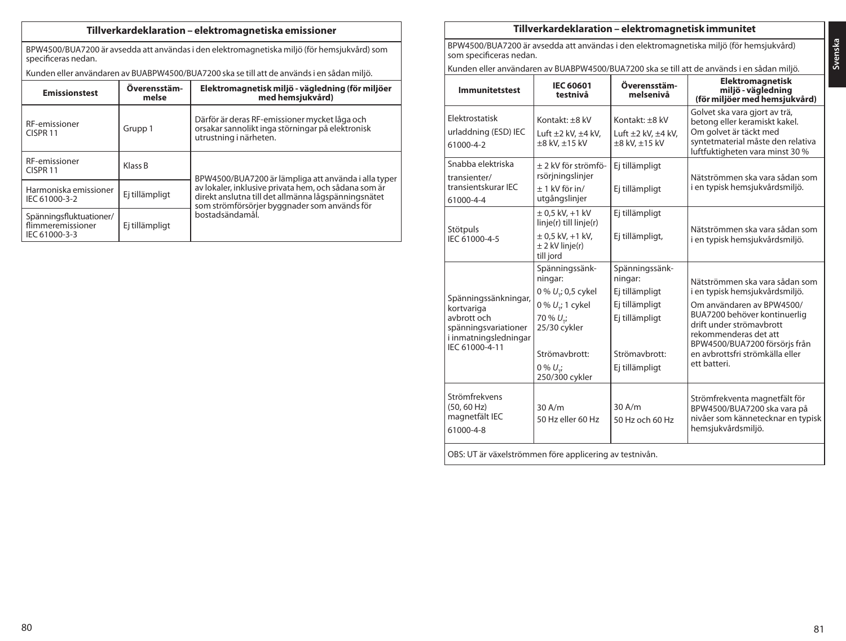# **Tillverkardeklaration – elektromagnetiska emissioner**

BPW4500/BUA7200 är avsedda att användas i den elektromagnetiska miljö (för hemsjukvård) som specificeras nedan.

Kunden eller användaren av BUABPW4500/BUA7200 ska se till att de används i en sådan miljö.

| <b>Emissionstest</b>                                          | Överensstäm-<br>melse | Elektromagnetisk miljö - vägledning (för miljöer<br>med hemsjukvård)                                                                                        |
|---------------------------------------------------------------|-----------------------|-------------------------------------------------------------------------------------------------------------------------------------------------------------|
| RF-emissioner<br>CISPR <sub>11</sub>                          | Grupp 1               | Därför är deras RF-emissioner mycket låga och<br>orsakar sannolikt inga störningar på elektronisk<br>utrustning i närheten.                                 |
| RF-emissioner<br>CISPR <sub>11</sub>                          | Klass B               | BPW4500/BUA7200 är lämpliga att använda i alla typer                                                                                                        |
| Harmoniska emissioner<br>IEC 61000-3-2                        | Ej tillämpligt        | av lokaler, inklusive privata hem, och sådana som är<br>direkt anslutna till det allmänna lågspänningsnätet<br>som strömförsörjer byggnader som används för |
| Spänningsfluktuationer/<br>flimmeremissioner<br>IEC 61000-3-3 | Ej tillämpligt        | bostadsändamåĺ.                                                                                                                                             |

# **Tillverkardeklaration – elektromagnetisk immunitet**

BPW4500/BUA7200 är avsedda att användas i den elektromagnetiska miljö (för hemsjukvård) som specificeras nedan.

Kunden eller användaren av BUABPW4500/BUA7200 ska se till att de används i en sådan miljö.

| <b>Immunitetstest</b>                                                                                                | <b>IEC 60601</b><br>testnivå                                                                                                                                               | Överensstäm-<br>melsenivå                                                                                          | <b>Elektromagnetisk</b><br>miljö - vägledning<br>(för miljöer med hemsjukvård)                                                                                                                                                                                         |  |  |
|----------------------------------------------------------------------------------------------------------------------|----------------------------------------------------------------------------------------------------------------------------------------------------------------------------|--------------------------------------------------------------------------------------------------------------------|------------------------------------------------------------------------------------------------------------------------------------------------------------------------------------------------------------------------------------------------------------------------|--|--|
| Elektrostatisk<br>urladdning (ESD) IEC<br>61000-4-2                                                                  | Kontakt: +8 kV<br>Luft $\pm 2$ kV, $\pm 4$ kV,<br>±8 kV, ±15 kV                                                                                                            | Kontakt: $+8$ kV<br>Luft $\pm 2$ kV, $\pm 4$ kV,<br>±8 kV, ±15 kV                                                  | Golvet ska vara gjort av trä,<br>betong eller keramiskt kakel.<br>Om golvet är täckt med<br>syntetmaterial måste den relativa<br>luftfuktigheten vara minst 30 %                                                                                                       |  |  |
| Snabba elektriska<br>transienter/<br>transientskurar IEC<br>61000-4-4                                                | + 2 kV för strömfö-<br>rsörjningslinjer<br>$+1$ kV för in/<br>utgångslinjer                                                                                                | Ej tillämpligt<br>Ej tillämpligt                                                                                   | Nätströmmen ska vara sådan som<br>i en typisk hemsjukvårdsmiljö.                                                                                                                                                                                                       |  |  |
| Stötpuls<br>IEC 61000-4-5                                                                                            | $\pm$ 0.5 kV, +1 kV<br>linje(r) till linje(r)<br>$\pm$ 0.5 kV, +1 kV,<br>$±$ 2 kV linje(r)<br>till jord                                                                    | Ej tillämpligt<br>Ej tillämpligt,                                                                                  | Nätströmmen ska vara sådan som<br>i en typisk hemsjukvårdsmiljö.                                                                                                                                                                                                       |  |  |
| Spänningssänkningar,<br>kortvariga<br>avbrott och<br>spänningsvariationer<br>i inmatningsledningar<br>IEC 61000-4-11 | Spänningssänk-<br>ningar:<br>0 % $U$ ; 0,5 cykel<br>0 % $U_{\nu}$ ; 1 cykel<br>70 % U <sub>-</sub> ;<br>25/30 cykler<br>Strömavbrott:<br>$0\% U_{\star}$<br>250/300 cykler | Spänningssänk-<br>ningar:<br>Ej tillämpligt<br>Ej tillämpligt<br>Ej tillämpligt<br>Strömavbrott:<br>Ej tillämpligt | Nätströmmen ska vara sådan som<br>i en typisk hemsjukvårdsmiljö.<br>Om användaren av BPW4500/<br>BUA7200 behöver kontinuerlig<br>drift under strömavbrott<br>rekommenderas det att<br>BPW4500/BUA7200 försöris från<br>en avbrottsfri strömkälla eller<br>ett batteri. |  |  |
| Strömfrekvens<br>(50.60 Hz)<br>magnetfält IEC<br>61000-4-8                                                           | 30A/m<br>50 Hz eller 60 Hz                                                                                                                                                 | $30$ A/m<br>50 Hz och 60 Hz                                                                                        | Strömfrekventa magnetfält för<br>BPW4500/BUA7200 ska vara på<br>nivåer som kännetecknar en typisk<br>hemsjukvårdsmiljö.                                                                                                                                                |  |  |
| OBS: UT är växelströmmen före applicering av testnivån.                                                              |                                                                                                                                                                            |                                                                                                                    |                                                                                                                                                                                                                                                                        |  |  |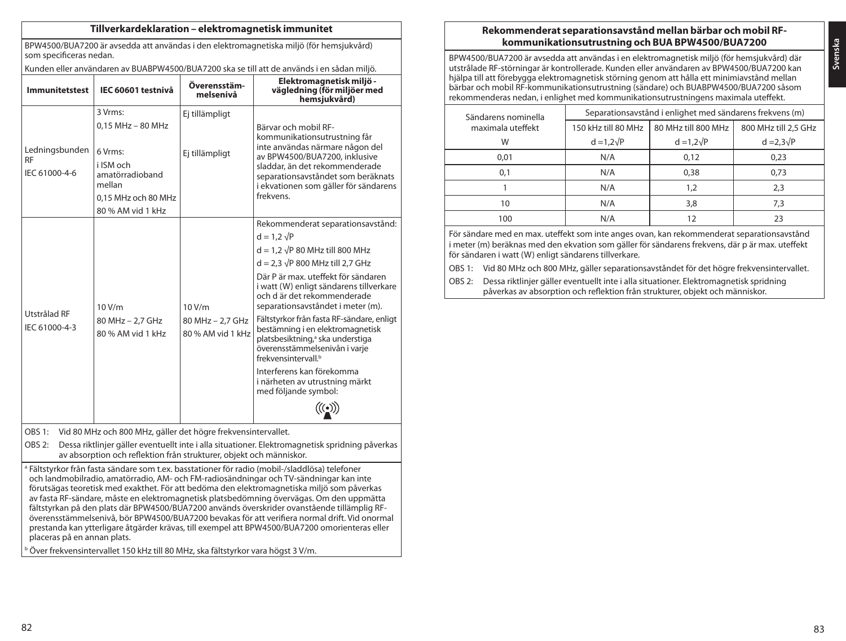### **Tillverkardeklaration – elektromagnetisk immunitet**

BPW4500/BUA7200 är avsedda att användas i den elektromagnetiska miljö (för hemsjukvård) som specificeras nedan.

Kunden eller användaren av BUABPW4500/BUA7200 ska se till att de används i en sådan miljö.

| <b>Immunitetstest</b>                        | IEC 60601 testnivå                                                                                                                | Överensstäm-<br>melsenivå                       | Elektromagnetisk miljö -<br>vägledning (för miljöer med<br>hemsjukvård)                                                                                                                                                                                                                                                                                                                                                                                                                                                                                                                       |
|----------------------------------------------|-----------------------------------------------------------------------------------------------------------------------------------|-------------------------------------------------|-----------------------------------------------------------------------------------------------------------------------------------------------------------------------------------------------------------------------------------------------------------------------------------------------------------------------------------------------------------------------------------------------------------------------------------------------------------------------------------------------------------------------------------------------------------------------------------------------|
| Ledningsbunden<br><b>RF</b><br>IEC 61000-4-6 | 3 Vrms:<br>$0.15$ MHz $-$ 80 MHz<br>6 Vrms:<br>i ISM och<br>amatörradioband<br>mellan<br>0.15 MHz och 80 MHz<br>80 % AM vid 1 kHz | Ej tillämpligt<br>Ej tillämpligt                | Bärvar och mobil RF-<br>kommunikationsutrustning får<br>inte användas närmare någon del<br>av BPW4500/BUA7200, inklusive<br>sladdar, än det rekommenderade<br>separationsavståndet som beräknats<br>i ekvationen som gäller för sändarens<br>frekvens.                                                                                                                                                                                                                                                                                                                                        |
| Utstrålad RF<br>IEC 61000-4-3                | 10 V/m<br>80 MHz - 2,7 GHz<br>80 % AM vid 1 kHz                                                                                   | 10 V/m<br>80 MHz - 2,7 GHz<br>80 % AM vid 1 kHz | Rekommenderat separationsavstånd:<br>$d = 1.2 \sqrt{P}$<br>$d = 1.2 \sqrt{P} 80$ MHz till 800 MHz<br>$d = 2.3 \sqrt{P} 800$ MHz till 2.7 GHz<br>Där P är max. uteffekt för sändaren<br>i watt (W) enligt sändarens tillverkare<br>och där det rekommenderade<br>separationsavståndet i meter (m).<br>Fältstyrkor från fasta RF-sändare, enligt<br>bestämning i en elektromagnetisk<br>platsbesiktning, <sup>a</sup> ska understiga<br>överensstämmelsenivån i varje<br>frekvensintervall. <sup>b</sup><br>Interferens kan förekomma<br>i närheten av utrustning märkt<br>med följande symbol: |

OBS 1: Vid 80 MHz och 800 MHz, gäller det högre frekvensintervallet.

OBS 2: Dessa riktlinjer gäller eventuellt inte i alla situationer. Elektromagnetisk spridning påverkas av absorption och reflektion från strukturer, objekt och människor.

<sup>a</sup> Fältstyrkor från fasta sändare som t.ex. basstationer för radio (mobil-/sladdlösa) telefoner och landmobilradio, amatörradio, AM- och FM-radiosändningar och TV-sändningar kan inte förutsägas teoretisk med exakthet. För att bedöma den elektromagnetiska miljö som påverkas av fasta RF-sändare, måste en elektromagnetisk platsbedömning övervägas. Om den uppmätta fältstyrkan på den plats där BPW4500/BUA7200 används överskrider ovanstående tillämplig RFöverensstämmelsenivå, bör BPW4500/BUA7200 bevakas för att verifiera normal drift. Vid onormal prestanda kan ytterligare åtgärder krävas, till exempel att BPW4500/BUA7200 omorienteras eller placeras på en annan plats.

<sup>b</sup> Över frekvensintervallet 150 kHz till 80 MHz, ska fältstyrkor vara högst 3 V/m.

## **Rekommenderat separationsavstånd mellan bärbar och mobil RFkommunikationsutrustning och BUA BPW4500/BUA7200**

BPW4500/BUA7200 är avsedda att användas i en elektromagnetisk miljö (för hemsjukvård) där utstrålade RF-störningar är kontrollerade. Kunden eller användaren av BPW4500/BUA7200 kan hjälpa till att förebygga elektromagnetisk störning genom att hålla ett minimiavstånd mellan bärbar och mobil RF-kommunikationsutrustning (sändare) och BUABPW4500/BUA7200 såsom rekommenderas nedan, i enlighet med kommunikationsutrustningens maximala uteffekt.

| Sändarens nominella | Separationsavstånd i enlighet med sändarens frekvens (m) |                     |                      |  |
|---------------------|----------------------------------------------------------|---------------------|----------------------|--|
| maximala uteffekt   | 150 kHz till 80 MHz                                      | 80 MHz till 800 MHz | 800 MHz till 2.5 GHz |  |
| W                   | $d = 1.2\sqrt{P}$                                        | $d = 1.2\sqrt{P}$   | $d = 2.3\sqrt{P}$    |  |
| 0.01                | N/A                                                      | 0.12                | 0,23                 |  |
| 0.1                 | N/A                                                      | 0.38                | 0,73                 |  |
|                     | N/A                                                      | 1.2                 | 2,3                  |  |
| 10                  | N/A                                                      | 3,8                 | 7.3                  |  |
| 100                 | N/A                                                      |                     | 23                   |  |

För sändare med en max. uteffekt som inte anges ovan, kan rekommenderat separationsavstånd i meter (m) beräknas med den ekvation som gäller för sändarens frekvens, där p är max. uteffekt för sändaren i watt (W) enligt sändarens tillverkare.

OBS 1: Vid 80 MHz och 800 MHz, gäller separationsavståndet för det högre frekvensintervallet.

OBS 2: Dessa riktlinjer gäller eventuellt inte i alla situationer. Elektromagnetisk spridning påverkas av absorption och reflektion från strukturer, objekt och människor.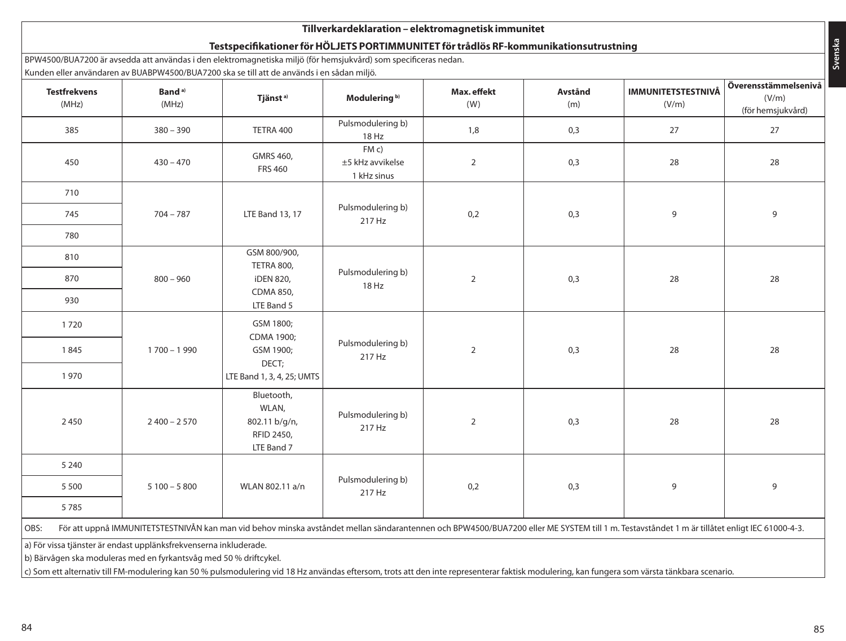# **Tillverkardeklaration – elektromagnetisk immunitet**

# **Testspecifikationer för HÖLJETS PORTIMMUNITET för trådlös RF-kommunikationsutrustning**

BPW4500/BUA7200 är avsedda att användas i den elektromagnetiska miljö (för hemsjukvård) som specificeras nedan. Kunden eller användaren av BUABPW4500/BUA7200 ska se till att de används i en sådan miljö.

| <b>Testfrekvens</b><br>(MHz)                                                                                                                                                                                                                                                                                                           | Band <sup>a)</sup><br>(MHz) | <u>Kunden eller användaren av BOADF W4500/BOA7 200 SKa Se till att de används i en sadan miljo.</u><br>Tjänst <sup>a)</sup> | Modulering <sup>b)</sup>                | Max. effekt<br>(W) | Avstånd<br>(m) | <b>IMMUNITETSTESTNIVÅ</b><br>(V/m) | Överensstämmelsenivå<br>(V/m)<br>(för hemsjukvård) |
|----------------------------------------------------------------------------------------------------------------------------------------------------------------------------------------------------------------------------------------------------------------------------------------------------------------------------------------|-----------------------------|-----------------------------------------------------------------------------------------------------------------------------|-----------------------------------------|--------------------|----------------|------------------------------------|----------------------------------------------------|
| 385                                                                                                                                                                                                                                                                                                                                    | $380 - 390$                 | TETRA 400                                                                                                                   | Pulsmodulering b)<br>18 Hz              | 1,8                | 0,3            | 27                                 | 27                                                 |
| 450                                                                                                                                                                                                                                                                                                                                    | $430 - 470$                 | GMRS 460,<br><b>FRS 460</b>                                                                                                 | FMC)<br>±5 kHz avvikelse<br>1 kHz sinus | $\overline{2}$     | 0,3            | 28                                 | 28                                                 |
| 710                                                                                                                                                                                                                                                                                                                                    |                             |                                                                                                                             |                                         |                    |                |                                    |                                                    |
| 745                                                                                                                                                                                                                                                                                                                                    | $704 - 787$                 | LTE Band 13, 17                                                                                                             | Pulsmodulering b)<br>217 Hz             | 0,2                | 0,3            | 9                                  | 9                                                  |
| 780                                                                                                                                                                                                                                                                                                                                    |                             |                                                                                                                             |                                         |                    |                |                                    |                                                    |
| 810                                                                                                                                                                                                                                                                                                                                    |                             | GSM 800/900,<br><b>TETRA 800,</b>                                                                                           |                                         |                    |                |                                    |                                                    |
| 870                                                                                                                                                                                                                                                                                                                                    | $800 - 960$                 | iDEN 820,                                                                                                                   | Pulsmodulering b)<br>18 Hz              | $\overline{2}$     | 0,3            | 28                                 | 28                                                 |
| 930                                                                                                                                                                                                                                                                                                                                    |                             | CDMA 850,<br>LTE Band 5                                                                                                     |                                         |                    |                |                                    |                                                    |
| 1720                                                                                                                                                                                                                                                                                                                                   |                             | GSM 1800;<br>CDMA 1900;                                                                                                     |                                         |                    |                |                                    |                                                    |
| 1845                                                                                                                                                                                                                                                                                                                                   | $1700 - 1990$               | GSM 1900;                                                                                                                   | Pulsmodulering b)<br>217 Hz             | $\overline{2}$     | 0,3            | 28                                 | 28                                                 |
| 1970                                                                                                                                                                                                                                                                                                                                   |                             | DECT;<br>LTE Band 1, 3, 4, 25; UMTS                                                                                         |                                         |                    |                |                                    |                                                    |
| 2450                                                                                                                                                                                                                                                                                                                                   | $2400 - 2570$               | Bluetooth,<br>WLAN,<br>802.11 b/g/n,<br>RFID 2450,<br>LTE Band 7                                                            | Pulsmodulering b)<br>217 Hz             | $\overline{2}$     | 0,3            | 28                                 | 28                                                 |
| 5 2 4 0                                                                                                                                                                                                                                                                                                                                |                             |                                                                                                                             |                                         |                    |                |                                    |                                                    |
| 5 5 0 0                                                                                                                                                                                                                                                                                                                                | $5100 - 5800$               | WLAN 802.11 a/n                                                                                                             | Pulsmodulering b)<br>0,2<br>217 Hz      |                    | 0,3            | 9                                  | 9                                                  |
| 5785                                                                                                                                                                                                                                                                                                                                   |                             |                                                                                                                             |                                         |                    |                |                                    |                                                    |
| För att uppnå IMMUNITETSTESTNIVÅN kan man vid behov minska avståndet mellan sändarantennen och BPW4500/BUA7200 eller ME SYSTEM till 1 m. Testavståndet 1 m är tillåtet enligt IEC 61000-4-3.<br>OBS:                                                                                                                                   |                             |                                                                                                                             |                                         |                    |                |                                    |                                                    |
| a) För vissa tjänster är endast upplänksfrekvenserna inkluderade.<br>b) Bärvågen ska moduleras med en fyrkantsvåg med 50 % driftcykel.<br>c) Som ett alternativ till FM-modulering kan 50 % pulsmodulering vid 18 Hz användas eftersom, trots att den inte representerar faktisk modulering, kan fungera som värsta tänkbara scenario. |                             |                                                                                                                             |                                         |                    |                |                                    |                                                    |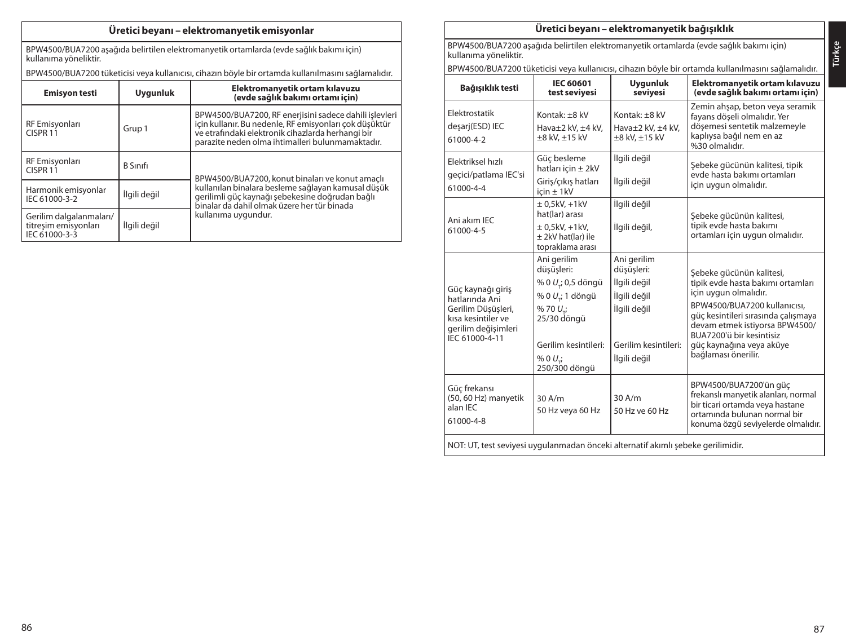# **Üretici beyanı – elektromanyetik emisyonlar**

BPW4500/BUA7200 aşağıda belirtilen elektromanyetik ortamlarda (evde sağlık bakımı için) kullanıma yöneliktir.

BPW4500/BUA7200 tüketicisi veya kullanıcısı, cihazın böyle bir ortamda kullanılmasını sağlamalıdır.

| <b>Emisyon testi</b>                                             | <b>Uygunluk</b> | Elektromanyetik ortam kılavuzu<br>(evde sağlık bakımı ortamı için)                                                                                                                                                        |
|------------------------------------------------------------------|-----------------|---------------------------------------------------------------------------------------------------------------------------------------------------------------------------------------------------------------------------|
| RF Emisyonları<br>CISPR <sub>11</sub>                            | Grup 1          | BPW4500/BUA7200, RF enerjisini sadece dahili işlevleri<br>icin kullanır. Bu nedenle, RF emisyonları çok düşüktür<br>ve etrafındaki elektronik cihazlarda herhangi bir<br>parazite neden olma ihtimalleri bulunmamaktadır. |
| RF Emisyonları<br>CISPR <sub>11</sub>                            | <b>B</b> Sinifi | BPW4500/BUA7200, konut binaları ve konut amaçlı                                                                                                                                                                           |
| Harmonik emisyonlar<br>IEC 61000-3-2                             | İlgili değil    | kullanılan binalara besleme sağlayan kamusal düşük<br>gerilimli güç kaynağı şebekesine doğrudan bağlı<br>binalar da dahil olmak üzere her tür binada                                                                      |
| Gerilim dalgalanmaları/<br>titresim emisyonları<br>IEC 61000-3-3 | İlgili değil    | kullanıma uygundur.                                                                                                                                                                                                       |

# **Üretici beyanı – elektromanyetik bağışıklık**

BPW4500/BUA7200 aşağıda belirtilen elektromanyetik ortamlarda (evde sağlık bakımı için) kullanıma yöneliktir.

BPW4500/BUA7200 tüketicisi veya kullanıcısı, cihazın böyle bir ortamda kullanılmasını sağlamalıdır.

| Bağışıklık testi                                                                                                         | <b>IEC 60601</b><br>test seviyesi                                                                                                                            | <b>Uvaunluk</b><br>seviyesi                                                                                       | Elektromanyetik ortam kılavuzu<br>(evde sağlık bakımı ortamı için)                                                                                                                                                                                                             |  |  |
|--------------------------------------------------------------------------------------------------------------------------|--------------------------------------------------------------------------------------------------------------------------------------------------------------|-------------------------------------------------------------------------------------------------------------------|--------------------------------------------------------------------------------------------------------------------------------------------------------------------------------------------------------------------------------------------------------------------------------|--|--|
| Elektrostatik<br>desarj(ESD) IEC<br>61000-4-2                                                                            | Kontak: $+8$ kV<br>Hava±2 kV, ±4 kV,<br>$\pm 8$ kV, $\pm 15$ kV                                                                                              | Kontak: $+8$ kV<br>Hava±2 kV, ±4 kV,<br>$\pm 8$ kV, $\pm 15$ kV                                                   | Zemin ahşap, beton veya seramik<br>fayans döseli olmalıdır. Yer<br>dösemesi sentetik malzemeyle<br>kaplıysa bağıl nem en az<br>%30 olmalıdır.                                                                                                                                  |  |  |
| Elektriksel hızlı<br>geçici/patlama IEC'si<br>61000-4-4                                                                  | Güc besleme<br>hatları icin $\pm$ 2kV<br>Giris/cıkış hatları<br>$icin \pm 1kV$                                                                               | İlgili değil<br>İlgili değil                                                                                      | Şebeke gücünün kalitesi, tipik<br>evde hasta bakımı ortamları<br>için uygun olmalıdır.                                                                                                                                                                                         |  |  |
| Ani akım IEC<br>61000-4-5                                                                                                | $\pm$ 0,5kV, +1kV<br>hat(lar) arası<br>$\pm$ 0.5kV. +1kV.<br>± 2kV hat(lar) ile<br>topraklama arası                                                          | İlgili değil<br>İlgili değil,                                                                                     | Sebeke gücünün kalitesi,<br>tipik evde hasta bakımı<br>ortamları için uygun olmalıdır.                                                                                                                                                                                         |  |  |
| Güç kaynağı giriş<br>hatlarında Ani<br>Gerilim Düsüsleri.<br>kısa kesintiler ve<br>gerilim değişimleri<br>IEC 61000-4-11 | Ani gerilim<br>düşüşleri:<br>% 0 U <sub>r</sub> ; 0,5 döngü<br>% 0 U.; 1 döngü<br>%70U:<br>25/30 döngü<br>Gerilim kesintileri:<br>$% 0 U$ ;<br>250/300 döngü | Ani gerilim<br>düşüşleri:<br>İlgili değil<br>İlgili değil<br>İlgili değil<br>Gerilim kesintileri:<br>İlgili değil | Sebeke gücünün kalitesi,<br>tipik evde hasta bakımı ortamları<br>için uygun olmalıdır.<br>BPW4500/BUA7200 kullanıcısı.<br>güç kesintileri sırasında çalışmaya<br>devam etmek istiyorsa BPW4500/<br>BUA7200'ü bir kesintisiz<br>güç kaynağına veya aküye<br>bağlaması önerilir. |  |  |
| Güç frekansı<br>(50, 60 Hz) manyetik<br>alan IEC<br>61000-4-8                                                            | 30A/m<br>50 Hz veya 60 Hz                                                                                                                                    | $30$ A/m<br>50 Hz ve 60 Hz                                                                                        | BPW4500/BUA7200'ün güç<br>frekanslı manyetik alanları, normal<br>bir ticari ortamda veya hastane<br>ortamında bulunan normal bir<br>konuma özgü seviyelerde olmalıdır.                                                                                                         |  |  |
| NOT: UT, test seviyesi uygulanmadan önceki alternatif akımlı şebeke gerilimidir.                                         |                                                                                                                                                              |                                                                                                                   |                                                                                                                                                                                                                                                                                |  |  |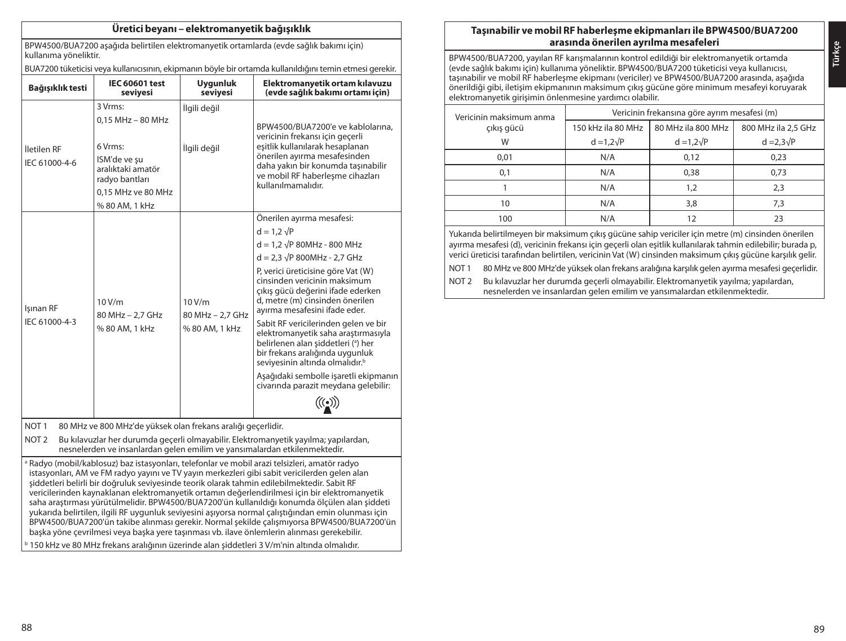# **Üretici beyanı – elektromanyetik bağışıklık**

BPW4500/BUA7200 aşağıda belirtilen elektromanyetik ortamlarda (evde sağlık bakımı için) kullanıma yöneliktir.

BUA7200 tüketicisi veya kullanıcısının, ekipmanın böyle bir ortamda kullanıldığını temin etmesi gerekir.

| Bağışıklık testi                                                                                                                                                                               | <b>IEC 60601 test</b><br>seviyesi                                                                                               | <b>Uygunluk</b><br>seviyesi                 | Elektromanyetik ortam kılavuzu<br>(evde sağlık bakımı ortamı için)                                                                                                                                                                     |  |  |
|------------------------------------------------------------------------------------------------------------------------------------------------------------------------------------------------|---------------------------------------------------------------------------------------------------------------------------------|---------------------------------------------|----------------------------------------------------------------------------------------------------------------------------------------------------------------------------------------------------------------------------------------|--|--|
|                                                                                                                                                                                                | 3 Vrms:                                                                                                                         | İlgili değil                                |                                                                                                                                                                                                                                        |  |  |
| İletilen RF<br>IEC 61000-4-6                                                                                                                                                                   | $0.15$ MHz $-$ 80 MHz<br>6 Vrms:<br>ISM'de ve su<br>aralıktaki amatör<br>radvo bantları<br>0.15 MHz ve 80 MHz<br>% 80 AM, 1 kHz | İlgili değil                                | BPW4500/BUA7200'e ve kablolarına.<br>vericinin frekansı için geçerli<br>esitlik kullanılarak hesaplanan<br>önerilen ayırma mesafesinden<br>daha yakın bir konumda taşınabilir<br>ve mobil RF haberleşme cihazları<br>kullanılmamalıdır |  |  |
| Isinan RF<br>IEC 61000-4-3                                                                                                                                                                     | 10 V/m<br>80 MHz - 2.7 GHz<br>% 80 AM, 1 kHz                                                                                    |                                             | Önerilen ayırma mesafesi:                                                                                                                                                                                                              |  |  |
|                                                                                                                                                                                                |                                                                                                                                 |                                             | $d = 1.2 \sqrt{P}$                                                                                                                                                                                                                     |  |  |
|                                                                                                                                                                                                |                                                                                                                                 | 10V/m<br>80 MHz - 2,7 GHz<br>% 80 AM, 1 kHz | $d = 1.2 \sqrt{P} 80 MHz - 800 MHz$                                                                                                                                                                                                    |  |  |
|                                                                                                                                                                                                |                                                                                                                                 |                                             | $d = 2.3 \sqrt{P} 800 MHz - 2.7 GHz$                                                                                                                                                                                                   |  |  |
|                                                                                                                                                                                                |                                                                                                                                 |                                             | P, verici üreticisine göre Vat (W)<br>cinsinden vericinin maksimum<br>çıkış gücü değerini ifade ederken<br>d, metre (m) cinsinden önerilen<br>avırma mesafesini ifade eder.                                                            |  |  |
|                                                                                                                                                                                                |                                                                                                                                 |                                             | Sabit RF vericilerinden gelen ve bir<br>elektromanyetik saha araştırmasıyla<br>belirlenen alan siddetleri (a) her<br>bir frekans aralığında uygunluk<br>seviyesinin altında olmalıdır. <sup>b</sup>                                    |  |  |
|                                                                                                                                                                                                |                                                                                                                                 |                                             | Aşağıdaki sembolle işaretli ekipmanın<br>civarında parazit meydana gelebilir:                                                                                                                                                          |  |  |
|                                                                                                                                                                                                |                                                                                                                                 |                                             | $\mathscr{H}(\bullet)$                                                                                                                                                                                                                 |  |  |
| NOT <sub>1</sub><br>80 MHz ve 800 MHz'de yüksek olan frekans aralığı geçerlidir.                                                                                                               |                                                                                                                                 |                                             |                                                                                                                                                                                                                                        |  |  |
| NOT <sub>2</sub><br>Bu kılavuzlar her durumda geçerli olmayabilir. Elektromanyetik yayılma; yapılardan,<br>nesnelerden ve insanlardan gelen emilim ve yansımalardan etkilenmektedir.           |                                                                                                                                 |                                             |                                                                                                                                                                                                                                        |  |  |
| a Radyo (mobil/kablosuz) baz istasyonları, telefonlar ve mobil arazi telsizleri, amatör radyo<br>istasyonları, AM ve FM radyo yayını ve TV yayın merkezleri gibi sabit vericilerden gelen alan |                                                                                                                                 |                                             |                                                                                                                                                                                                                                        |  |  |

şiddetleri belirli bir doğruluk seviyesinde teorik olarak tahmin edilebilmektedir. Sabit RF vericilerinden kaynaklanan elektromanyetik ortamın değerlendirilmesi için bir elektromanyetik saha araştırması yürütülmelidir. BPW4500/BUA7200'ün kullanıldığı konumda ölçülen alan şiddeti yukarıda belirtilen, ilgili RF uygunluk seviyesini aşıyorsa normal çalıştığından emin olunması için BPW4500/BUA7200'ün takibe alınması gerekir. Normal şekilde çalışmıyorsa BPW4500/BUA7200'ün başka yöne çevrilmesi veya başka yere taşınması vb. ilave önlemlerin alınması gerekebilir. <sup>b</sup> 150 kHz ve 80 MHz frekans aralığının üzerinde alan şiddetleri 3 V/m'nin altında olmalıdır.

# **Taşınabilir ve mobil RF haberleşme ekipmanları ile BPW4500/BUA7200 arasında önerilen ayrılma mesafeleri**

BPW4500/BUA7200, yayılan RF karışmalarının kontrol edildiği bir elektromanyetik ortamda (evde sağlık bakımı için) kullanıma yöneliktir. BPW4500/BUA7200 tüketicisi veya kullanıcısı, taşınabilir ve mobil RF haberleşme ekipmanı (vericiler) ve BPW4500/BUA7200 arasında, aşağıda önerildiği gibi, iletişim ekipmanının maksimum çıkış gücüne göre minimum mesafeyi koruyarak elektromanyetik girişimin önlenmesine yardımcı olabilir.

| Vericinin maksimum anma | Vericinin frekansına göre ayrım mesafesi (m) |                   |                     |  |  |
|-------------------------|----------------------------------------------|-------------------|---------------------|--|--|
| cıkıs gücü              | 80 MHz ila 800 MHz<br>150 kHz ila 80 MHz     |                   | 800 MHz ila 2,5 GHz |  |  |
| W                       | $d = 1.2\sqrt{P}$                            | $d = 1.2\sqrt{P}$ | $d = 2.3\sqrt{P}$   |  |  |
| 0,01                    | N/A                                          | 0,12              | 0,23                |  |  |
| 0,1                     | N/A                                          | 0.38              | 0,73                |  |  |
|                         | N/A                                          | 1.2               | 2,3                 |  |  |
| 10                      | N/A                                          | 3,8               | 7,3                 |  |  |
| 100                     | N/A                                          |                   | 23                  |  |  |

Yukarıda belirtilmeyen bir maksimum çıkış gücüne sahip vericiler için metre (m) cinsinden önerilen ayırma mesafesi (d), vericinin frekansı için geçerli olan eşitlik kullanılarak tahmin edilebilir; burada p, verici üreticisi tarafından belirtilen, vericinin Vat (W) cinsinden maksimum çıkış gücüne karşılık gelir.

NOT 1 80 MHz ve 800 MHz'de yüksek olan frekans aralığına karşılık gelen ayırma mesafesi geçerlidir.

NOT 2 Bu kılavuzlar her durumda geçerli olmayabilir. Elektromanyetik yayılma; yapılardan, nesnelerden ve insanlardan gelen emilim ve yansımalardan etkilenmektedir.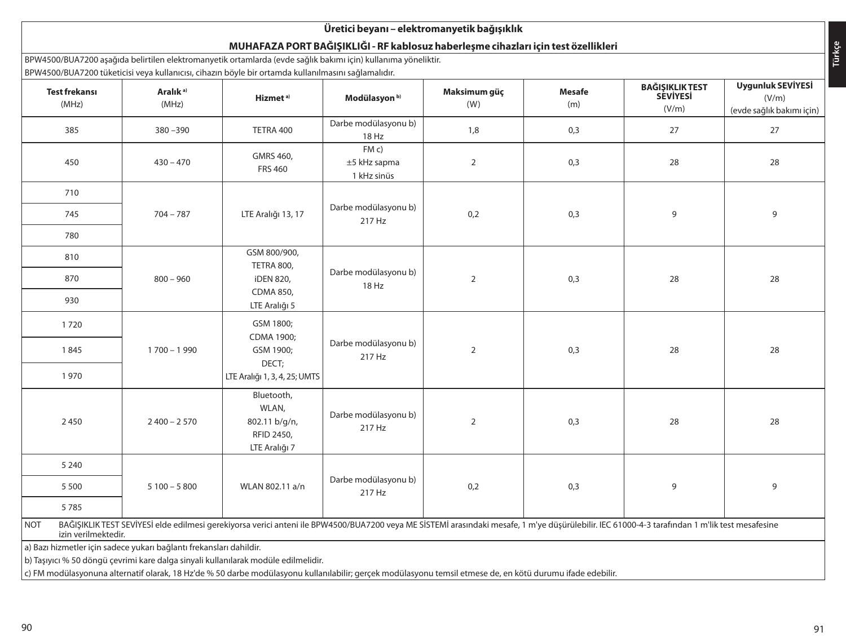# **Üretici beyanı – elektromanyetik bağışıklık**

# **MUHAFAZA PORT BAĞIŞIKLIĞI - RF kablosuz haberleşme cihazları için test özellikleri**

BPW4500/BUA7200 aşağıda belirtilen elektromanyetik ortamlarda (evde sağlık bakımı için) kullanıma yöneliktir. BPW4500/BUA7200 tüketicisi veya kullanıcısı, cihazın böyle bir ortamda kullanılmasını sağlamalıdır.

|                                                                                                                                                            | <b>Test frekansı</b><br>(MHz)                                                                                                                                                                                         | Aralık <sup>a)</sup><br>(MHz) | or whoop born zoo taketicisme ya Kanameisi, emazin boyic bir ortamaa Kanaminiasini sagiamanan.<br>Hizmet <sup>a)</sup> | Modülasyon <sup>b)</sup>            | Maksimum güç<br>(W) | Mesafe<br>(m) | BAĞIŞIKLIK TEST<br>SEVİYESİ | Uygunluk SEVİYESİ<br>(V/m) |
|------------------------------------------------------------------------------------------------------------------------------------------------------------|-----------------------------------------------------------------------------------------------------------------------------------------------------------------------------------------------------------------------|-------------------------------|------------------------------------------------------------------------------------------------------------------------|-------------------------------------|---------------------|---------------|-----------------------------|----------------------------|
|                                                                                                                                                            |                                                                                                                                                                                                                       |                               |                                                                                                                        |                                     |                     |               | (V/m)                       | (evde sağlık bakımı için)  |
|                                                                                                                                                            | 385                                                                                                                                                                                                                   | $380 - 390$                   | TETRA 400                                                                                                              | Darbe modülasyonu b)<br>18 Hz       | 1,8                 | 0,3           | 27                          | 27                         |
|                                                                                                                                                            | 450                                                                                                                                                                                                                   | $430 - 470$                   | GMRS 460,<br><b>FRS 460</b>                                                                                            | FMC)<br>±5 kHz sapma<br>1 kHz sinüs | $\overline{2}$      | 0,3           | 28                          | 28                         |
|                                                                                                                                                            | 710                                                                                                                                                                                                                   |                               |                                                                                                                        |                                     |                     |               |                             |                            |
|                                                                                                                                                            | 745                                                                                                                                                                                                                   | $704 - 787$                   | LTE Aralığı 13, 17                                                                                                     | Darbe modülasyonu b)<br>217 Hz      | 0,2                 | 0,3           | 9                           | 9                          |
|                                                                                                                                                            | 780                                                                                                                                                                                                                   |                               |                                                                                                                        |                                     |                     |               |                             |                            |
|                                                                                                                                                            | 810                                                                                                                                                                                                                   |                               | GSM 800/900,<br>TETRA 800,                                                                                             |                                     |                     |               |                             |                            |
|                                                                                                                                                            | 870                                                                                                                                                                                                                   | $800 - 960$                   | iDEN 820,                                                                                                              | Darbe modülasyonu b)<br>18 Hz       | $\overline{2}$      | 0,3           | 28                          | 28                         |
|                                                                                                                                                            | 930                                                                                                                                                                                                                   |                               | CDMA 850,<br>LTE Aralığı 5                                                                                             |                                     |                     |               |                             |                            |
|                                                                                                                                                            | 1720                                                                                                                                                                                                                  |                               | GSM 1800;<br>CDMA 1900;                                                                                                |                                     |                     |               |                             |                            |
|                                                                                                                                                            | 1845                                                                                                                                                                                                                  | $1700 - 1990$                 | GSM 1900;<br>DECT;                                                                                                     | Darbe modülasyonu b)<br>217 Hz      | $\overline{2}$      | 0,3           | 28                          | 28                         |
|                                                                                                                                                            | 1970                                                                                                                                                                                                                  |                               | LTE Aralığı 1, 3, 4, 25; UMTS                                                                                          |                                     |                     |               |                             |                            |
|                                                                                                                                                            | 2450                                                                                                                                                                                                                  | $2400 - 2570$                 | Bluetooth,<br>WLAN,<br>802.11 b/g/n,<br>RFID 2450,<br>LTE Aralığı 7                                                    | Darbe modülasyonu b)<br>217 Hz      | $\overline{2}$      | 0,3           | 28                          | 28                         |
|                                                                                                                                                            | 5 2 4 0                                                                                                                                                                                                               |                               |                                                                                                                        |                                     |                     |               |                             |                            |
|                                                                                                                                                            | 5 5 0 0                                                                                                                                                                                                               | $5100 - 5800$                 | WLAN 802.11 a/n                                                                                                        | Darbe modülasyonu b)<br>217 Hz      | 0,2                 | 0,3           | 9                           | 9                          |
|                                                                                                                                                            | 5785                                                                                                                                                                                                                  |                               |                                                                                                                        |                                     |                     |               |                             |                            |
| <b>NOT</b>                                                                                                                                                 | BAĞISIKLIK TEST SEVİYESİ elde edilmesi gerekiyorsa verici anteni ile BPW4500/BUA7200 veya ME SİSTEMİ arasındaki mesafe, 1 m'ye düşürülebilir. IEC 61000-4-3 tarafından 1 m'lik test mesafesine<br>izin verilmektedir. |                               |                                                                                                                        |                                     |                     |               |                             |                            |
| a) Bazı hizmetler için sadece yukarı bağlantı frekansları dahildir.                                                                                        |                                                                                                                                                                                                                       |                               |                                                                                                                        |                                     |                     |               |                             |                            |
|                                                                                                                                                            | b) Taşıyıcı % 50 döngü çevrimi kare dalga sinyali kullanılarak modüle edilmelidir.                                                                                                                                    |                               |                                                                                                                        |                                     |                     |               |                             |                            |
| c) FM modülasyonuna alternatif olarak, 18 Hz'de % 50 darbe modülasyonu kullanılabilir; gerçek modülasyonu temsil etmese de, en kötü durumu ifade edebilir. |                                                                                                                                                                                                                       |                               |                                                                                                                        |                                     |                     |               |                             |                            |

**Türkçe**